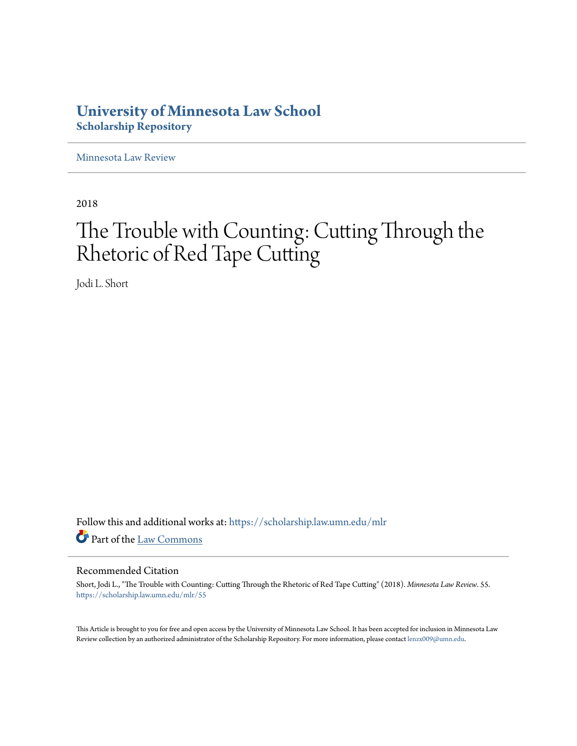# **University of Minnesota Law School [Scholarship Repository](https://scholarship.law.umn.edu?utm_source=scholarship.law.umn.edu%2Fmlr%2F55&utm_medium=PDF&utm_campaign=PDFCoverPages)**

[Minnesota Law Review](https://scholarship.law.umn.edu/mlr?utm_source=scholarship.law.umn.edu%2Fmlr%2F55&utm_medium=PDF&utm_campaign=PDFCoverPages)

2018

# The Trouble with Counting: Cutting Through the Rhetoric of Red Tape Cutting

Jodi L. Short

Follow this and additional works at: [https://scholarship.law.umn.edu/mlr](https://scholarship.law.umn.edu/mlr?utm_source=scholarship.law.umn.edu%2Fmlr%2F55&utm_medium=PDF&utm_campaign=PDFCoverPages) Part of the [Law Commons](http://network.bepress.com/hgg/discipline/578?utm_source=scholarship.law.umn.edu%2Fmlr%2F55&utm_medium=PDF&utm_campaign=PDFCoverPages)

# Recommended Citation

Short, Jodi L., "The Trouble with Counting: Cutting Through the Rhetoric of Red Tape Cutting" (2018). *Minnesota Law Review*. 55. [https://scholarship.law.umn.edu/mlr/55](https://scholarship.law.umn.edu/mlr/55?utm_source=scholarship.law.umn.edu%2Fmlr%2F55&utm_medium=PDF&utm_campaign=PDFCoverPages)

This Article is brought to you for free and open access by the University of Minnesota Law School. It has been accepted for inclusion in Minnesota Law Review collection by an authorized administrator of the Scholarship Repository. For more information, please contact [lenzx009@umn.edu.](mailto:lenzx009@umn.edu)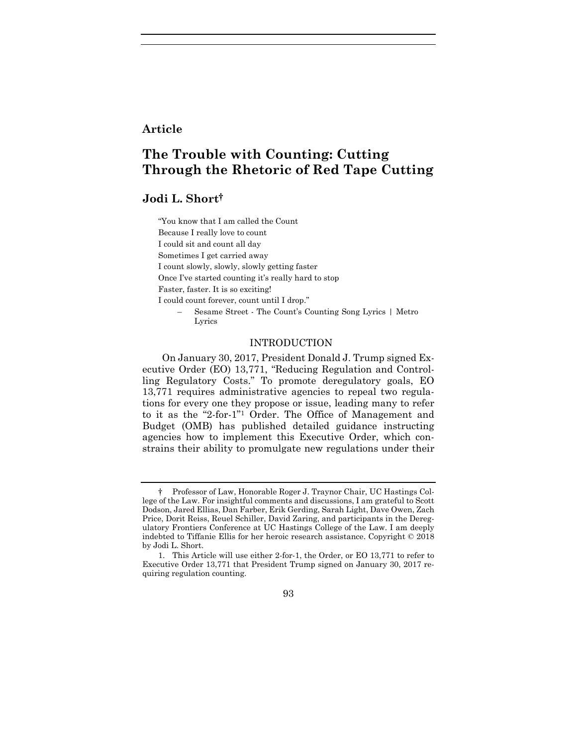# **Article**

# **The Trouble with Counting: Cutting Through the Rhetoric of Red Tape Cutting**

# **Jodi L. Short†**

"You know that I am called the Count Because I really love to count

I could sit and count all day

Sometimes I get carried away

I count slowly, slowly, slowly getting faster

Once I've started counting it's really hard to stop

Faster, faster. It is so exciting!

I could count forever, count until I drop."

– Sesame Street - The Count's Counting Song Lyrics | Metro Lyrics

# INTRODUCTION

On January 30, 2017, President Donald J. Trump signed Executive Order (EO) 13,771, "Reducing Regulation and Controlling Regulatory Costs." To promote deregulatory goals, EO 13,771 requires administrative agencies to repeal two regulations for every one they propose or issue, leading many to refer to it as the "2-for-1" <sup>1</sup> Order. The Office of Management and Budget (OMB) has published detailed guidance instructing agencies how to implement this Executive Order, which constrains their ability to promulgate new regulations under their

<sup>1.</sup> This Article will use either 2-for-1, the Order, or EO 13,771 to refer to Executive Order 13,771 that President Trump signed on January 30, 2017 requiring regulation counting.



<sup>†</sup> Professor of Law, Honorable Roger J. Traynor Chair, UC Hastings College of the Law. For insightful comments and discussions, I am grateful to Scott Dodson, Jared Ellias, Dan Farber, Erik Gerding, Sarah Light, Dave Owen, Zach Price, Dorit Reiss, Reuel Schiller, David Zaring, and participants in the Deregulatory Frontiers Conference at UC Hastings College of the Law. I am deeply indebted to Tiffanie Ellis for her heroic research assistance. Copyright © 2018 by Jodi L. Short.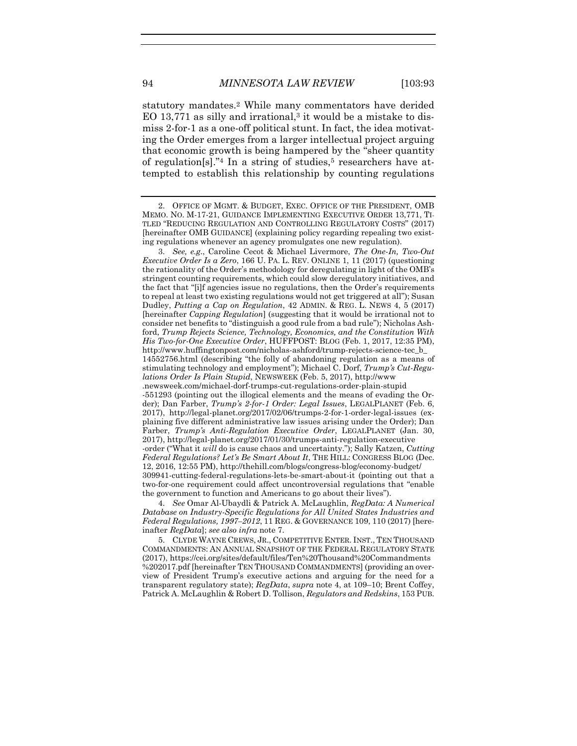<span id="page-2-2"></span><span id="page-2-1"></span>

<span id="page-2-3"></span>statutory mandates.<sup>2</sup> While many commentators have derided EO 13,771 as silly and irrational,<sup>3</sup> it would be a mistake to dismiss 2-for-1 as a one-off political stunt. In fact, the idea motivating the Order emerges from a larger intellectual project arguing that economic growth is being hampered by the "sheer quantity of regulation<sup>[s]</sup>.<sup>"4</sup> In a string of studies,<sup>5</sup> researchers have attempted to establish this relationship by counting regulations

3. *See, e.g.*, Caroline Cecot & Michael Livermore, *The One-In, Two-Out Executive Order Is a Zero*, 166 U. PA. L. REV. ONLINE 1, 11 (2017) (questioning the rationality of the Order's methodology for deregulating in light of the OMB's stringent counting requirements, which could slow deregulatory initiatives, and the fact that "[i]f agencies issue no regulations, then the Order's requirements to repeal at least two existing regulations would not get triggered at all"); Susan Dudley, *Putting a Cap on Regulation*, 42 ADMIN. & REG. L. NEWS 4, 5 (2017) [hereinafter *Capping Regulation*] (suggesting that it would be irrational not to consider net benefits to "distinguish a good rule from a bad rule"); Nicholas Ashford, *Trump Rejects Science, Technology, Economics, and the Constitution With His Two-for-One Executive Order*, HUFFPOST: BLOG (Feb. 1, 2017, 12:35 PM), http://www.huffingtonpost.com/nicholas-ashford/trump-rejects-science-tec\_b\_ 14552756.html (describing "the folly of abandoning regulation as a means of stimulating technology and employment"); Michael C. Dorf, *Trump's Cut-Regulations Order Is Plain Stupid*, NEWSWEEK (Feb. 5, 2017), http://www .newsweek.com/michael-dorf-trumps-cut-regulations-order-plain-stupid -551293 (pointing out the illogical elements and the means of evading the Order); Dan Farber, *Trump's 2-for-1 Order: Legal Issues*, LEGALPLANET (Feb. 6, 2017), http://legal-planet.org/2017/02/06/trumps-2-for-1-order-legal-issues (explaining five different administrative law issues arising under the Order); Dan Farber, *Trump's Anti-Regulation Executive Order*, LEGALPLANET (Jan. 30, 2017), http://legal-planet.org/2017/01/30/trumps-anti-regulation-executive -order ("What it *will* do is cause chaos and uncertainty."); Sally Katzen, *Cutting Federal Regulations? Let's Be Smart About It*, THE HILL: CONGRESS BLOG (Dec. 12, 2016, 12:55 PM), http://thehill.com/blogs/congress-blog/economy-budget/ 309941-cutting-federal-regulations-lets-be-smart-about-it (pointing out that a two-for-one requirement could affect uncontroversial regulations that "enable the government to function and Americans to go about their lives").

4. *See* Omar Al-Ubaydli & Patrick A. McLaughlin, *RegData: A Numerical Database on Industry-Specific Regulations for All United States Industries and Federal Regulations, 1997–2012*, 11 REG. & GOVERNANCE 109, 110 (2017) [hereinafter *RegData*]; *see also infra* not[e 7.](#page-4-0)

5. CLYDE WAYNE CREWS, JR., COMPETITIVE ENTER. INST., TEN THOUSAND COMMANDMENTS: AN ANNUAL SNAPSHOT OF THE FEDERAL REGULATORY STATE (2017), https://cei.org/sites/default/files/Ten%20Thousand%20Commandments %202017.pdf [hereinafter TEN THOUSAND COMMANDMENTS] (providing an overview of President Trump's executive actions and arguing for the need for a transparent regulatory state); *RegData*, *supra* note [4,](#page-2-0) at 109–10; Brent Coffey, Patrick A. McLaughlin & Robert D. Tollison, *Regulators and Redskins*, 153 PUB.

<span id="page-2-0"></span><sup>2.</sup> OFFICE OF MGMT. & BUDGET, EXEC. OFFICE OF THE PRESIDENT, OMB MEMO. NO. M-17-21, GUIDANCE IMPLEMENTING EXECUTIVE ORDER 13,771, TI-TLED "REDUCING REGULATION AND CONTROLLING REGULATORY COSTS" (2017) [hereinafter OMB GUIDANCE] (explaining policy regarding repealing two existing regulations whenever an agency promulgates one new regulation).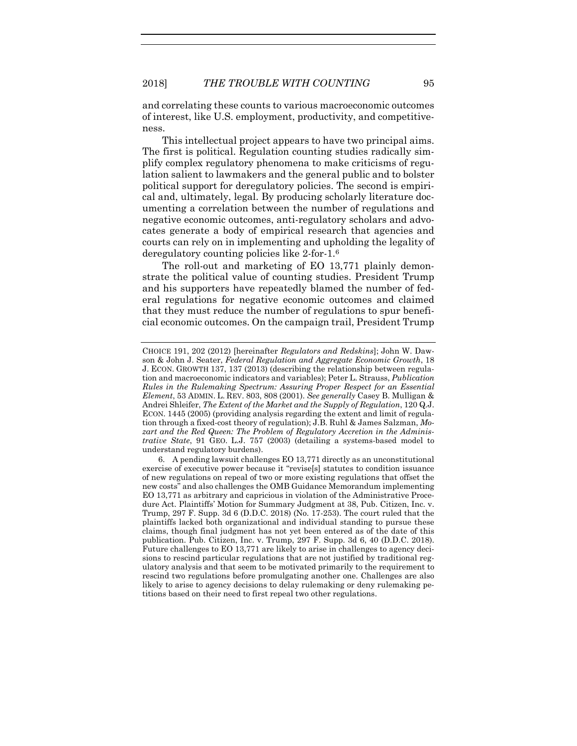and correlating these counts to various macroeconomic outcomes of interest, like U.S. employment, productivity, and competitiveness.

This intellectual project appears to have two principal aims. The first is political. Regulation counting studies radically simplify complex regulatory phenomena to make criticisms of regulation salient to lawmakers and the general public and to bolster political support for deregulatory policies. The second is empirical and, ultimately, legal. By producing scholarly literature documenting a correlation between the number of regulations and negative economic outcomes, anti-regulatory scholars and advocates generate a body of empirical research that agencies and courts can rely on in implementing and upholding the legality of deregulatory counting policies like 2-for-1.<sup>6</sup>

The roll-out and marketing of EO 13,771 plainly demonstrate the political value of counting studies. President Trump and his supporters have repeatedly blamed the number of federal regulations for negative economic outcomes and claimed that they must reduce the number of regulations to spur beneficial economic outcomes. On the campaign trail, President Trump

CHOICE 191, 202 (2012) [hereinafter *Regulators and Redskins*]; John W. Dawson & John J. Seater, *Federal Regulation and Aggregate Economic Growth*, 18 J. ECON. GROWTH 137, 137 (2013) (describing the relationship between regulation and macroeconomic indicators and variables); Peter L. Strauss, *Publication Rules in the Rulemaking Spectrum: Assuring Proper Respect for an Essential Element*, 53 ADMIN. L. REV. 803, 808 (2001). *See generally* Casey B. Mulligan & Andrei Shleifer, *The Extent of the Market and the Supply of Regulation*, 120 Q.J. ECON. 1445 (2005) (providing analysis regarding the extent and limit of regulation through a fixed-cost theory of regulation); J.B. Ruhl & James Salzman, *Mozart and the Red Queen: The Problem of Regulatory Accretion in the Administrative State*, 91 GEO. L.J. 757 (2003) (detailing a systems-based model to understand regulatory burdens).

<sup>6.</sup> A pending lawsuit challenges EO 13,771 directly as an unconstitutional exercise of executive power because it "revise[s] statutes to condition issuance of new regulations on repeal of two or more existing regulations that offset the new costs" and also challenges the OMB Guidance Memorandum implementing EO 13,771 as arbitrary and capricious in violation of the Administrative Procedure Act. Plaintiffs' Motion for Summary Judgment at 38, Pub. Citizen, Inc. v. Trump, 297 F. Supp. 3d 6 (D.D.C. 2018) (No. 17-253). The court ruled that the plaintiffs lacked both organizational and individual standing to pursue these claims, though final judgment has not yet been entered as of the date of this publication. Pub. Citizen, Inc. v. Trump, 297 F. Supp. 3d 6, 40 (D.D.C. 2018). Future challenges to EO 13,771 are likely to arise in challenges to agency decisions to rescind particular regulations that are not justified by traditional regulatory analysis and that seem to be motivated primarily to the requirement to rescind two regulations before promulgating another one. Challenges are also likely to arise to agency decisions to delay rulemaking or deny rulemaking petitions based on their need to first repeal two other regulations.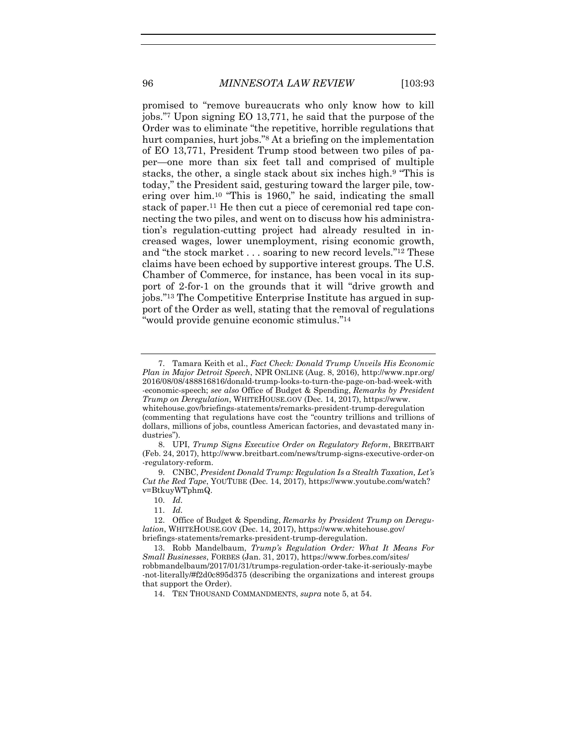<span id="page-4-0"></span>promised to "remove bureaucrats who only know how to kill jobs." <sup>7</sup> Upon signing EO 13,771, he said that the purpose of the Order was to eliminate "the repetitive, horrible regulations that hurt companies, hurt jobs."<sup>8</sup> At a briefing on the implementation of EO 13,771, President Trump stood between two piles of paper—one more than six feet tall and comprised of multiple stacks, the other, a single stack about six inches high.<sup>9</sup> "This is today," the President said, gesturing toward the larger pile, towering over him.<sup>10</sup> "This is 1960," he said, indicating the small stack of paper.<sup>11</sup> He then cut a piece of ceremonial red tape connecting the two piles, and went on to discuss how his administration's regulation-cutting project had already resulted in increased wages, lower unemployment, rising economic growth, and "the stock market . . . soaring to new record levels." <sup>12</sup> These claims have been echoed by supportive interest groups. The U.S. Chamber of Commerce, for instance, has been vocal in its support of 2-for-1 on the grounds that it will "drive growth and jobs." <sup>13</sup> The Competitive Enterprise Institute has argued in support of the Order as well, stating that the removal of regulations "would provide genuine economic stimulus."<sup>14</sup>

<sup>7.</sup> Tamara Keith et al., *Fact Check: Donald Trump Unveils His Economic Plan in Major Detroit Speech*, NPR ONLINE (Aug. 8, 2016), http://www.npr.org/ 2016/08/08/488816816/donald-trump-looks-to-turn-the-page-on-bad-week-with -economic-speech; *see also* Office of Budget & Spending, *Remarks by President Trump on Deregulation*, WHITEHOUSE.GOV (Dec. 14, 2017), https://www. whitehouse.gov/briefings-statements/remarks-president-trump-deregulation (commenting that regulations have cost the "country trillions and trillions of dollars, millions of jobs, countless American factories, and devastated many industries").

<sup>8.</sup> UPI, *Trump Signs Executive Order on Regulatory Reform*, BREITBART (Feb. 24, 2017), http://www.breitbart.com/news/trump-signs-executive-order-on -regulatory-reform.

<sup>9.</sup> CNBC, *President Donald Trump: Regulation Is a Stealth Taxation, Let's Cut the Red Tape*, YOUTUBE (Dec. 14, 2017), https://www.youtube.com/watch? v=BtkuyWTphmQ.

<sup>10.</sup> *Id.*

<sup>11.</sup> *Id.*

<sup>12.</sup> Office of Budget & Spending, *Remarks by President Trump on Deregulation*, WHITEHOUSE.GOV (Dec. 14, 2017), https://www.whitehouse.gov/ briefings-statements/remarks-president-trump-deregulation.

<sup>13.</sup> Robb Mandelbaum, *Trump's Regulation Order: What It Means For Small Businesses*, FORBES (Jan. 31, 2017), https://www.forbes.com/sites/ robbmandelbaum/2017/01/31/trumps-regulation-order-take-it-seriously-maybe -not-literally/#f2d0c895d375 (describing the organizations and interest groups that support the Order).

<sup>14.</sup> TEN THOUSAND COMMANDMENTS, *supra* note [5,](#page-2-1) at 54.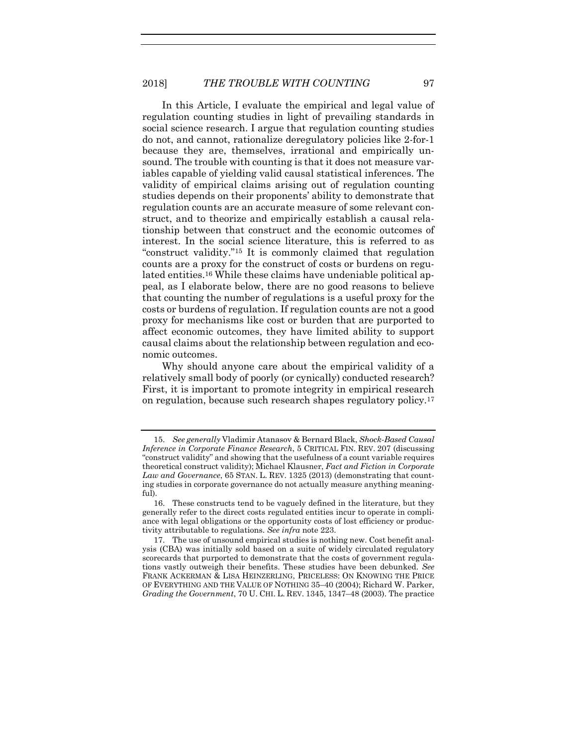In this Article, I evaluate the empirical and legal value of regulation counting studies in light of prevailing standards in social science research. I argue that regulation counting studies do not, and cannot, rationalize deregulatory policies like 2-for-1 because they are, themselves, irrational and empirically unsound. The trouble with counting is that it does not measure variables capable of yielding valid causal statistical inferences. The validity of empirical claims arising out of regulation counting studies depends on their proponents' ability to demonstrate that regulation counts are an accurate measure of some relevant construct, and to theorize and empirically establish a causal relationship between that construct and the economic outcomes of interest. In the social science literature, this is referred to as "construct validity." <sup>15</sup> It is commonly claimed that regulation counts are a proxy for the construct of costs or burdens on regulated entities.<sup>16</sup> While these claims have undeniable political appeal, as I elaborate below, there are no good reasons to believe that counting the number of regulations is a useful proxy for the costs or burdens of regulation. If regulation counts are not a good proxy for mechanisms like cost or burden that are purported to affect economic outcomes, they have limited ability to support causal claims about the relationship between regulation and economic outcomes.

<span id="page-5-1"></span><span id="page-5-0"></span>Why should anyone care about the empirical validity of a relatively small body of poorly (or cynically) conducted research? First, it is important to promote integrity in empirical research on regulation, because such research shapes regulatory policy.<sup>17</sup>

<sup>15.</sup> *See generally* Vladimir Atanasov & Bernard Black, *Shock-Based Causal Inference in Corporate Finance Research*, 5 CRITICAL FIN. REV. 207 (discussing "construct validity" and showing that the usefulness of a count variable requires theoretical construct validity); Michael Klausner, *Fact and Fiction in Corporate Law and Governance*, 65 STAN. L. REV. 1325 (2013) (demonstrating that counting studies in corporate governance do not actually measure anything meaningful).

<sup>16.</sup> These constructs tend to be vaguely defined in the literature, but they generally refer to the direct costs regulated entities incur to operate in compliance with legal obligations or the opportunity costs of lost efficiency or productivity attributable to regulations. *See infra* note [223.](#page-47-0)

<sup>17.</sup> The use of unsound empirical studies is nothing new. Cost benefit analysis (CBA) was initially sold based on a suite of widely circulated regulatory scorecards that purported to demonstrate that the costs of government regulations vastly outweigh their benefits. These studies have been debunked. *See*  FRANK ACKERMAN & LISA HEINZERLING, PRICELESS: ON KNOWING THE PRICE OF EVERYTHING AND THE VALUE OF NOTHING 35–40 (2004); Richard W. Parker, *Grading the Government*, 70 U. CHI. L. REV. 1345, 1347–48 (2003). The practice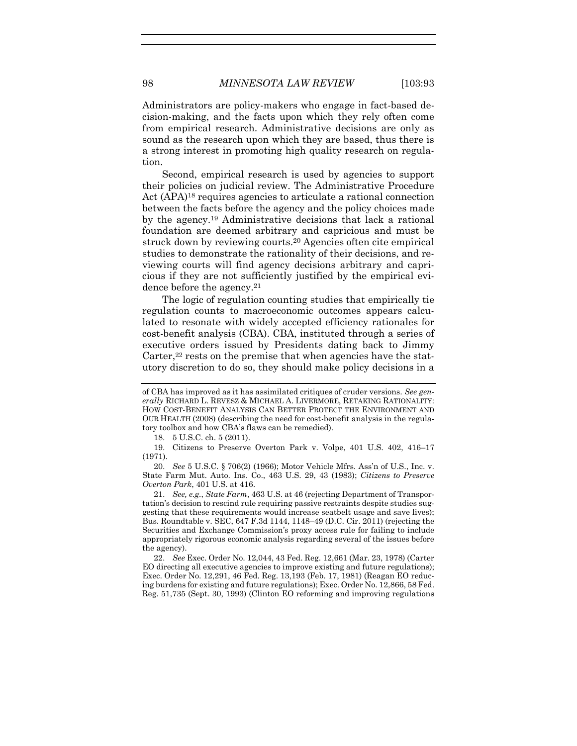Administrators are policy-makers who engage in fact-based decision-making, and the facts upon which they rely often come from empirical research. Administrative decisions are only as sound as the research upon which they are based, thus there is a strong interest in promoting high quality research on regulation.

Second, empirical research is used by agencies to support their policies on judicial review. The Administrative Procedure Act (APA)<sup>18</sup> requires agencies to articulate a rational connection between the facts before the agency and the policy choices made by the agency.<sup>19</sup> Administrative decisions that lack a rational foundation are deemed arbitrary and capricious and must be struck down by reviewing courts.<sup>20</sup> Agencies often cite empirical studies to demonstrate the rationality of their decisions, and reviewing courts will find agency decisions arbitrary and capricious if they are not sufficiently justified by the empirical evidence before the agency.<sup>21</sup>

The logic of regulation counting studies that empirically tie regulation counts to macroeconomic outcomes appears calculated to resonate with widely accepted efficiency rationales for cost-benefit analysis (CBA). CBA, instituted through a series of executive orders issued by Presidents dating back to Jimmy Carter,<sup>22</sup> rests on the premise that when agencies have the statutory discretion to do so, they should make policy decisions in a

18. 5 U.S.C. ch. 5 (2011).

19. Citizens to Preserve Overton Park v. Volpe, 401 U.S. 402, 416–17 (1971).

20. *See* 5 U.S.C. § 706(2) (1966); Motor Vehicle Mfrs. Ass'n of U.S., Inc. v. State Farm Mut. Auto. Ins. Co., 463 U.S. 29, 43 (1983); *Citizens to Preserve Overton Park*, 401 U.S. at 416.

21. *See, e.g.*, *State Farm*, 463 U.S. at 46 (rejecting Department of Transportation's decision to rescind rule requiring passive restraints despite studies suggesting that these requirements would increase seatbelt usage and save lives); Bus. Roundtable v. SEC, 647 F.3d 1144, 1148–49 (D.C. Cir. 2011) (rejecting the Securities and Exchange Commission's proxy access rule for failing to include appropriately rigorous economic analysis regarding several of the issues before the agency).

22. *See* Exec. Order No. 12,044, 43 Fed. Reg. 12,661 (Mar. 23, 1978) (Carter EO directing all executive agencies to improve existing and future regulations); Exec. Order No. 12,291, 46 Fed. Reg. 13,193 (Feb. 17, 1981) (Reagan EO reducing burdens for existing and future regulations); Exec. Order No. 12,866, 58 Fed. Reg. 51,735 (Sept. 30, 1993) (Clinton EO reforming and improving regulations

of CBA has improved as it has assimilated critiques of cruder versions. *See generally* RICHARD L. REVESZ & MICHAEL A. LIVERMORE, RETAKING RATIONALITY: HOW COST-BENEFIT ANALYSIS CAN BETTER PROTECT THE ENVIRONMENT AND OUR HEALTH (2008) (describing the need for cost-benefit analysis in the regulatory toolbox and how CBA's flaws can be remedied).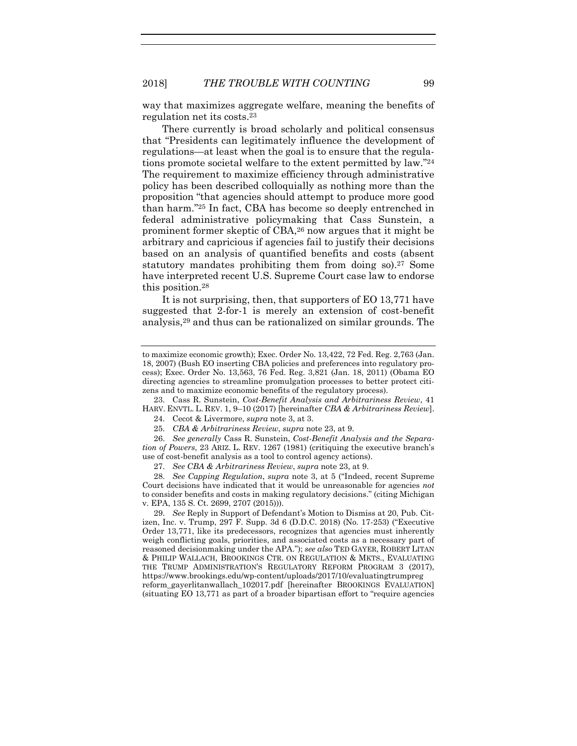<span id="page-7-0"></span>way that maximizes aggregate welfare, meaning the benefits of regulation net its costs.<sup>23</sup>

There currently is broad scholarly and political consensus that "Presidents can legitimately influence the development of regulations—at least when the goal is to ensure that the regulations promote societal welfare to the extent permitted by law." 24 The requirement to maximize efficiency through administrative policy has been described colloquially as nothing more than the proposition "that agencies should attempt to produce more good than harm." <sup>25</sup> In fact, CBA has become so deeply entrenched in federal administrative policymaking that Cass Sunstein, a prominent former skeptic of CBA,<sup>26</sup> now argues that it might be arbitrary and capricious if agencies fail to justify their decisions based on an analysis of quantified benefits and costs (absent statutory mandates prohibiting them from doing so).<sup>27</sup> Some have interpreted recent U.S. Supreme Court case law to endorse this position.<sup>28</sup>

<span id="page-7-1"></span>It is not surprising, then, that supporters of EO 13,771 have suggested that 2-for-1 is merely an extension of cost-benefit analysis,<sup>29</sup> and thus can be rationalized on similar grounds. The

23. Cass R. Sunstein, *Cost-Benefit Analysis and Arbitrariness Review*, 41 HARV. ENVTL. L. REV. 1, 9–10 (2017) [hereinafter *CBA & Arbitrariness Review*].

24. Cecot & Livermore, *supra* note [3,](#page-2-2) at 3.

27. *See CBA & Arbitrariness Review*, *supra* note [23,](#page-7-0) at 9.

28. *See Capping Regulation*, *supra* note [3,](#page-2-2) at 5 ("Indeed, recent Supreme Court decisions have indicated that it would be unreasonable for agencies *not* to consider benefits and costs in making regulatory decisions." (citing Michigan v. EPA, 135 S. Ct. 2699, 2707 (2015))).

29. *See* Reply in Support of Defendant's Motion to Dismiss at 20, Pub. Citizen, Inc. v. Trump, 297 F. Supp. 3d 6 (D.D.C. 2018) (No. 17-253) ("Executive Order 13,771, like its predecessors, recognizes that agencies must inherently weigh conflicting goals, priorities, and associated costs as a necessary part of reasoned decisionmaking under the APA."); *see also* TED GAYER, ROBERT LITAN & PHILIP WALLACH, BROOKINGS CTR. ON REGULATION & MKTS., EVALUATING THE TRUMP ADMINISTRATION'S REGULATORY REFORM PROGRAM 3 (2017), https://www.brookings.edu/wp-content/uploads/2017/10/evaluatingtrumpreg reform\_gayerlitanwallach\_102017.pdf [hereinafter BROOKINGS EVALUATION] (situating EO 13,771 as part of a broader bipartisan effort to "require agencies

to maximize economic growth); Exec. Order No. 13,422, 72 Fed. Reg. 2,763 (Jan. 18, 2007) (Bush EO inserting CBA policies and preferences into regulatory process); Exec. Order No. 13,563, 76 Fed. Reg. 3,821 (Jan. 18, 2011) (Obama EO directing agencies to streamline promulgation processes to better protect citizens and to maximize economic benefits of the regulatory process).

<sup>25.</sup> *CBA & Arbitrariness Review*, *supra* not[e 23,](#page-7-0) at 9.

<sup>26.</sup> *See generally* Cass R. Sunstein, *Cost-Benefit Analysis and the Separation of Powers*, 23 ARIZ. L. REV. 1267 (1981) (critiquing the executive branch's use of cost-benefit analysis as a tool to control agency actions).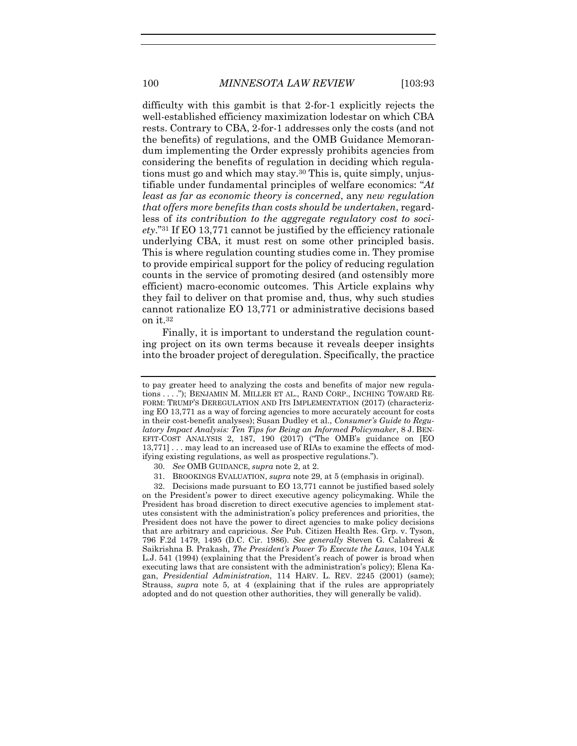difficulty with this gambit is that 2-for-1 explicitly rejects the well-established efficiency maximization lodestar on which CBA rests. Contrary to CBA, 2-for-1 addresses only the costs (and not the benefits) of regulations, and the OMB Guidance Memorandum implementing the Order expressly prohibits agencies from considering the benefits of regulation in deciding which regulations must go and which may stay.<sup>30</sup> This is, quite simply, unjustifiable under fundamental principles of welfare economics: "*At least as far as economic theory is concerned*, any *new regulation that offers more benefits than costs should be undertaken*, regardless of *its contribution to the aggregate regulatory cost to society*." <sup>31</sup> If EO 13,771 cannot be justified by the efficiency rationale underlying CBA, it must rest on some other principled basis. This is where regulation counting studies come in. They promise to provide empirical support for the policy of reducing regulation counts in the service of promoting desired (and ostensibly more efficient) macro-economic outcomes. This Article explains why they fail to deliver on that promise and, thus, why such studies cannot rationalize EO 13,771 or administrative decisions based on it.<sup>32</sup>

Finally, it is important to understand the regulation counting project on its own terms because it reveals deeper insights into the broader project of deregulation. Specifically, the practice

31. BROOKINGS EVALUATION, *supra* note [29,](#page-7-1) at 5 (emphasis in original).

32. Decisions made pursuant to EO 13,771 cannot be justified based solely on the President's power to direct executive agency policymaking. While the President has broad discretion to direct executive agencies to implement statutes consistent with the administration's policy preferences and priorities, the President does not have the power to direct agencies to make policy decisions that are arbitrary and capricious. *See* Pub. Citizen Health Res. Grp. v. Tyson, 796 F.2d 1479, 1495 (D.C. Cir. 1986). *See generally* Steven G. Calabresi & Saikrishna B. Prakash, *The President's Power To Execute the Laws*, 104 YALE L.J. 541 (1994) (explaining that the President's reach of power is broad when executing laws that are consistent with the administration's policy); Elena Kagan, *Presidential Administration*, 114 HARV. L. REV. 2245 (2001) (same); Strauss, *supra* note [5,](#page-2-1) at 4 (explaining that if the rules are appropriately adopted and do not question other authorities, they will generally be valid).

to pay greater heed to analyzing the costs and benefits of major new regulations . . . ."); BENJAMIN M. MILLER ET AL., RAND CORP., INCHING TOWARD RE-FORM: TRUMP'S DEREGULATION AND ITS IMPLEMENTATION (2017) (characterizing EO 13,771 as a way of forcing agencies to more accurately account for costs in their cost-benefit analyses); Susan Dudley et al., *Consumer's Guide to Regulatory Impact Analysis: Ten Tips for Being an Informed Policymaker*, 8 J. BEN-EFIT-COST ANALYSIS 2, 187, 190 (2017) ("The OMB's guidance on [EO 13,771] . . . may lead to an increased use of RIAs to examine the effects of modifying existing regulations, as well as prospective regulations.").

<sup>30.</sup> *See* OMB GUIDANCE, *supra* not[e 2,](#page-2-3) at 2.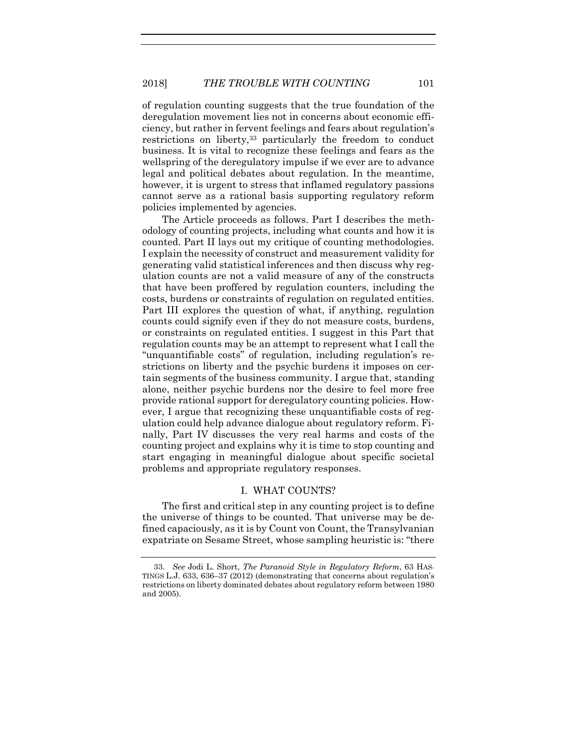<span id="page-9-0"></span>of regulation counting suggests that the true foundation of the deregulation movement lies not in concerns about economic efficiency, but rather in fervent feelings and fears about regulation's restrictions on liberty,<sup>33</sup> particularly the freedom to conduct business. It is vital to recognize these feelings and fears as the wellspring of the deregulatory impulse if we ever are to advance legal and political debates about regulation. In the meantime, however, it is urgent to stress that inflamed regulatory passions cannot serve as a rational basis supporting regulatory reform policies implemented by agencies.

The Article proceeds as follows. Part I describes the methodology of counting projects, including what counts and how it is counted. Part II lays out my critique of counting methodologies. I explain the necessity of construct and measurement validity for generating valid statistical inferences and then discuss why regulation counts are not a valid measure of any of the constructs that have been proffered by regulation counters, including the costs, burdens or constraints of regulation on regulated entities. Part III explores the question of what, if anything, regulation counts could signify even if they do not measure costs, burdens, or constraints on regulated entities. I suggest in this Part that regulation counts may be an attempt to represent what I call the "unquantifiable costs" of regulation, including regulation's restrictions on liberty and the psychic burdens it imposes on certain segments of the business community. I argue that, standing alone, neither psychic burdens nor the desire to feel more free provide rational support for deregulatory counting policies. However, I argue that recognizing these unquantifiable costs of regulation could help advance dialogue about regulatory reform. Finally, Part IV discusses the very real harms and costs of the counting project and explains why it is time to stop counting and start engaging in meaningful dialogue about specific societal problems and appropriate regulatory responses.

# I. WHAT COUNTS?

The first and critical step in any counting project is to define the universe of things to be counted. That universe may be defined capaciously, as it is by Count von Count, the Transylvanian expatriate on Sesame Street, whose sampling heuristic is: "there

<sup>33.</sup> *See* Jodi L. Short, *The Paranoid Style in Regulatory Reform*, 63 HAS-TINGS L.J. 633, 636–37 (2012) (demonstrating that concerns about regulation's restrictions on liberty dominated debates about regulatory reform between 1980 and 2005).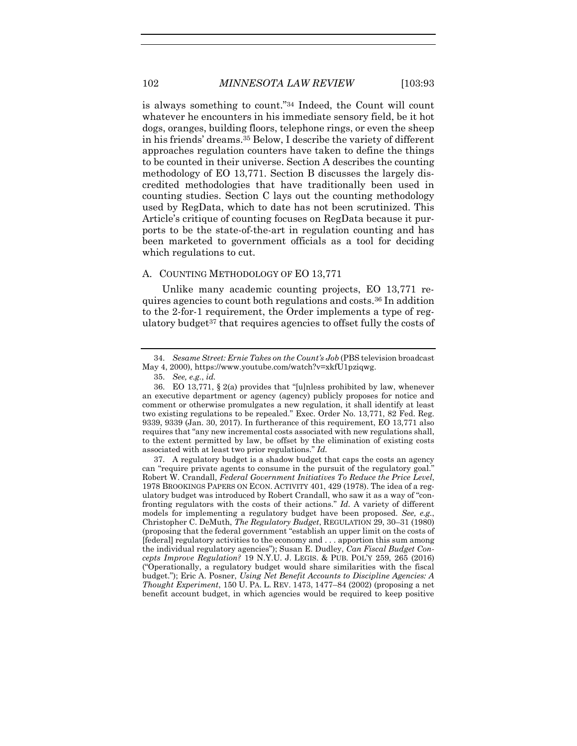is always something to count." <sup>34</sup> Indeed, the Count will count whatever he encounters in his immediate sensory field, be it hot dogs, oranges, building floors, telephone rings, or even the sheep in his friends' dreams.<sup>35</sup> Below, I describe the variety of different approaches regulation counters have taken to define the things to be counted in their universe. Section A describes the counting methodology of EO 13,771. Section B discusses the largely discredited methodologies that have traditionally been used in counting studies. Section C lays out the counting methodology used by RegData, which to date has not been scrutinized. This Article's critique of counting focuses on RegData because it purports to be the state-of-the-art in regulation counting and has been marketed to government officials as a tool for deciding which regulations to cut.

#### A. COUNTING METHODOLOGY OF EO 13,771

<span id="page-10-0"></span>Unlike many academic counting projects, EO 13,771 requires agencies to count both regulations and costs.<sup>36</sup> In addition to the 2-for-1 requirement, the Order implements a type of regulatory budget<sup>37</sup> that requires agencies to offset fully the costs of

<sup>34.</sup> *Sesame Street: Ernie Takes on the Count's Job* (PBS television broadcast May 4, 2000), https://www.youtube.com/watch?v=xkfU1pziqwg.

<sup>35.</sup> *See, e.g.*, *id.*

<sup>36.</sup> EO 13,771, § 2(a) provides that "[u]nless prohibited by law, whenever an executive department or agency (agency) publicly proposes for notice and comment or otherwise promulgates a new regulation, it shall identify at least two existing regulations to be repealed." Exec. Order No. 13,771, 82 Fed. Reg. 9339, 9339 (Jan. 30, 2017). In furtherance of this requirement, EO 13,771 also requires that "any new incremental costs associated with new regulations shall, to the extent permitted by law, be offset by the elimination of existing costs associated with at least two prior regulations." *Id.*

<sup>37.</sup> A regulatory budget is a shadow budget that caps the costs an agency can "require private agents to consume in the pursuit of the regulatory goal." Robert W. Crandall, *Federal Government Initiatives To Reduce the Price Level*, 1978 BROOKINGS PAPERS ON ECON. ACTIVITY 401, 429 (1978). The idea of a regulatory budget was introduced by Robert Crandall, who saw it as a way of "confronting regulators with the costs of their actions." *Id.* A variety of different models for implementing a regulatory budget have been proposed. *See, e.g.*, Christopher C. DeMuth, *The Regulatory Budget*, REGULATION 29, 30–31 (1980) (proposing that the federal government "establish an upper limit on the costs of [federal] regulatory activities to the economy and . . . apportion this sum among the individual regulatory agencies"); Susan E. Dudley, *Can Fiscal Budget Concepts Improve Regulation?* 19 N.Y.U. J. LEGIS. & PUB. POL'Y 259, 265 (2016) ("Operationally, a regulatory budget would share similarities with the fiscal budget."); Eric A. Posner, *Using Net Benefit Accounts to Discipline Agencies: A Thought Experiment*, 150 U. PA. L. REV. 1473, 1477–84 (2002) (proposing a net benefit account budget, in which agencies would be required to keep positive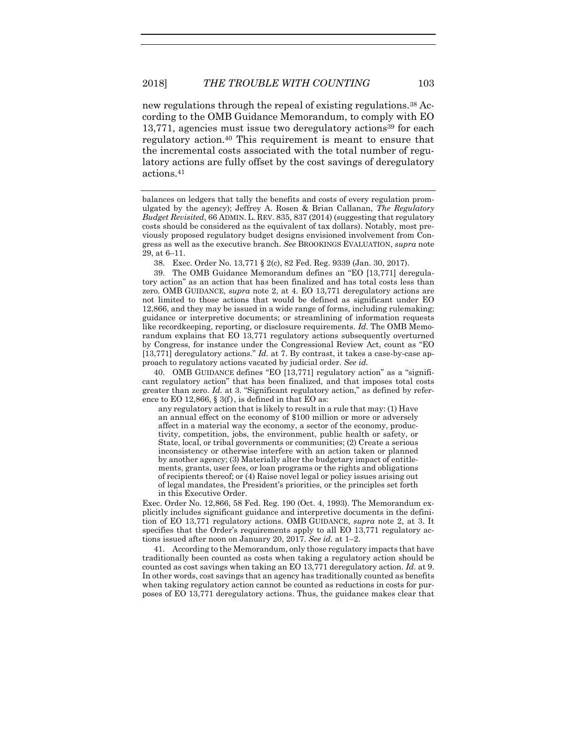new regulations through the repeal of existing regulations.<sup>38</sup> According to the OMB Guidance Memorandum, to comply with EO 13,771, agencies must issue two deregulatory actions<sup>39</sup> for each regulatory action.<sup>40</sup> This requirement is meant to ensure that the incremental costs associated with the total number of regulatory actions are fully offset by the cost savings of deregulatory actions.<sup>41</sup>

38. Exec. Order No. 13,771 § 2(c), 82 Fed. Reg. 9339 (Jan. 30, 2017).

39. The OMB Guidance Memorandum defines an "EO [13,771] deregulatory action" as an action that has been finalized and has total costs less than zero. OMB GUIDANCE, *supra* note [2,](#page-2-3) at 4. EO 13,771 deregulatory actions are not limited to those actions that would be defined as significant under EO 12,866, and they may be issued in a wide range of forms, including rulemaking; guidance or interpretive documents; or streamlining of information requests like recordkeeping, reporting, or disclosure requirements. *Id.* The OMB Memorandum explains that EO 13,771 regulatory actions subsequently overturned by Congress, for instance under the Congressional Review Act, count as "EO [13,771] deregulatory actions." *Id.* at 7. By contrast, it takes a case-by-case approach to regulatory actions vacated by judicial order. *See id.*

40. OMB GUIDANCE defines "EO [13,771] regulatory action" as a "significant regulatory action" that has been finalized, and that imposes total costs greater than zero. *Id.* at 3. "Significant regulatory action," as defined by reference to EO 12,866,  $\S 3(f)$ , is defined in that EO as:

any regulatory action that is likely to result in a rule that may: (1) Have an annual effect on the economy of \$100 million or more or adversely affect in a material way the economy, a sector of the economy, productivity, competition, jobs, the environment, public health or safety, or State, local, or tribal governments or communities; (2) Create a serious inconsistency or otherwise interfere with an action taken or planned by another agency; (3) Materially alter the budgetary impact of entitlements, grants, user fees, or loan programs or the rights and obligations of recipients thereof; or (4) Raise novel legal or policy issues arising out of legal mandates, the President's priorities, or the principles set forth in this Executive Order.

Exec. Order No. 12,866, 58 Fed. Reg. 190 (Oct. 4, 1993). The Memorandum explicitly includes significant guidance and interpretive documents in the definition of EO 13,771 regulatory actions. OMB GUIDANCE, *supra* note [2,](#page-2-3) at 3. It specifies that the Order's requirements apply to all EO 13,771 regulatory actions issued after noon on January 20, 2017. *See id.* at 1–2.

41. According to the Memorandum, only those regulatory impacts that have traditionally been counted as costs when taking a regulatory action should be counted as cost savings when taking an EO 13,771 deregulatory action. *Id.* at 9. In other words, cost savings that an agency has traditionally counted as benefits when taking regulatory action cannot be counted as reductions in costs for purposes of EO 13,771 deregulatory actions. Thus, the guidance makes clear that

balances on ledgers that tally the benefits and costs of every regulation promulgated by the agency); Jeffrey A. Rosen & Brian Callanan, *The Regulatory Budget Revisited*, 66 ADMIN. L. REV. 835, 837 (2014) (suggesting that regulatory costs should be considered as the equivalent of tax dollars). Notably, most previously proposed regulatory budget designs envisioned involvement from Congress as well as the executive branch. *See* BROOKINGS EVALUATION, *supra* note [29,](#page-7-1) at 6–11.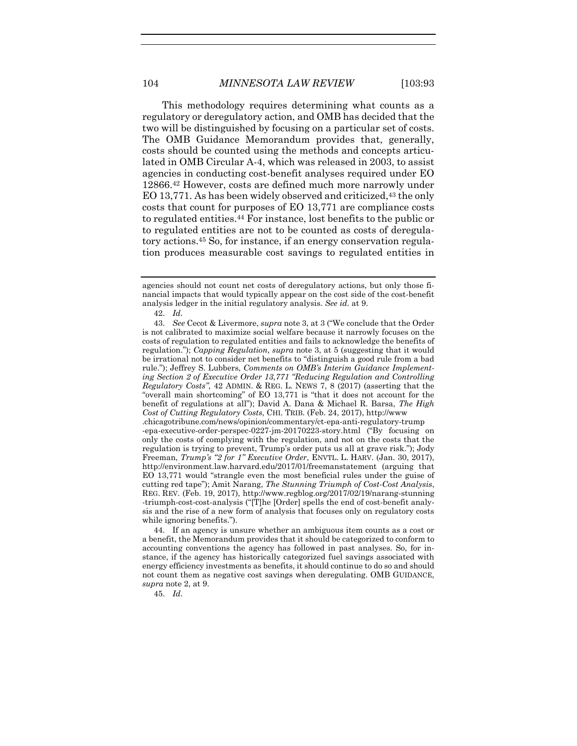<span id="page-12-0"></span>This methodology requires determining what counts as a regulatory or deregulatory action, and OMB has decided that the two will be distinguished by focusing on a particular set of costs. The OMB Guidance Memorandum provides that, generally, costs should be counted using the methods and concepts articulated in OMB Circular A-4, which was released in 2003, to assist agencies in conducting cost-benefit analyses required under EO 12866.<sup>42</sup> However, costs are defined much more narrowly under EO 13,771. As has been widely observed and criticized,<sup>43</sup> the only costs that count for purposes of EO 13,771 are compliance costs to regulated entities.<sup>44</sup> For instance, lost benefits to the public or to regulated entities are not to be counted as costs of deregulatory actions.<sup>45</sup> So, for instance, if an energy conservation regulation produces measurable cost savings to regulated entities in

44. If an agency is unsure whether an ambiguous item counts as a cost or a benefit, the Memorandum provides that it should be categorized to conform to accounting conventions the agency has followed in past analyses. So, for instance, if the agency has historically categorized fuel savings associated with energy efficiency investments as benefits, it should continue to do so and should not count them as negative cost savings when deregulating. OMB GUIDANCE, *supra* note [2,](#page-2-3) at 9.

45. *Id.*

agencies should not count net costs of deregulatory actions, but only those financial impacts that would typically appear on the cost side of the cost-benefit analysis ledger in the initial regulatory analysis. *See id.* at 9.

<sup>42.</sup> *Id.*

<sup>43.</sup> *See* Cecot & Livermore, *supra* not[e 3,](#page-2-2) at 3 ("We conclude that the Order is not calibrated to maximize social welfare because it narrowly focuses on the costs of regulation to regulated entities and fails to acknowledge the benefits of regulation."); *Capping Regulation*, *supra* note [3,](#page-2-2) at 5 (suggesting that it would be irrational not to consider net benefits to "distinguish a good rule from a bad rule."); Jeffrey S. Lubbers, *Comments on OMB's Interim Guidance Implementing Section 2 of Executive Order 13,771 "Reducing Regulation and Controlling Regulatory Costs"*, 42 ADMIN. & REG. L. NEWS 7, 8 (2017) (asserting that the "overall main shortcoming" of EO 13,771 is "that it does not account for the benefit of regulations at all"); David A. Dana & Michael R. Barsa, *The High Cost of Cutting Regulatory Costs*, CHI. TRIB. (Feb. 24, 2017), http://www .chicagotribune.com/news/opinion/commentary/ct-epa-anti-regulatory-trump -epa-executive-order-perspec-0227-jm-20170223-story.html ("By focusing on only the costs of complying with the regulation, and not on the costs that the regulation is trying to prevent, Trump's order puts us all at grave risk."); Jody Freeman, *Trump's "2 for 1" Executive Order*, ENVTL. L. HARV. (Jan. 30, 2017), http://environment.law.harvard.edu/2017/01/freemanstatement (arguing that EO 13,771 would "strangle even the most beneficial rules under the guise of cutting red tape"); Amit Narang, *The Stunning Triumph of Cost-Cost Analysis*, REG. REV. (Feb. 19, 2017), http://www.regblog.org/2017/02/19/narang-stunning -triumph-cost-cost-analysis ("[T]he [Order] spells the end of cost-benefit analysis and the rise of a new form of analysis that focuses only on regulatory costs while ignoring benefits.").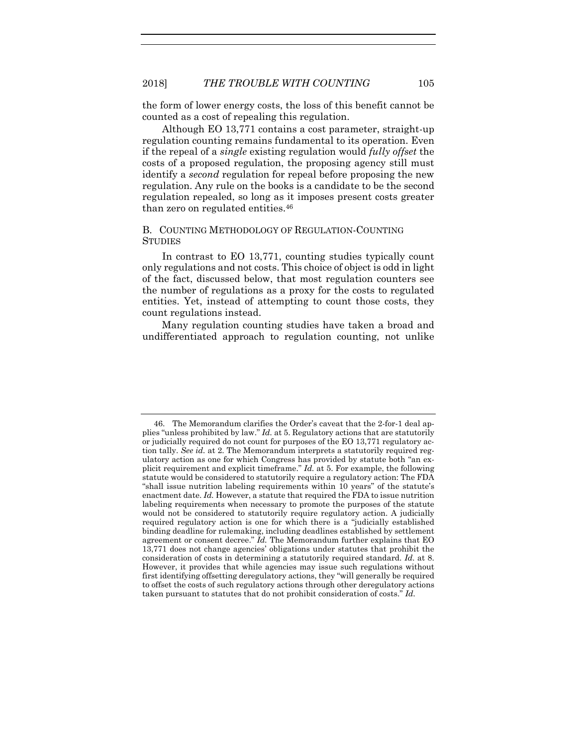the form of lower energy costs, the loss of this benefit cannot be counted as a cost of repealing this regulation.

Although EO 13,771 contains a cost parameter, straight-up regulation counting remains fundamental to its operation. Even if the repeal of a *single* existing regulation would *fully offset* the costs of a proposed regulation, the proposing agency still must identify a *second* regulation for repeal before proposing the new regulation. Any rule on the books is a candidate to be the second regulation repealed, so long as it imposes present costs greater than zero on regulated entities.<sup>46</sup>

# B. COUNTING METHODOLOGY OF REGULATION-COUNTING **STUDIES**

In contrast to EO 13,771, counting studies typically count only regulations and not costs. This choice of object is odd in light of the fact, discussed below, that most regulation counters see the number of regulations as a proxy for the costs to regulated entities. Yet, instead of attempting to count those costs, they count regulations instead.

Many regulation counting studies have taken a broad and undifferentiated approach to regulation counting, not unlike

<sup>46.</sup> The Memorandum clarifies the Order's caveat that the 2-for-1 deal applies "unless prohibited by law." *Id.* at 5. Regulatory actions that are statutorily or judicially required do not count for purposes of the EO 13,771 regulatory action tally. *See id.* at 2. The Memorandum interprets a statutorily required regulatory action as one for which Congress has provided by statute both "an explicit requirement and explicit timeframe." *Id.* at 5. For example, the following statute would be considered to statutorily require a regulatory action: The FDA "shall issue nutrition labeling requirements within 10 years" of the statute's enactment date. *Id.* However, a statute that required the FDA to issue nutrition labeling requirements when necessary to promote the purposes of the statute would not be considered to statutorily require regulatory action. A judicially required regulatory action is one for which there is a "judicially established binding deadline for rulemaking, including deadlines established by settlement agreement or consent decree." *Id.* The Memorandum further explains that EO 13,771 does not change agencies' obligations under statutes that prohibit the consideration of costs in determining a statutorily required standard. *Id.* at 8. However, it provides that while agencies may issue such regulations without first identifying offsetting deregulatory actions, they "will generally be required to offset the costs of such regulatory actions through other deregulatory actions taken pursuant to statutes that do not prohibit consideration of costs." *Id.*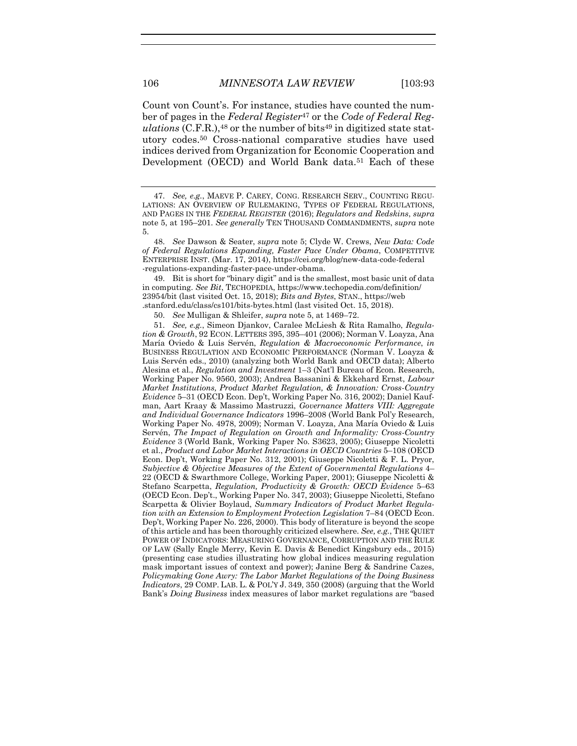Count von Count's. For instance, studies have counted the number of pages in the *Federal Register*<sup>47</sup> or the *Code of Federal Reg*ulations (C.F.R.),<sup>48</sup> or the number of bits<sup>49</sup> in digitized state statutory codes.<sup>50</sup> Cross-national comparative studies have used indices derived from Organization for Economic Cooperation and Development (OECD) and World Bank data.<sup>51</sup> Each of these

49. Bit is short for "binary digit" and is the smallest, most basic unit of data in computing. *See Bit*, TECHOPEDIA, https://www.techopedia.com/definition/ 23954/bit (last visited Oct. 15, 2018); *Bits and Bytes*, STAN., https://web .stanford.edu/class/cs101/bits-bytes.html (last visited Oct. 15, 2018).

50. *See* Mulligan & Shleifer, *supra* note [5,](#page-2-1) at 1469–72.

51. *See, e.g.*, Simeon Djankov, Caralee McLiesh & Rita Ramalho, *Regulation & Growth*, 92 ECON. LETTERS 395, 395–401 (2006); Norman V. Loayza, Ana María Oviedo & Luis Servén, *Regulation & Macroeconomic Performance*, *in*  BUSINESS REGULATION AND ECONOMIC PERFORMANCE (Norman V. Loayza & Luis Servén eds., 2010) (analyzing both World Bank and OECD data); Alberto Alesina et al., *Regulation and Investment* 1–3 (Nat'l Bureau of Econ. Research, Working Paper No. 9560, 2003); Andrea Bassanini & Ekkehard Ernst, *Labour Market Institutions, Product Market Regulation, & Innovation: Cross-Country Evidence* 5–31 (OECD Econ. Dep't, Working Paper No. 316, 2002); Daniel Kaufman, Aart Kraay & Massimo Mastruzzi, *Governance Matters VIII: Aggregate and Individual Governance Indicators* 1996–2008 (World Bank Pol'y Research, Working Paper No. 4978, 2009); Norman V. Loayza, Ana María Oviedo & Luis Servén, *The Impact of Regulation on Growth and Informality: Cross-Country Evidence* 3 (World Bank, Working Paper No. S3623, 2005); Giuseppe Nicoletti et al., *Product and Labor Market Interactions in OECD Countries* 5–108 (OECD Econ. Dep't, Working Paper No. 312, 2001); Giuseppe Nicoletti & F. L. Pryor, *Subjective & Objective Measures of the Extent of Governmental Regulations* 4– 22 (OECD & Swarthmore College, Working Paper, 2001); Giuseppe Nicoletti & Stefano Scarpetta, *Regulation, Productivity & Growth: OECD Evidence* 5–63 (OECD Econ. Dep't., Working Paper No. 347, 2003); Giuseppe Nicoletti, Stefano Scarpetta & Olivier Boylaud, *Summary Indicators of Product Market Regulation with an Extension to Employment Protection Legislation* 7–84 (OECD Econ. Dep't, Working Paper No. 226, 2000). This body of literature is beyond the scope of this article and has been thoroughly criticized elsewhere. *See, e.g.*, THE QUIET POWER OF INDICATORS: MEASURING GOVERNANCE, CORRUPTION AND THE RULE OF LAW (Sally Engle Merry, Kevin E. Davis & Benedict Kingsbury eds., 2015) (presenting case studies illustrating how global indices measuring regulation mask important issues of context and power); Janine Berg & Sandrine Cazes, *Policymaking Gone Awry: The Labor Market Regulations of the Doing Business Indicators*, 29 COMP. LAB. L. & POL'Y J. 349, 350 (2008) (arguing that the World Bank's *Doing Business* index measures of labor market regulations are "based

<sup>47.</sup> *See, e.g.*, MAEVE P. CAREY, CONG. RESEARCH SERV., COUNTING REGU-LATIONS: AN OVERVIEW OF RULEMAKING, TYPES OF FEDERAL REGULATIONS, AND PAGES IN THE *FEDERAL REGISTER* (2016); *Regulators and Redskins*, *supra*  not[e 5,](#page-2-1) at 195–201. *See generally* TEN THOUSAND COMMANDMENTS, *supra* note [5.](#page-2-1)

<sup>48.</sup> *See* Dawson & Seater, *supra* note [5;](#page-2-1) Clyde W. Crews, *New Data: Code of Federal Regulations Expanding, Faster Pace Under Obama*, COMPETITIVE ENTERPRISE INST. (Mar. 17, 2014), https://cei.org/blog/new-data-code-federal -regulations-expanding-faster-pace-under-obama.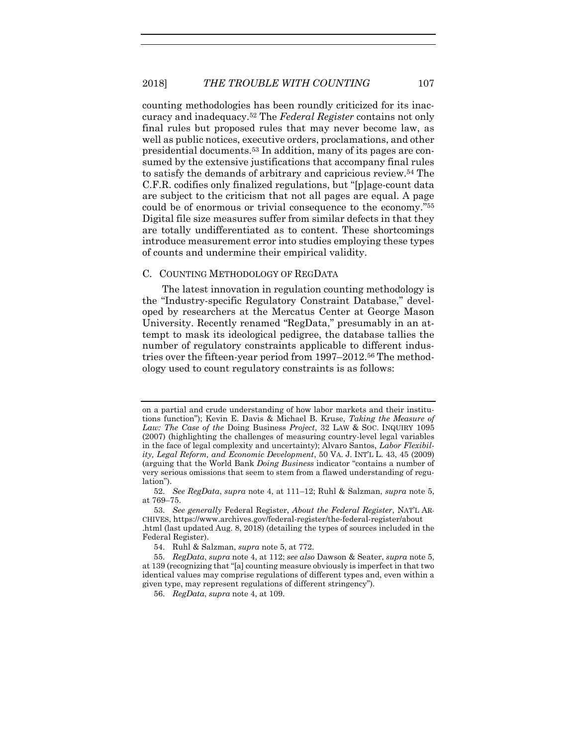counting methodologies has been roundly criticized for its inaccuracy and inadequacy.<sup>52</sup> The *Federal Register* contains not only final rules but proposed rules that may never become law, as well as public notices, executive orders, proclamations, and other presidential documents.<sup>53</sup> In addition, many of its pages are consumed by the extensive justifications that accompany final rules to satisfy the demands of arbitrary and capricious review.<sup>54</sup> The C.F.R. codifies only finalized regulations, but "[p]age-count data are subject to the criticism that not all pages are equal. A page could be of enormous or trivial consequence to the economy." 55 Digital file size measures suffer from similar defects in that they are totally undifferentiated as to content. These shortcomings introduce measurement error into studies employing these types of counts and undermine their empirical validity.

#### C. COUNTING METHODOLOGY OF REGDATA

The latest innovation in regulation counting methodology is the "Industry-specific Regulatory Constraint Database," developed by researchers at the Mercatus Center at George Mason University. Recently renamed "RegData," presumably in an attempt to mask its ideological pedigree, the database tallies the number of regulatory constraints applicable to different industries over the fifteen-year period from 1997–2012.<sup>56</sup> The methodology used to count regulatory constraints is as follows:

<span id="page-15-0"></span>on a partial and crude understanding of how labor markets and their institutions function"); Kevin E. Davis & Michael B. Kruse, *Taking the Measure of Law: The Case of the* Doing Business *Project*, 32 LAW & SOC. INQUIRY 1095 (2007) (highlighting the challenges of measuring country-level legal variables in the face of legal complexity and uncertainty); Alvaro Santos, *Labor Flexibility, Legal Reform, and Economic Development*, 50 VA. J. INT'L L. 43, 45 (2009) (arguing that the World Bank *Doing Business* indicator "contains a number of very serious omissions that seem to stem from a flawed understanding of regulation").

<sup>52.</sup> *See RegData*, *supra* note [4,](#page-2-0) at 111–12; Ruhl & Salzman, *supra* note [5,](#page-2-1) at 769–75.

<sup>53.</sup> *See generally* Federal Register, *About the Federal Register*, NAT'L AR-CHIVES, https://www.archives.gov/federal-register/the-federal-register/about .html (last updated Aug. 8, 2018) (detailing the types of sources included in the Federal Register).

<sup>54.</sup> Ruhl & Salzman, *supra* note [5,](#page-2-1) at 772.

<sup>55.</sup> *RegData*, *supra* note [4,](#page-2-0) at 112; *see also* Dawson & Seater, *supra* note [5,](#page-2-1) at 139 (recognizing that "[a] counting measure obviously is imperfect in that two identical values may comprise regulations of different types and, even within a given type, may represent regulations of different stringency").

<sup>56.</sup> *RegData*, *supra* note [4,](#page-2-0) at 109.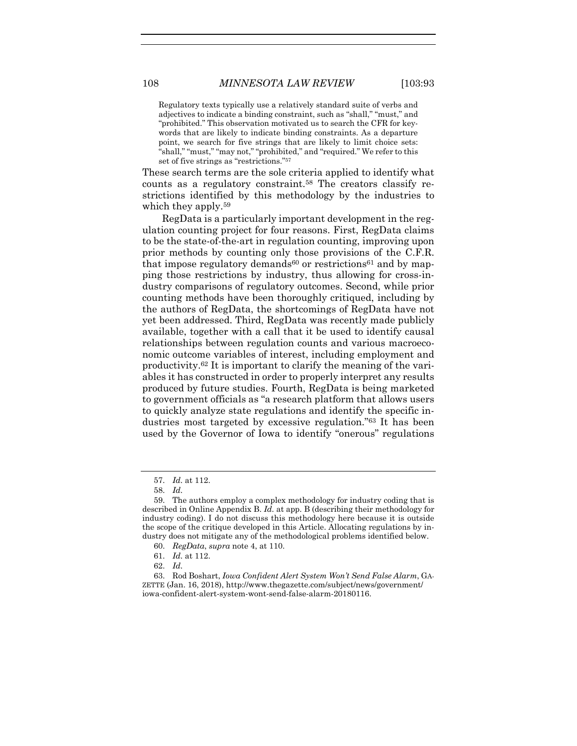Regulatory texts typically use a relatively standard suite of verbs and adjectives to indicate a binding constraint, such as "shall," "must," and "prohibited." This observation motivated us to search the CFR for keywords that are likely to indicate binding constraints. As a departure point, we search for five strings that are likely to limit choice sets: "shall," "must," "may not," "prohibited," and "required." We refer to this set of five strings as "restrictions." 57

These search terms are the sole criteria applied to identify what counts as a regulatory constraint.<sup>58</sup> The creators classify restrictions identified by this methodology by the industries to which they apply.<sup>59</sup>

<span id="page-16-0"></span>RegData is a particularly important development in the regulation counting project for four reasons. First, RegData claims to be the state-of-the-art in regulation counting, improving upon prior methods by counting only those provisions of the C.F.R. that impose regulatory demands<sup>60</sup> or restrictions<sup>61</sup> and by mapping those restrictions by industry, thus allowing for cross-industry comparisons of regulatory outcomes. Second, while prior counting methods have been thoroughly critiqued, including by the authors of RegData, the shortcomings of RegData have not yet been addressed. Third, RegData was recently made publicly available, together with a call that it be used to identify causal relationships between regulation counts and various macroeconomic outcome variables of interest, including employment and productivity.<sup>62</sup> It is important to clarify the meaning of the variables it has constructed in order to properly interpret any results produced by future studies. Fourth, RegData is being marketed to government officials as "a research platform that allows users to quickly analyze state regulations and identify the specific industries most targeted by excessive regulation." <sup>63</sup> It has been used by the Governor of Iowa to identify "onerous" regulations

- 61. *Id.* at 112.
- 62. *Id.*

<sup>57.</sup> *Id.* at 112.

<sup>58.</sup> *Id.*

<sup>59.</sup> The authors employ a complex methodology for industry coding that is described in Online Appendix B. *Id.* at app. B (describing their methodology for industry coding). I do not discuss this methodology here because it is outside the scope of the critique developed in this Article. Allocating regulations by industry does not mitigate any of the methodological problems identified below.

<sup>60.</sup> *RegData*, *supra* note [4,](#page-2-0) at 110.

<sup>63.</sup> Rod Boshart, *Iowa Confident Alert System Won't Send False Alarm*, GA-ZETTE (Jan. 16, 2018), http://www.thegazette.com/subject/news/government/ iowa-confident-alert-system-wont-send-false-alarm-20180116.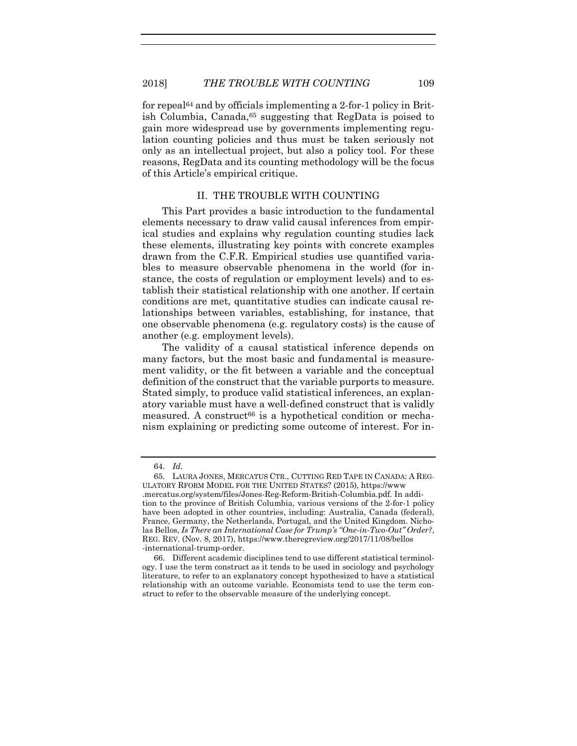for repeal<sup>64</sup> and by officials implementing a 2-for-1 policy in British Columbia, Canada,<sup>65</sup> suggesting that RegData is poised to gain more widespread use by governments implementing regulation counting policies and thus must be taken seriously not only as an intellectual project, but also a policy tool. For these reasons, RegData and its counting methodology will be the focus of this Article's empirical critique.

#### <span id="page-17-0"></span>II. THE TROUBLE WITH COUNTING

This Part provides a basic introduction to the fundamental elements necessary to draw valid causal inferences from empirical studies and explains why regulation counting studies lack these elements, illustrating key points with concrete examples drawn from the C.F.R. Empirical studies use quantified variables to measure observable phenomena in the world (for instance, the costs of regulation or employment levels) and to establish their statistical relationship with one another. If certain conditions are met, quantitative studies can indicate causal relationships between variables, establishing, for instance, that one observable phenomena (e.g. regulatory costs) is the cause of another (e.g. employment levels).

The validity of a causal statistical inference depends on many factors, but the most basic and fundamental is measurement validity, or the fit between a variable and the conceptual definition of the construct that the variable purports to measure. Stated simply, to produce valid statistical inferences, an explanatory variable must have a well-defined construct that is validly measured. A construct<sup>66</sup> is a hypothetical condition or mechanism explaining or predicting some outcome of interest. For in-

<sup>64.</sup> *Id.*

<sup>65.</sup> LAURA JONES, MERCATUS CTR., CUTTING RED TAPE IN CANADA: A REG-ULATORY RFORM MODEL FOR THE UNITED STATES? (2015), https://www .mercatus.org/system/files/Jones-Reg-Reform-British-Columbia.pdf. In addition to the province of British Columbia, various versions of the 2-for-1 policy have been adopted in other countries, including: Australia, Canada (federal), France, Germany, the Netherlands, Portugal, and the United Kingdom. Nicholas Bellos, *Is There an International Case for Trump's "One-in-Two-Out" Order?*, REG. REV. (Nov. 8, 2017), https://www.theregreview.org/2017/11/08/bellos -international-trump-order.

<sup>66.</sup> Different academic disciplines tend to use different statistical terminology. I use the term construct as it tends to be used in sociology and psychology literature, to refer to an explanatory concept hypothesized to have a statistical relationship with an outcome variable. Economists tend to use the term construct to refer to the observable measure of the underlying concept.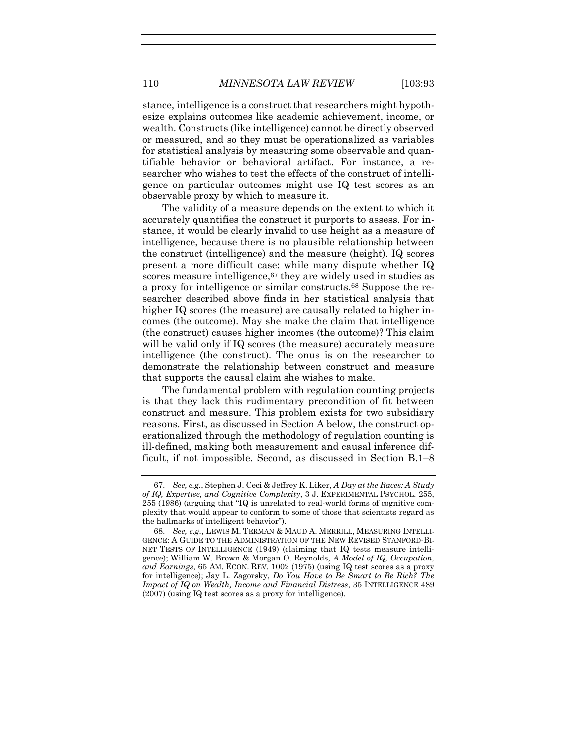stance, intelligence is a construct that researchers might hypothesize explains outcomes like academic achievement, income, or wealth. Constructs (like intelligence) cannot be directly observed or measured, and so they must be operationalized as variables for statistical analysis by measuring some observable and quantifiable behavior or behavioral artifact. For instance, a researcher who wishes to test the effects of the construct of intelligence on particular outcomes might use IQ test scores as an observable proxy by which to measure it.

The validity of a measure depends on the extent to which it accurately quantifies the construct it purports to assess. For instance, it would be clearly invalid to use height as a measure of intelligence, because there is no plausible relationship between the construct (intelligence) and the measure (height). IQ scores present a more difficult case: while many dispute whether IQ scores measure intelligence, <sup>67</sup> they are widely used in studies as a proxy for intelligence or similar constructs.<sup>68</sup> Suppose the researcher described above finds in her statistical analysis that higher IQ scores (the measure) are causally related to higher incomes (the outcome). May she make the claim that intelligence (the construct) causes higher incomes (the outcome)? This claim will be valid only if IQ scores (the measure) accurately measure intelligence (the construct). The onus is on the researcher to demonstrate the relationship between construct and measure that supports the causal claim she wishes to make.

The fundamental problem with regulation counting projects is that they lack this rudimentary precondition of fit between construct and measure. This problem exists for two subsidiary reasons. First, as discussed in Section A below, the construct operationalized through the methodology of regulation counting is ill-defined, making both measurement and causal inference difficult, if not impossible. Second, as discussed in Section B.1–8

<sup>67.</sup> *See, e.g.*, Stephen J. Ceci & Jeffrey K. Liker, *A Day at the Races: A Study of IQ, Expertise, and Cognitive Complexity*, 3 J. EXPERIMENTAL PSYCHOL. 255, 255 (1986) (arguing that "IQ is unrelated to real-world forms of cognitive complexity that would appear to conform to some of those that scientists regard as the hallmarks of intelligent behavior").

<sup>68.</sup> *See, e.g.*, LEWIS M. TERMAN & MAUD A. MERRILL, MEASURING INTELLI-GENCE: A GUIDE TO THE ADMINISTRATION OF THE NEW REVISED STANFORD-BI-NET TESTS OF INTELLIGENCE (1949) (claiming that IQ tests measure intelligence); William W. Brown & Morgan O. Reynolds, *A Model of IQ, Occupation, and Earnings*, 65 AM. ECON. REV. 1002 (1975) (using IQ test scores as a proxy for intelligence); Jay L. Zagorsky, *Do You Have to Be Smart to Be Rich? The Impact of IQ on Wealth, Income and Financial Distress*, 35 INTELLIGENCE 489 (2007) (using IQ test scores as a proxy for intelligence).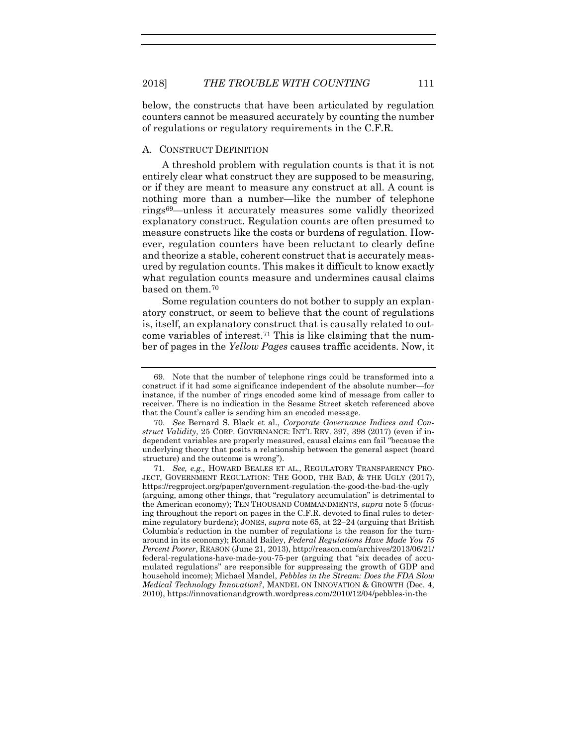below, the constructs that have been articulated by regulation counters cannot be measured accurately by counting the number of regulations or regulatory requirements in the C.F.R.

# A. CONSTRUCT DEFINITION

A threshold problem with regulation counts is that it is not entirely clear what construct they are supposed to be measuring, or if they are meant to measure any construct at all. A count is nothing more than a number—like the number of telephone rings69—unless it accurately measures some validly theorized explanatory construct. Regulation counts are often presumed to measure constructs like the costs or burdens of regulation. However, regulation counters have been reluctant to clearly define and theorize a stable, coherent construct that is accurately measured by regulation counts. This makes it difficult to know exactly what regulation counts measure and undermines causal claims based on them.<sup>70</sup>

<span id="page-19-1"></span><span id="page-19-0"></span>Some regulation counters do not bother to supply an explanatory construct, or seem to believe that the count of regulations is, itself, an explanatory construct that is causally related to outcome variables of interest.<sup>71</sup> This is like claiming that the number of pages in the *Yellow Pages* causes traffic accidents. Now, it

<sup>69.</sup> Note that the number of telephone rings could be transformed into a construct if it had some significance independent of the absolute number—for instance, if the number of rings encoded some kind of message from caller to receiver. There is no indication in the Sesame Street sketch referenced above that the Count's caller is sending him an encoded message.

<sup>70.</sup> *See* Bernard S. Black et al., *Corporate Governance Indices and Construct Validity*, 25 CORP. GOVERNANCE: INT'L REV. 397, 398 (2017) (even if independent variables are properly measured, causal claims can fail "because the underlying theory that posits a relationship between the general aspect (board structure) and the outcome is wrong").

<sup>71.</sup> *See, e.g.*, HOWARD BEALES ET AL., REGULATORY TRANSPARENCY PRO-JECT, GOVERNMENT REGULATION: THE GOOD, THE BAD, & THE UGLY (2017), https://regproject.org/paper/government-regulation-the-good-the-bad-the-ugly (arguing, among other things, that "regulatory accumulation" is detrimental to the American economy); TEN THOUSAND COMMANDMENTS, *supra* note [5](#page-2-1) (focusing throughout the report on pages in the C.F.R. devoted to final rules to determine regulatory burdens); JONES, *supra* note [65,](#page-17-0) at 22–24 (arguing that British Columbia's reduction in the number of regulations is the reason for the turnaround in its economy); Ronald Bailey, *Federal Regulations Have Made You 75 Percent Poorer*, REASON (June 21, 2013), http://reason.com/archives/2013/06/21/ federal-regulations-have-made-you-75-per (arguing that "six decades of accumulated regulations" are responsible for suppressing the growth of GDP and household income); Michael Mandel, *Pebbles in the Stream: Does the FDA Slow Medical Technology Innovation?*, MANDEL ON INNOVATION & GROWTH (Dec. 4, 2010), https://innovationandgrowth.wordpress.com/2010/12/04/pebbles-in-the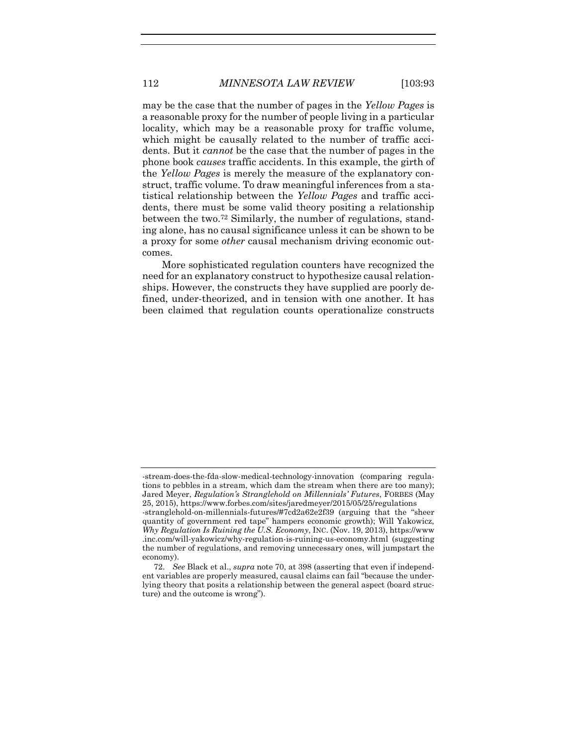may be the case that the number of pages in the *Yellow Pages* is a reasonable proxy for the number of people living in a particular locality, which may be a reasonable proxy for traffic volume, which might be causally related to the number of traffic accidents. But it *cannot* be the case that the number of pages in the phone book *causes* traffic accidents. In this example, the girth of the *Yellow Pages* is merely the measure of the explanatory construct, traffic volume. To draw meaningful inferences from a statistical relationship between the *Yellow Pages* and traffic accidents, there must be some valid theory positing a relationship between the two.<sup>72</sup> Similarly, the number of regulations, standing alone, has no causal significance unless it can be shown to be a proxy for some *other* causal mechanism driving economic outcomes.

More sophisticated regulation counters have recognized the need for an explanatory construct to hypothesize causal relationships. However, the constructs they have supplied are poorly defined, under-theorized, and in tension with one another. It has been claimed that regulation counts operationalize constructs

<sup>-</sup>stream-does-the-fda-slow-medical-technology-innovation (comparing regulations to pebbles in a stream, which dam the stream when there are too many); Jared Meyer, *Regulation's Stranglehold on Millennials' Futures*, FORBES (May 25, 2015), https://www.forbes.com/sites/jaredmeyer/2015/05/25/regulations

<sup>-</sup>stranglehold-on-millennials-futures/#7cd2a62e2f39 (arguing that the "sheer quantity of government red tape" hampers economic growth); Will Yakowicz, *Why Regulation Is Ruining the U.S. Economy*, INC. (Nov. 19, 2013), https://www .inc.com/will-yakowicz/why-regulation-is-ruining-us-economy.html (suggesting the number of regulations, and removing unnecessary ones, will jumpstart the economy).

<sup>72.</sup> *See* Black et al., *supra* note [70,](#page-19-0) at 398 (asserting that even if independent variables are properly measured, causal claims can fail "because the underlying theory that posits a relationship between the general aspect (board structure) and the outcome is wrong").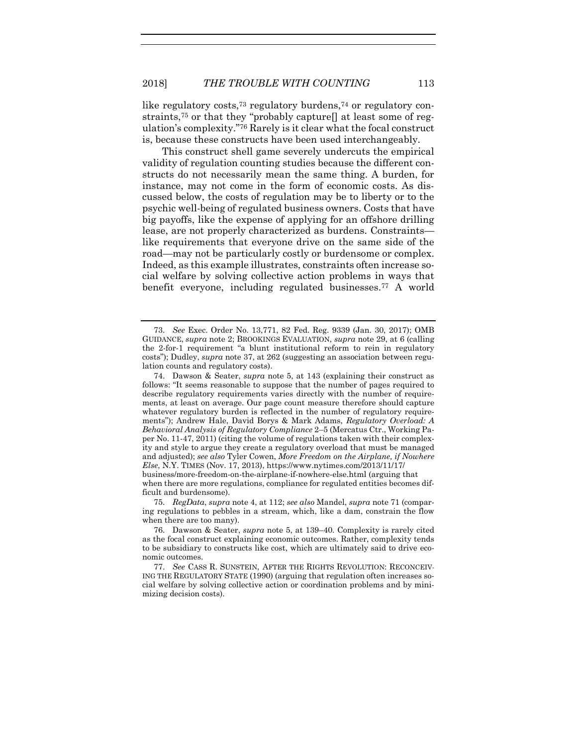like regulatory costs,<sup>73</sup> regulatory burdens,<sup>74</sup> or regulatory constraints,<sup>75</sup> or that they "probably capture[] at least some of regulation's complexity." <sup>76</sup> Rarely is it clear what the focal construct is, because these constructs have been used interchangeably.

This construct shell game severely undercuts the empirical validity of regulation counting studies because the different constructs do not necessarily mean the same thing. A burden, for instance, may not come in the form of economic costs. As discussed below, the costs of regulation may be to liberty or to the psychic well-being of regulated business owners. Costs that have big payoffs, like the expense of applying for an offshore drilling lease, are not properly characterized as burdens. Constraints like requirements that everyone drive on the same side of the road—may not be particularly costly or burdensome or complex. Indeed, as this example illustrates, constraints often increase social welfare by solving collective action problems in ways that benefit everyone, including regulated businesses.<sup>77</sup> A world

when there are more regulations, compliance for regulated entities becomes difficult and burdensome).

75. *RegData*, *supra* note [4,](#page-2-0) at 112; *see also* Mandel, *supra* not[e 71](#page-19-1) (comparing regulations to pebbles in a stream, which, like a dam, constrain the flow when there are too many).

<sup>73.</sup> *See* Exec. Order No. 13,771, 82 Fed. Reg. 9339 (Jan. 30, 2017); OMB GUIDANCE, *supra* not[e 2;](#page-2-3) BROOKINGS EVALUATION, *supra* note [29,](#page-7-1) at 6 (calling the 2-for-1 requirement "a blunt institutional reform to rein in regulatory costs"); Dudley, *supra* not[e 37,](#page-10-0) at 262 (suggesting an association between regulation counts and regulatory costs).

<sup>74.</sup> Dawson & Seater, *supra* note [5,](#page-2-1) at 143 (explaining their construct as follows: "It seems reasonable to suppose that the number of pages required to describe regulatory requirements varies directly with the number of requirements, at least on average. Our page count measure therefore should capture whatever regulatory burden is reflected in the number of regulatory requirements"); Andrew Hale, David Borys & Mark Adams, *Regulatory Overload: A Behavioral Analysis of Regulatory Compliance* 2–5 (Mercatus Ctr., Working Paper No. 11-47, 2011) (citing the volume of regulations taken with their complexity and style to argue they create a regulatory overload that must be managed and adjusted); *see also* Tyler Cowen, *More Freedom on the Airplane, if Nowhere Else*, N.Y. TIMES (Nov. 17, 2013), https://www.nytimes.com/2013/11/17/ business/more-freedom-on-the-airplane-if-nowhere-else.html (arguing that

<sup>76.</sup> Dawson & Seater, *supra* note [5,](#page-2-1) at 139–40. Complexity is rarely cited as the focal construct explaining economic outcomes. Rather, complexity tends to be subsidiary to constructs like cost, which are ultimately said to drive economic outcomes.

<sup>77.</sup> *See* CASS R. SUNSTEIN, AFTER THE RIGHTS REVOLUTION: RECONCEIV-ING THE REGULATORY STATE (1990) (arguing that regulation often increases social welfare by solving collective action or coordination problems and by minimizing decision costs).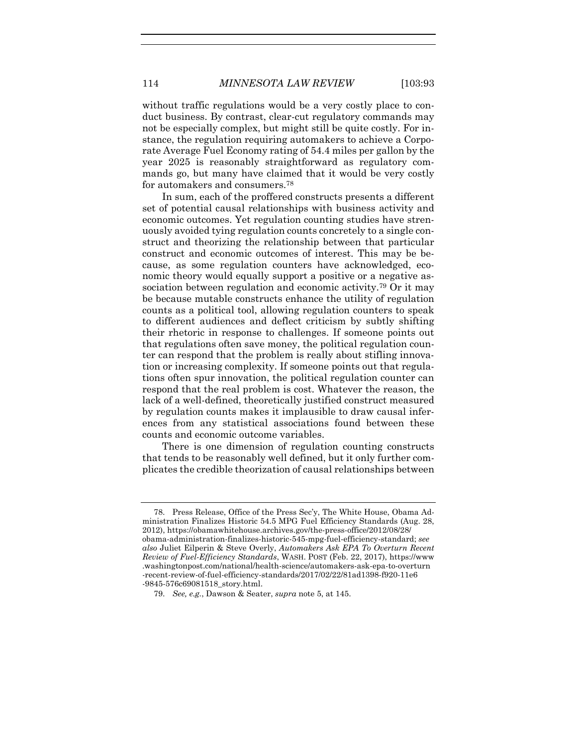114 *MINNESOTA LAW REVIEW* [103:93

without traffic regulations would be a very costly place to conduct business. By contrast, clear-cut regulatory commands may not be especially complex, but might still be quite costly. For instance, the regulation requiring automakers to achieve a Corporate Average Fuel Economy rating of 54.4 miles per gallon by the year 2025 is reasonably straightforward as regulatory commands go, but many have claimed that it would be very costly for automakers and consumers.<sup>78</sup>

In sum, each of the proffered constructs presents a different set of potential causal relationships with business activity and economic outcomes. Yet regulation counting studies have strenuously avoided tying regulation counts concretely to a single construct and theorizing the relationship between that particular construct and economic outcomes of interest. This may be because, as some regulation counters have acknowledged, economic theory would equally support a positive or a negative association between regulation and economic activity.<sup>79</sup> Or it may be because mutable constructs enhance the utility of regulation counts as a political tool, allowing regulation counters to speak to different audiences and deflect criticism by subtly shifting their rhetoric in response to challenges. If someone points out that regulations often save money, the political regulation counter can respond that the problem is really about stifling innovation or increasing complexity. If someone points out that regulations often spur innovation, the political regulation counter can respond that the real problem is cost. Whatever the reason, the lack of a well-defined, theoretically justified construct measured by regulation counts makes it implausible to draw causal inferences from any statistical associations found between these counts and economic outcome variables.

There is one dimension of regulation counting constructs that tends to be reasonably well defined, but it only further complicates the credible theorization of causal relationships between

<sup>78.</sup> Press Release, Office of the Press Sec'y, The White House, Obama Administration Finalizes Historic 54.5 MPG Fuel Efficiency Standards (Aug. 28, 2012), https://obamawhitehouse.archives.gov/the-press-office/2012/08/28/ obama-administration-finalizes-historic-545-mpg-fuel-efficiency-standard; *see also* Juliet Eilperin & Steve Overly, *Automakers Ask EPA To Overturn Recent Review of Fuel-Efficiency Standards*, WASH. POST (Feb. 22, 2017), https://www .washingtonpost.com/national/health-science/automakers-ask-epa-to-overturn -recent-review-of-fuel-efficiency-standards/2017/02/22/81ad1398-f920-11e6 -9845-576c69081518\_story.html.

<sup>79.</sup> *See, e.g.*, Dawson & Seater, *supra* note [5,](#page-2-1) at 145.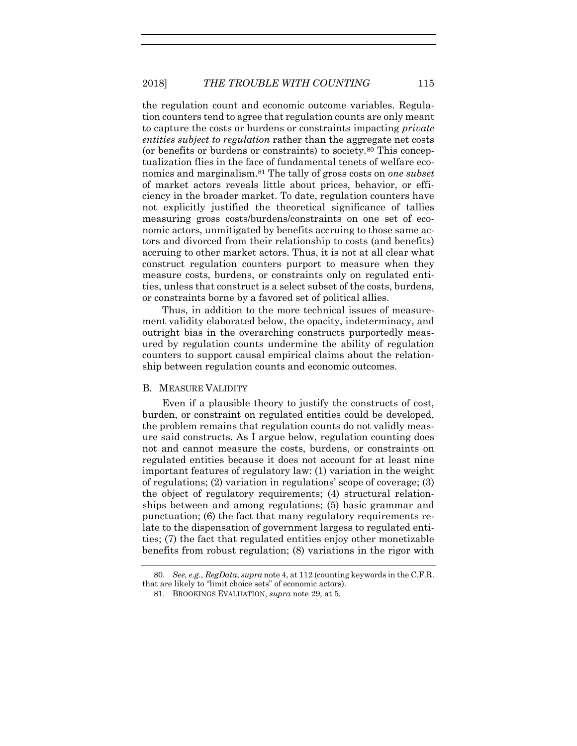the regulation count and economic outcome variables. Regulation counters tend to agree that regulation counts are only meant to capture the costs or burdens or constraints impacting *private entities subject to regulation* rather than the aggregate net costs (or benefits or burdens or constraints) to society.<sup>80</sup> This conceptualization flies in the face of fundamental tenets of welfare economics and marginalism.<sup>81</sup> The tally of gross costs on *one subset* of market actors reveals little about prices, behavior, or efficiency in the broader market. To date, regulation counters have not explicitly justified the theoretical significance of tallies measuring gross costs/burdens/constraints on one set of economic actors, unmitigated by benefits accruing to those same actors and divorced from their relationship to costs (and benefits) accruing to other market actors. Thus, it is not at all clear what construct regulation counters purport to measure when they measure costs, burdens, or constraints only on regulated entities, unless that construct is a select subset of the costs, burdens, or constraints borne by a favored set of political allies.

Thus, in addition to the more technical issues of measurement validity elaborated below, the opacity, indeterminacy, and outright bias in the overarching constructs purportedly measured by regulation counts undermine the ability of regulation counters to support causal empirical claims about the relationship between regulation counts and economic outcomes.

# B. MEASURE VALIDITY

Even if a plausible theory to justify the constructs of cost, burden, or constraint on regulated entities could be developed, the problem remains that regulation counts do not validly measure said constructs. As I argue below, regulation counting does not and cannot measure the costs, burdens, or constraints on regulated entities because it does not account for at least nine important features of regulatory law: (1) variation in the weight of regulations; (2) variation in regulations' scope of coverage; (3) the object of regulatory requirements; (4) structural relationships between and among regulations; (5) basic grammar and punctuation; (6) the fact that many regulatory requirements relate to the dispensation of government largess to regulated entities; (7) the fact that regulated entities enjoy other monetizable benefits from robust regulation; (8) variations in the rigor with

<sup>80.</sup> *See, e.g.*, *RegData*, *supra* not[e 4,](#page-2-0) at 112 (counting keywords in the C.F.R. that are likely to "limit choice sets" of economic actors).

<sup>81.</sup> BROOKINGS EVALUATION, *supra* note [29,](#page-7-1) at 5.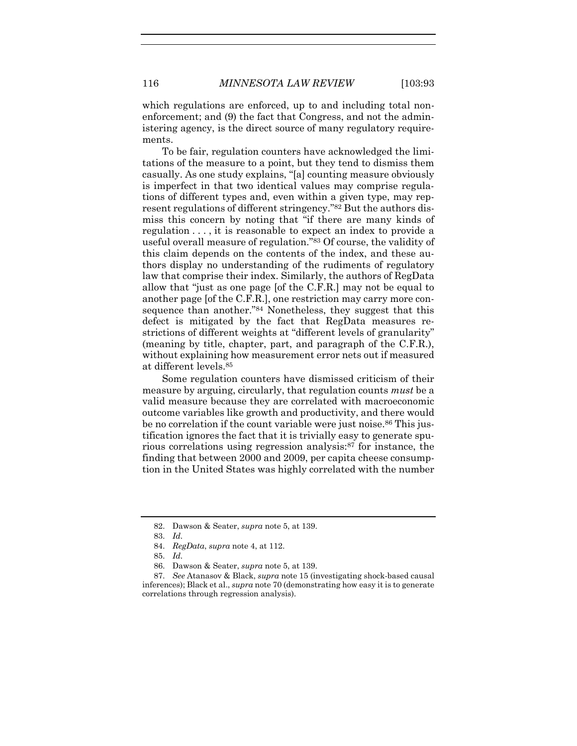which regulations are enforced, up to and including total nonenforcement; and (9) the fact that Congress, and not the administering agency, is the direct source of many regulatory requirements.

To be fair, regulation counters have acknowledged the limitations of the measure to a point, but they tend to dismiss them casually. As one study explains, "[a] counting measure obviously is imperfect in that two identical values may comprise regulations of different types and, even within a given type, may represent regulations of different stringency." <sup>82</sup> But the authors dismiss this concern by noting that "if there are many kinds of regulation . . . , it is reasonable to expect an index to provide a useful overall measure of regulation." <sup>83</sup> Of course, the validity of this claim depends on the contents of the index, and these authors display no understanding of the rudiments of regulatory law that comprise their index. Similarly, the authors of RegData allow that "just as one page [of the C.F.R.] may not be equal to another page [of the C.F.R.], one restriction may carry more consequence than another."<sup>84</sup> Nonetheless, they suggest that this defect is mitigated by the fact that RegData measures restrictions of different weights at "different levels of granularity" (meaning by title, chapter, part, and paragraph of the C.F.R.), without explaining how measurement error nets out if measured at different levels.<sup>85</sup>

Some regulation counters have dismissed criticism of their measure by arguing, circularly, that regulation counts *must* be a valid measure because they are correlated with macroeconomic outcome variables like growth and productivity, and there would be no correlation if the count variable were just noise.<sup>86</sup> This justification ignores the fact that it is trivially easy to generate spurious correlations using regression analysis:<sup>87</sup> for instance, the finding that between 2000 and 2009, per capita cheese consumption in the United States was highly correlated with the number

<sup>82.</sup> Dawson & Seater, *supra* not[e 5,](#page-2-1) at 139.

<sup>83.</sup> *Id.*

<sup>84.</sup> *RegData*, *supra* note [4,](#page-2-0) at 112.

<sup>85.</sup> *Id.*

<sup>86.</sup> Dawson & Seater, *supra* not[e 5,](#page-2-1) at 139.

<sup>87.</sup> *See* Atanasov & Black, *supra* not[e 15](#page-5-0) (investigating shock-based causal inferences); Black et al., *supra* not[e 70](#page-19-0) (demonstrating how easy it is to generate correlations through regression analysis).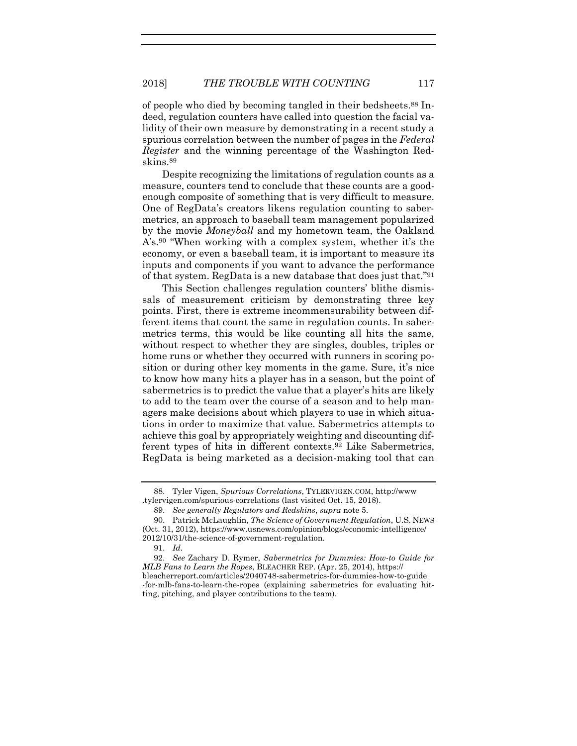of people who died by becoming tangled in their bedsheets.<sup>88</sup> Indeed, regulation counters have called into question the facial validity of their own measure by demonstrating in a recent study a spurious correlation between the number of pages in the *Federal Register* and the winning percentage of the Washington Redskins.<sup>89</sup>

Despite recognizing the limitations of regulation counts as a measure, counters tend to conclude that these counts are a goodenough composite of something that is very difficult to measure. One of RegData's creators likens regulation counting to sabermetrics, an approach to baseball team management popularized by the movie *Moneyball* and my hometown team, the Oakland A's.<sup>90</sup> "When working with a complex system, whether it's the economy, or even a baseball team, it is important to measure its inputs and components if you want to advance the performance of that system. RegData is a new database that does just that." 91

This Section challenges regulation counters' blithe dismissals of measurement criticism by demonstrating three key points. First, there is extreme incommensurability between different items that count the same in regulation counts. In sabermetrics terms, this would be like counting all hits the same, without respect to whether they are singles, doubles, triples or home runs or whether they occurred with runners in scoring position or during other key moments in the game. Sure, it's nice to know how many hits a player has in a season, but the point of sabermetrics is to predict the value that a player's hits are likely to add to the team over the course of a season and to help managers make decisions about which players to use in which situations in order to maximize that value. Sabermetrics attempts to achieve this goal by appropriately weighting and discounting different types of hits in different contexts.<sup>92</sup> Like Sabermetrics, RegData is being marketed as a decision-making tool that can

<sup>88.</sup> Tyler Vigen, *Spurious Correlations*, TYLERVIGEN.COM, http://www .tylervigen.com/spurious-correlations (last visited Oct. 15, 2018).

<sup>89.</sup> *See generally Regulators and Redskins*, *supra* not[e 5.](#page-2-1)

<sup>90.</sup> Patrick McLaughlin, *The Science of Government Regulation*, U.S. NEWS (Oct. 31, 2012), [https://www.usnews.com/opinion/blogs/economic-intelligence/](https://www.usnews.com/opinion/blogs/economic-intelligence/2012/10/31/the-science-of-government-regulation) [2012/10/31/the-science-of-government-regulation.](https://www.usnews.com/opinion/blogs/economic-intelligence/2012/10/31/the-science-of-government-regulation)

<sup>91.</sup> *Id.*

<sup>92.</sup> *See* Zachary D. Rymer, *Sabermetrics for Dummies: How-to Guide for MLB Fans to Learn the Ropes*, BLEACHER REP. (Apr. 25, 2014), https:// bleacherreport.com/articles/2040748-sabermetrics-for-dummies-how-to-guide -for-mlb-fans-to-learn-the-ropes (explaining sabermetrics for evaluating hitting, pitching, and player contributions to the team).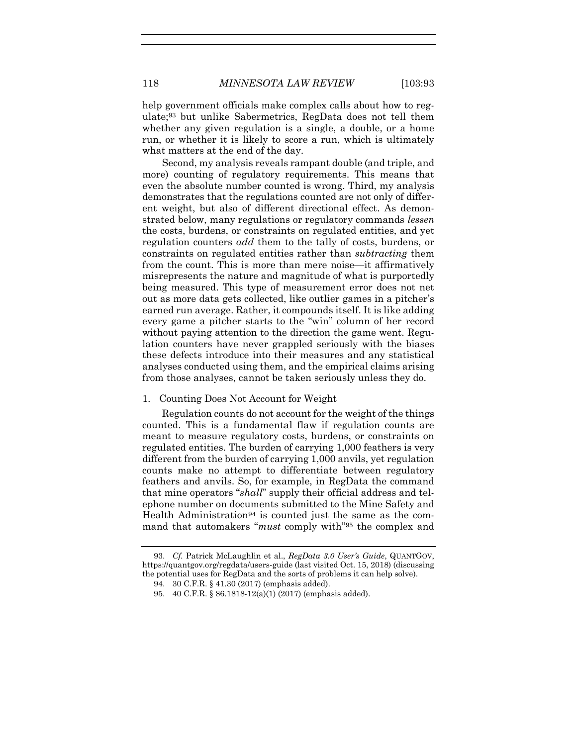help government officials make complex calls about how to regulate;<sup>93</sup> but unlike Sabermetrics, RegData does not tell them whether any given regulation is a single, a double, or a home run, or whether it is likely to score a run, which is ultimately what matters at the end of the day.

Second, my analysis reveals rampant double (and triple, and more) counting of regulatory requirements. This means that even the absolute number counted is wrong. Third, my analysis demonstrates that the regulations counted are not only of different weight, but also of different directional effect. As demonstrated below, many regulations or regulatory commands *lessen* the costs, burdens, or constraints on regulated entities, and yet regulation counters *add* them to the tally of costs, burdens, or constraints on regulated entities rather than *subtracting* them from the count. This is more than mere noise—it affirmatively misrepresents the nature and magnitude of what is purportedly being measured. This type of measurement error does not net out as more data gets collected, like outlier games in a pitcher's earned run average. Rather, it compounds itself. It is like adding every game a pitcher starts to the "win" column of her record without paying attention to the direction the game went. Regulation counters have never grappled seriously with the biases these defects introduce into their measures and any statistical analyses conducted using them, and the empirical claims arising from those analyses, cannot be taken seriously unless they do.

# 1. Counting Does Not Account for Weight

Regulation counts do not account for the weight of the things counted. This is a fundamental flaw if regulation counts are meant to measure regulatory costs, burdens, or constraints on regulated entities. The burden of carrying 1,000 feathers is very different from the burden of carrying 1,000 anvils, yet regulation counts make no attempt to differentiate between regulatory feathers and anvils. So, for example, in RegData the command that mine operators "*shall*" supply their official address and telephone number on documents submitted to the Mine Safety and Health Administration<sup>94</sup> is counted just the same as the command that automakers "*must* comply with" <sup>95</sup> the complex and

<sup>93.</sup> *Cf.* Patrick McLaughlin et al., *RegData 3.0 User's Guide*, QUANTGOV, https://quantgov.org/regdata/users-guide (last visited Oct. 15, 2018) (discussing the potential uses for RegData and the sorts of problems it can help solve).

<sup>94.</sup> 30 C.F.R. § 41.30 (2017) (emphasis added).

<sup>95.</sup> 40 C.F.R. § 86.1818-12(a)(1) (2017) (emphasis added).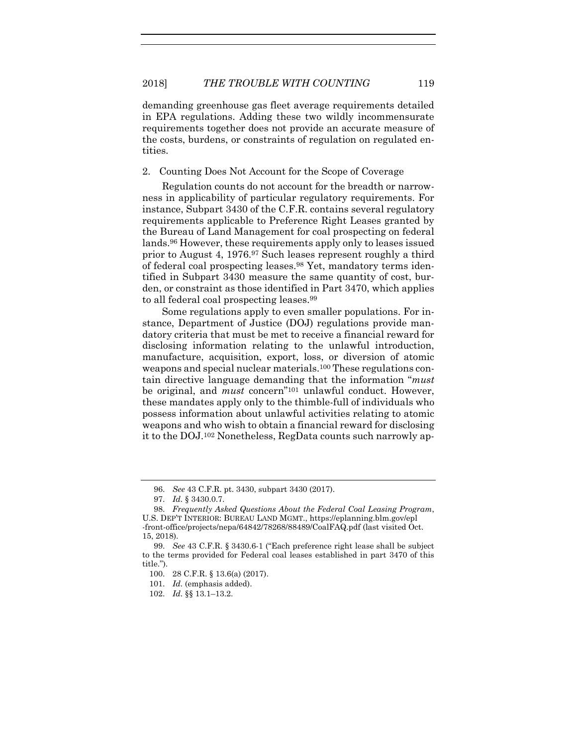demanding greenhouse gas fleet average requirements detailed in EPA regulations. Adding these two wildly incommensurate requirements together does not provide an accurate measure of the costs, burdens, or constraints of regulation on regulated entities.

2. Counting Does Not Account for the Scope of Coverage

Regulation counts do not account for the breadth or narrowness in applicability of particular regulatory requirements. For instance, Subpart 3430 of the C.F.R. contains several regulatory requirements applicable to Preference Right Leases granted by the Bureau of Land Management for coal prospecting on federal lands.<sup>96</sup> However, these requirements apply only to leases issued prior to August 4, 1976.<sup>97</sup> Such leases represent roughly a third of federal coal prospecting leases.<sup>98</sup> Yet, mandatory terms identified in Subpart 3430 measure the same quantity of cost, burden, or constraint as those identified in Part 3470, which applies to all federal coal prospecting leases.<sup>99</sup>

Some regulations apply to even smaller populations. For instance, Department of Justice (DOJ) regulations provide mandatory criteria that must be met to receive a financial reward for disclosing information relating to the unlawful introduction, manufacture, acquisition, export, loss, or diversion of atomic weapons and special nuclear materials.<sup>100</sup> These regulations contain directive language demanding that the information "*must* be original, and *must* concern" <sup>101</sup> unlawful conduct. However, these mandates apply only to the thimble-full of individuals who possess information about unlawful activities relating to atomic weapons and who wish to obtain a financial reward for disclosing it to the DOJ.<sup>102</sup> Nonetheless, RegData counts such narrowly ap-

<sup>96.</sup> *See* 43 C.F.R. pt. 3430, subpart 3430 (2017).

<sup>97.</sup> *Id.* § 3430.0.7.

<sup>98.</sup> *Frequently Asked Questions About the Federal Coal Leasing Program*, U.S. DEP'T INTERIOR: BUREAU LAND MGMT., https://eplanning.blm.gov/epl -front-office/projects/nepa/64842/78268/88489/CoalFAQ.pdf (last visited Oct. 15, 2018).

<sup>99.</sup> *See* 43 C.F.R. § 3430.6-1 ("Each preference right lease shall be subject to the terms provided for Federal coal leases established in part 3470 of this title.").

<sup>100.</sup> 28 C.F.R. § 13.6(a) (2017).

<sup>101.</sup> *Id.* (emphasis added).

<sup>102.</sup> *Id.* §§ 13.1–13.2.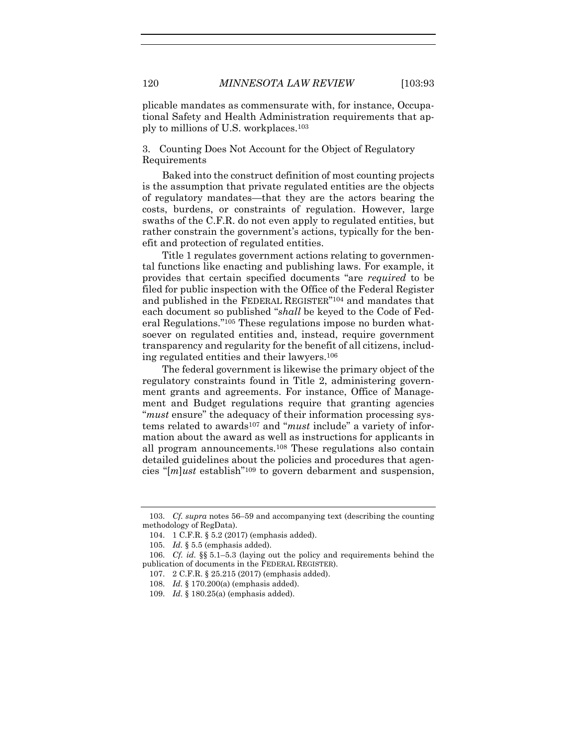plicable mandates as commensurate with, for instance, Occupational Safety and Health Administration requirements that apply to millions of U.S. workplaces.<sup>103</sup>

3. Counting Does Not Account for the Object of Regulatory Requirements

Baked into the construct definition of most counting projects is the assumption that private regulated entities are the objects of regulatory mandates—that they are the actors bearing the costs, burdens, or constraints of regulation. However, large swaths of the C.F.R. do not even apply to regulated entities, but rather constrain the government's actions, typically for the benefit and protection of regulated entities.

Title 1 regulates government actions relating to governmental functions like enacting and publishing laws. For example, it provides that certain specified documents "are *required* to be filed for public inspection with the Office of the Federal Register and published in the FEDERAL REGISTER" <sup>104</sup> and mandates that each document so published "*shall* be keyed to the Code of Federal Regulations." <sup>105</sup> These regulations impose no burden whatsoever on regulated entities and, instead, require government transparency and regularity for the benefit of all citizens, including regulated entities and their lawyers.<sup>106</sup>

The federal government is likewise the primary object of the regulatory constraints found in Title 2, administering government grants and agreements. For instance, Office of Management and Budget regulations require that granting agencies "*must* ensure" the adequacy of their information processing systems related to awards<sup>107</sup> and "*must* include" a variety of information about the award as well as instructions for applicants in all program announcements.<sup>108</sup> These regulations also contain detailed guidelines about the policies and procedures that agencies "[*m*]*ust* establish" <sup>109</sup> to govern debarment and suspension,

<sup>103.</sup> *Cf. supra* note[s 56](#page-15-0)–[59](#page-16-0) and accompanying text (describing the counting methodology of RegData).

<sup>104.</sup> 1 C.F.R. § 5.2 (2017) (emphasis added).

<sup>105.</sup> *Id.* § 5.5 (emphasis added).

<sup>106.</sup> *Cf. id.* §§ 5.1–5.3 (laying out the policy and requirements behind the publication of documents in the FEDERAL REGISTER).

<sup>107.</sup> 2 C.F.R. § 25.215 (2017) (emphasis added).

<sup>108.</sup> *Id.* § 170.200(a) (emphasis added).

<sup>109.</sup> *Id.* § 180.25(a) (emphasis added).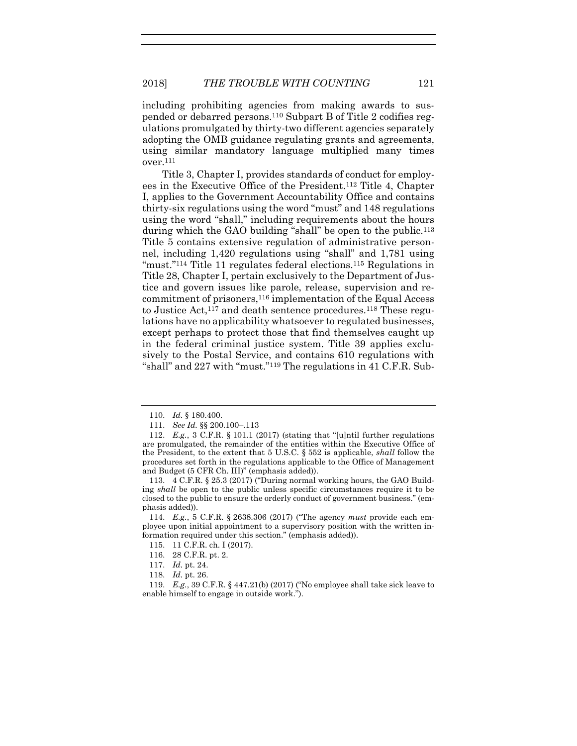including prohibiting agencies from making awards to suspended or debarred persons.<sup>110</sup> Subpart B of Title 2 codifies regulations promulgated by thirty-two different agencies separately adopting the OMB guidance regulating grants and agreements, using similar mandatory language multiplied many times over.<sup>111</sup>

Title 3, Chapter I, provides standards of conduct for employees in the Executive Office of the President.<sup>112</sup> Title 4, Chapter I, applies to the Government Accountability Office and contains thirty-six regulations using the word "must" and 148 regulations using the word "shall," including requirements about the hours during which the GAO building "shall" be open to the public.<sup>113</sup> Title 5 contains extensive regulation of administrative personnel, including 1,420 regulations using "shall" and 1,781 using "must."<sup>114</sup> Title 11 regulates federal elections.<sup>115</sup> Regulations in Title 28, Chapter I, pertain exclusively to the Department of Justice and govern issues like parole, release, supervision and recommitment of prisoners,<sup>116</sup> implementation of the Equal Access to Justice Act,<sup>117</sup> and death sentence procedures.<sup>118</sup> These regulations have no applicability whatsoever to regulated businesses, except perhaps to protect those that find themselves caught up in the federal criminal justice system. Title 39 applies exclusively to the Postal Service, and contains 610 regulations with "shall" and 227 with "must." <sup>119</sup> The regulations in 41 C.F.R. Sub-

116. 28 C.F.R. pt. 2.

<sup>110.</sup> *Id.* § 180.400.

<sup>111.</sup> *See Id.* §§ 200.100–.113

<sup>112.</sup> *E.g.*, 3 C.F.R. § 101.1 (2017) (stating that "[u]ntil further regulations are promulgated, the remainder of the entities within the Executive Office of the President, to the extent that 5 U.S.C. § 552 is applicable, *shall* follow the procedures set forth in the regulations applicable to the Office of Management and Budget (5 CFR Ch. III)" (emphasis added)).

<sup>113.</sup> 4 C.F.R. § 25.3 (2017) ("During normal working hours, the GAO Building *shall* be open to the public unless specific circumstances require it to be closed to the public to ensure the orderly conduct of government business." (emphasis added)).

<sup>114.</sup> *E.g.*, 5 C.F.R. § 2638.306 (2017) ("The agency *must* provide each employee upon initial appointment to a supervisory position with the written information required under this section." (emphasis added)).

<sup>115.</sup> 11 C.F.R. ch. I (2017).

<sup>117.</sup> *Id.* pt. 24.

<sup>118.</sup> *Id.* pt. 26.

<sup>119.</sup> *E.g.*, 39 C.F.R. § 447.21(b) (2017) ("No employee shall take sick leave to enable himself to engage in outside work.").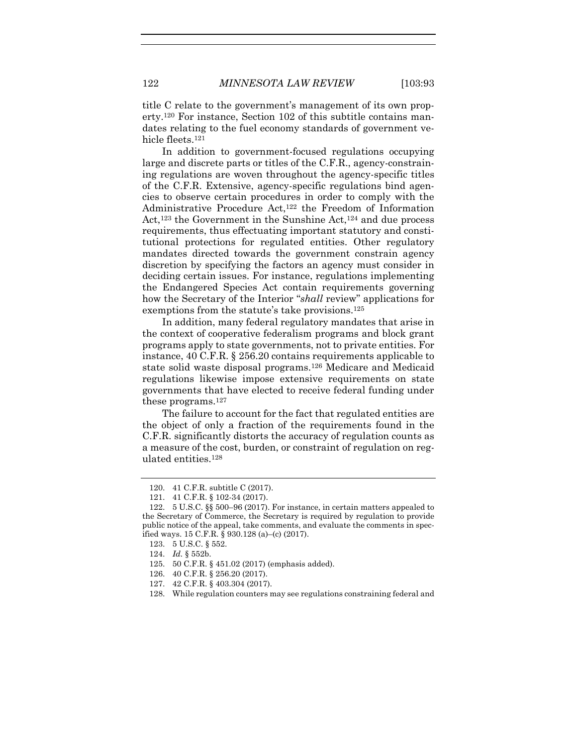title C relate to the government's management of its own property.<sup>120</sup> For instance, Section 102 of this subtitle contains mandates relating to the fuel economy standards of government vehicle fleets.<sup>121</sup>

In addition to government-focused regulations occupying large and discrete parts or titles of the C.F.R., agency-constraining regulations are woven throughout the agency-specific titles of the C.F.R. Extensive, agency-specific regulations bind agencies to observe certain procedures in order to comply with the Administrative Procedure Act,<sup>122</sup> the Freedom of Information Act,<sup>123</sup> the Government in the Sunshine Act,<sup>124</sup> and due process requirements, thus effectuating important statutory and constitutional protections for regulated entities. Other regulatory mandates directed towards the government constrain agency discretion by specifying the factors an agency must consider in deciding certain issues. For instance, regulations implementing the Endangered Species Act contain requirements governing how the Secretary of the Interior "*shall* review" applications for exemptions from the statute's take provisions.<sup>125</sup>

In addition, many federal regulatory mandates that arise in the context of cooperative federalism programs and block grant programs apply to state governments, not to private entities. For instance, 40 C.F.R. § 256.20 contains requirements applicable to state solid waste disposal programs.<sup>126</sup> Medicare and Medicaid regulations likewise impose extensive requirements on state governments that have elected to receive federal funding under these programs.<sup>127</sup>

The failure to account for the fact that regulated entities are the object of only a fraction of the requirements found in the C.F.R. significantly distorts the accuracy of regulation counts as a measure of the cost, burden, or constraint of regulation on regulated entities.<sup>128</sup>

<sup>120.</sup> 41 C.F.R. subtitle C (2017).

<sup>121.</sup> 41 C.F.R. § 102-34 (2017).

<sup>122.</sup> 5 U.S.C. §§ 500–96 (2017). For instance, in certain matters appealed to the Secretary of Commerce, the Secretary is required by regulation to provide public notice of the appeal, take comments, and evaluate the comments in specified ways. 15 C.F.R. § 930.128 (a)–(c) (2017).

<sup>123.</sup> 5 U.S.C. § 552.

<sup>124.</sup> *Id.* § 552b.

<sup>125.</sup> 50 C.F.R. § 451.02 (2017) (emphasis added).

<sup>126.</sup> 40 C.F.R. § 256.20 (2017).

<sup>127.</sup> 42 C.F.R. § 403.304 (2017).

<sup>128.</sup> While regulation counters may see regulations constraining federal and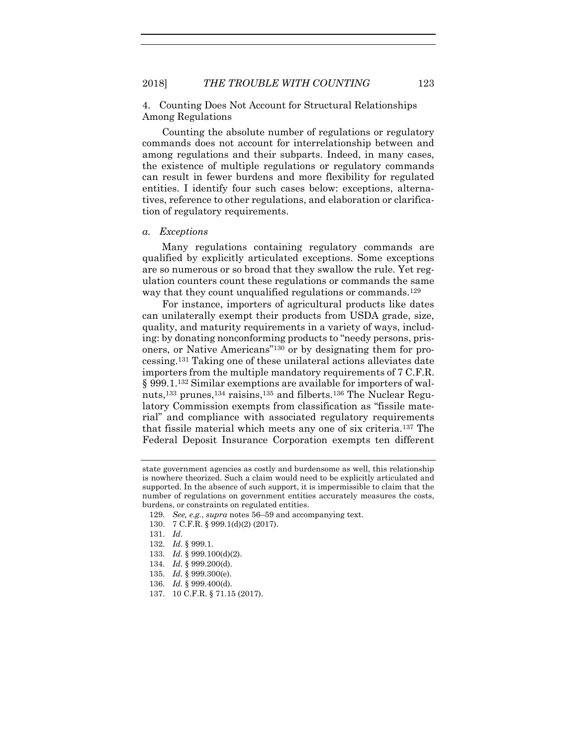4. Counting Does Not Account for Structural Relationships Among Regulations

Counting the absolute number of regulations or regulatory commands does not account for interrelationship between and among regulations and their subparts. Indeed, in many cases, the existence of multiple regulations or regulatory commands can result in fewer burdens and more flexibility for regulated entities. I identify four such cases below: exceptions, alternatives, reference to other regulations, and elaboration or clarification of regulatory requirements.

## *a. Exceptions*

Many regulations containing regulatory commands are qualified by explicitly articulated exceptions. Some exceptions are so numerous or so broad that they swallow the rule. Yet regulation counters count these regulations or commands the same way that they count unqualified regulations or commands.<sup>129</sup>

For instance, importers of agricultural products like dates can unilaterally exempt their products from USDA grade, size, quality, and maturity requirements in a variety of ways, including: by donating nonconforming products to "needy persons, prisoners, or Native Americans" <sup>130</sup> or by designating them for processing.<sup>131</sup> Taking one of these unilateral actions alleviates date importers from the multiple mandatory requirements of 7 C.F.R. § 999.1.<sup>132</sup> Similar exemptions are available for importers of walnuts,<sup>133</sup> prunes,<sup>134</sup> raisins,<sup>135</sup> and filberts.<sup>136</sup> The Nuclear Regulatory Commission exempts from classification as "fissile material" and compliance with associated regulatory requirements that fissile material which meets any one of six criteria.<sup>137</sup> The Federal Deposit Insurance Corporation exempts ten different

- 132. *Id.* § 999.1.
- 133. *Id.* § 999.100(d)(2).
- 134. *Id.* § 999.200(d).
- 135. *Id.* § 999.300(e).
- 136. *Id.* § 999.400(d).
- 137. 10 C.F.R. § 71.15 (2017).

state government agencies as costly and burdensome as well, this relationship is nowhere theorized. Such a claim would need to be explicitly articulated and supported. In the absence of such support, it is impermissible to claim that the number of regulations on government entities accurately measures the costs, burdens, or constraints on regulated entities.

<sup>129.</sup> *See, e.g.*, *supra* notes [56](#page-15-0)–[59](#page-16-0) and accompanying text.

<sup>130.</sup> 7 C.F.R. § 999.1(d)(2) (2017).

<sup>131.</sup> *Id.*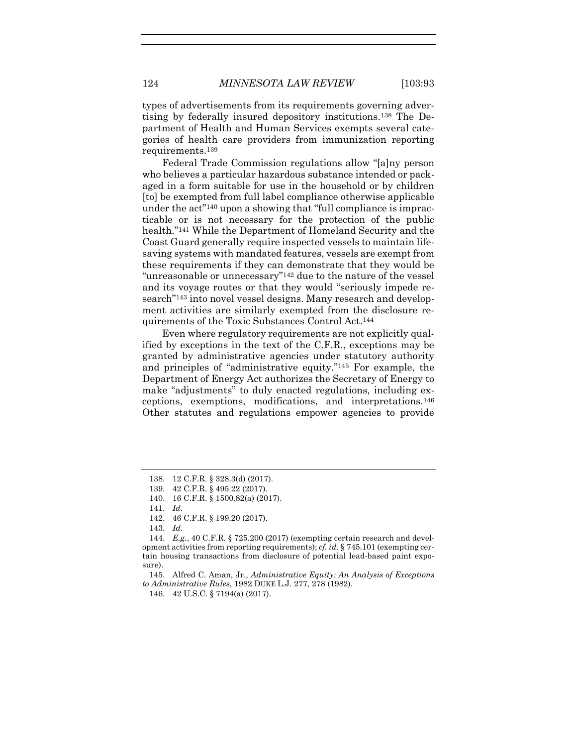types of advertisements from its requirements governing advertising by federally insured depository institutions.<sup>138</sup> The Department of Health and Human Services exempts several categories of health care providers from immunization reporting requirements.<sup>139</sup>

Federal Trade Commission regulations allow "[a]ny person who believes a particular hazardous substance intended or packaged in a form suitable for use in the household or by children [to] be exempted from full label compliance otherwise applicable under the act<sup>"140</sup> upon a showing that "full compliance is impracticable or is not necessary for the protection of the public health." <sup>141</sup> While the Department of Homeland Security and the Coast Guard generally require inspected vessels to maintain lifesaving systems with mandated features, vessels are exempt from these requirements if they can demonstrate that they would be "unreasonable or unnecessary"<sup>142</sup> due to the nature of the vessel and its voyage routes or that they would "seriously impede research" <sup>143</sup> into novel vessel designs. Many research and development activities are similarly exempted from the disclosure requirements of the Toxic Substances Control Act.<sup>144</sup>

Even where regulatory requirements are not explicitly qualified by exceptions in the text of the C.F.R., exceptions may be granted by administrative agencies under statutory authority and principles of "administrative equity." <sup>145</sup> For example, the Department of Energy Act authorizes the Secretary of Energy to make "adjustments" to duly enacted regulations, including exceptions, exemptions, modifications, and interpretations.<sup>146</sup> Other statutes and regulations empower agencies to provide

143. *Id.*

<sup>138.</sup> 12 C.F.R. § 328.3(d) (2017).

<sup>139.</sup> 42 C.F.R. § 495.22 (2017).

<sup>140.</sup> 16 C.F.R. § 1500.82(a) (2017).

<sup>141.</sup> *Id.*

<sup>142.</sup> 46 C.F.R. § 199.20 (2017).

<sup>144.</sup> *E.g.*, 40 C.F.R. § 725.200 (2017) (exempting certain research and development activities from reporting requirements); *cf. id.* § 745.101 (exempting certain housing transactions from disclosure of potential lead-based paint exposure).

<sup>145.</sup> Alfred C. Aman, Jr., *Administrative Equity: An Analysis of Exceptions to Administrative Rules*, 1982 DUKE L.J. 277, 278 (1982).

<sup>146.</sup> 42 U.S.C. § 7194(a) (2017).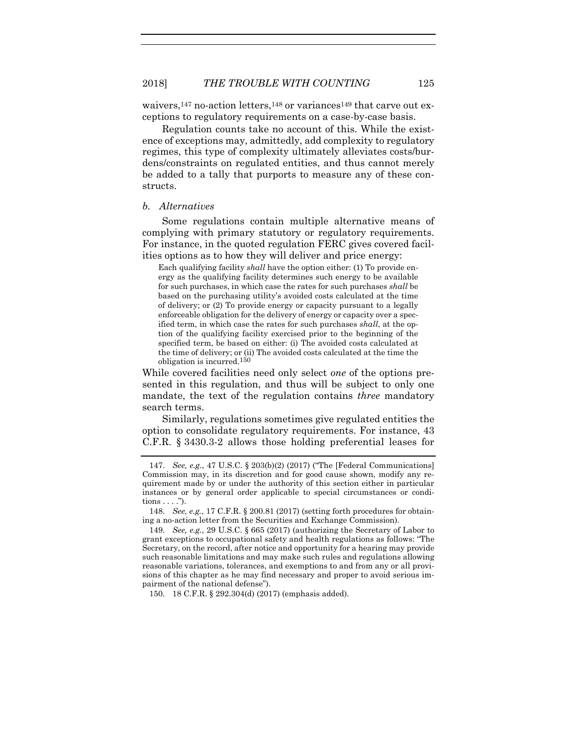waivers,<sup>147</sup> no-action letters,<sup>148</sup> or variances<sup>149</sup> that carve out exceptions to regulatory requirements on a case-by-case basis.

Regulation counts take no account of this. While the existence of exceptions may, admittedly, add complexity to regulatory regimes, this type of complexity ultimately alleviates costs/burdens/constraints on regulated entities, and thus cannot merely be added to a tally that purports to measure any of these constructs.

#### *b. Alternatives*

Some regulations contain multiple alternative means of complying with primary statutory or regulatory requirements. For instance, in the quoted regulation FERC gives covered facilities options as to how they will deliver and price energy:

Each qualifying facility *shall* have the option either: (1) To provide energy as the qualifying facility determines such energy to be available for such purchases, in which case the rates for such purchases *shall* be based on the purchasing utility's avoided costs calculated at the time of delivery; or (2) To provide energy or capacity pursuant to a legally enforceable obligation for the delivery of energy or capacity over a specified term, in which case the rates for such purchases *shall*, at the option of the qualifying facility exercised prior to the beginning of the specified term, be based on either: (i) The avoided costs calculated at the time of delivery; or (ii) The avoided costs calculated at the time the obligation is incurred.150

While covered facilities need only select *one* of the options presented in this regulation, and thus will be subject to only one mandate, the text of the regulation contains *three* mandatory search terms.

Similarly, regulations sometimes give regulated entities the option to consolidate regulatory requirements. For instance, 43 C.F.R. § 3430.3-2 allows those holding preferential leases for

150. 18 C.F.R. § 292.304(d) (2017) (emphasis added).

<sup>147.</sup> *See, e.g.*, 47 U.S.C. § 203(b)(2) (2017) ("The [Federal Communications] Commission may, in its discretion and for good cause shown, modify any requirement made by or under the authority of this section either in particular instances or by general order applicable to special circumstances or conditions  $\ldots$ .").

<sup>148.</sup> *See, e.g.*, 17 C.F.R. § 200.81 (2017) (setting forth procedures for obtaining a no-action letter from the Securities and Exchange Commission).

<sup>149.</sup> *See, e.g.*, 29 U.S.C. § 665 (2017) (authorizing the Secretary of Labor to grant exceptions to occupational safety and health regulations as follows: "The Secretary, on the record, after notice and opportunity for a hearing may provide such reasonable limitations and may make such rules and regulations allowing reasonable variations, tolerances, and exemptions to and from any or all provisions of this chapter as he may find necessary and proper to avoid serious impairment of the national defense").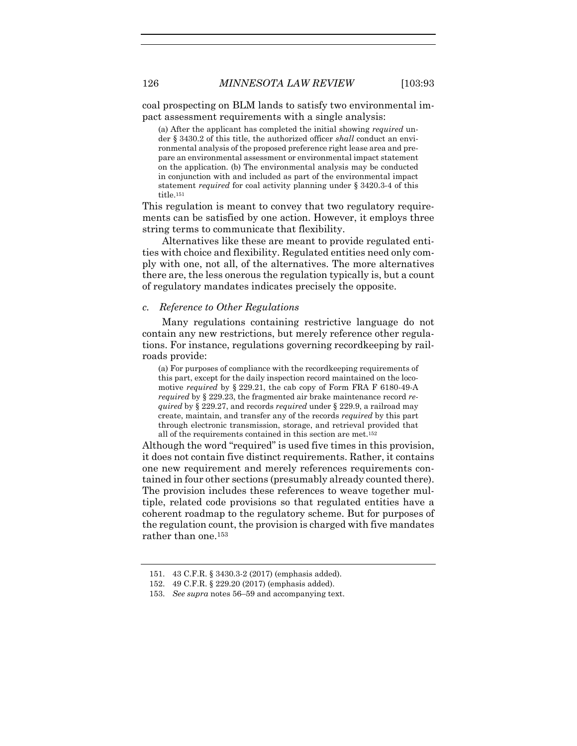coal prospecting on BLM lands to satisfy two environmental impact assessment requirements with a single analysis:

(a) After the applicant has completed the initial showing *required* under § 3430.2 of this title, the authorized officer *shall* conduct an environmental analysis of the proposed preference right lease area and prepare an environmental assessment or environmental impact statement on the application. (b) The environmental analysis may be conducted in conjunction with and included as part of the environmental impact statement *required* for coal activity planning under § 3420.3-4 of this title.<sup>151</sup>

This regulation is meant to convey that two regulatory requirements can be satisfied by one action. However, it employs three string terms to communicate that flexibility.

Alternatives like these are meant to provide regulated entities with choice and flexibility. Regulated entities need only comply with one, not all, of the alternatives. The more alternatives there are, the less onerous the regulation typically is, but a count of regulatory mandates indicates precisely the opposite.

#### *c. Reference to Other Regulations*

Many regulations containing restrictive language do not contain any new restrictions, but merely reference other regulations. For instance, regulations governing recordkeeping by railroads provide:

(a) For purposes of compliance with the recordkeeping requirements of this part, except for the daily inspection record maintained on the locomotive *required* by § 229.21, the cab copy of Form FRA F 6180-49-A *required* by § 229.23, the fragmented air brake maintenance record *required* by § 229.27, and records *required* under § 229.9, a railroad may create, maintain, and transfer any of the records *required* by this part through electronic transmission, storage, and retrieval provided that all of the requirements contained in this section are met.<sup>152</sup>

Although the word "required" is used five times in this provision, it does not contain five distinct requirements. Rather, it contains one new requirement and merely references requirements contained in four other sections (presumably already counted there). The provision includes these references to weave together multiple, related code provisions so that regulated entities have a coherent roadmap to the regulatory scheme. But for purposes of the regulation count, the provision is charged with five mandates rather than one.<sup>153</sup>

<sup>151.</sup> 43 C.F.R. § 3430.3-2 (2017) (emphasis added).

<sup>152.</sup> 49 C.F.R. § 229.20 (2017) (emphasis added).

<sup>153.</sup> *See supra* note[s 56](#page-15-0)–[59](#page-16-0) and accompanying text.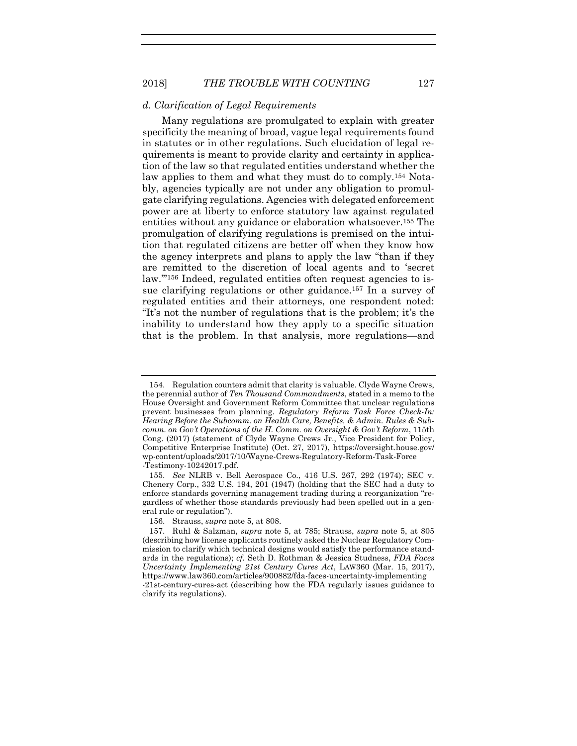#### *d. Clarification of Legal Requirements*

Many regulations are promulgated to explain with greater specificity the meaning of broad, vague legal requirements found in statutes or in other regulations. Such elucidation of legal requirements is meant to provide clarity and certainty in application of the law so that regulated entities understand whether the law applies to them and what they must do to comply.<sup>154</sup> Notably, agencies typically are not under any obligation to promulgate clarifying regulations. Agencies with delegated enforcement power are at liberty to enforce statutory law against regulated entities without any guidance or elaboration whatsoever.<sup>155</sup> The promulgation of clarifying regulations is premised on the intuition that regulated citizens are better off when they know how the agency interprets and plans to apply the law "than if they are remitted to the discretion of local agents and to 'secret law."<sup>156</sup> Indeed, regulated entities often request agencies to issue clarifying regulations or other guidance.<sup>157</sup> In a survey of regulated entities and their attorneys, one respondent noted: "It's not the number of regulations that is the problem; it's the inability to understand how they apply to a specific situation that is the problem. In that analysis, more regulations—and

<sup>154.</sup> Regulation counters admit that clarity is valuable. Clyde Wayne Crews, the perennial author of *Ten Thousand Commandments*, stated in a memo to the House Oversight and Government Reform Committee that unclear regulations prevent businesses from planning. *Regulatory Reform Task Force Check-In: Hearing Before the Subcomm. on Health Care, Benefits, & Admin. Rules & Subcomm. on Gov't Operations of the H. Comm. on Oversight & Gov't Reform*, 115th Cong. (2017) (statement of Clyde Wayne Crews Jr., Vice President for Policy, Competitive Enterprise Institute) (Oct. 27, 2017), https://oversight.house.gov/ wp-content/uploads/2017/10/Wayne-Crews-Regulatory-Reform-Task-Force -Testimony-10242017.pdf.

<sup>155.</sup> *See* NLRB v. Bell Aerospace Co., 416 U.S. 267, 292 (1974); SEC v. Chenery Corp., 332 U.S. 194, 201 (1947) (holding that the SEC had a duty to enforce standards governing management trading during a reorganization "regardless of whether those standards previously had been spelled out in a general rule or regulation").

<sup>156.</sup> Strauss, *supra* note [5,](#page-2-1) at 808.

<sup>157.</sup> Ruhl & Salzman, *supra* note [5,](#page-2-1) at 785; Strauss, *supra* note [5,](#page-2-1) at 805 (describing how license applicants routinely asked the Nuclear Regulatory Commission to clarify which technical designs would satisfy the performance standards in the regulations); *cf.* Seth D. Rothman & Jessica Studness, *FDA Faces Uncertainty Implementing 21st Century Cures Act*, LAW360 (Mar. 15, 2017), https://www.law360.com/articles/900882/fda-faces-uncertainty-implementing -21st-century-cures-act (describing how the FDA regularly issues guidance to clarify its regulations).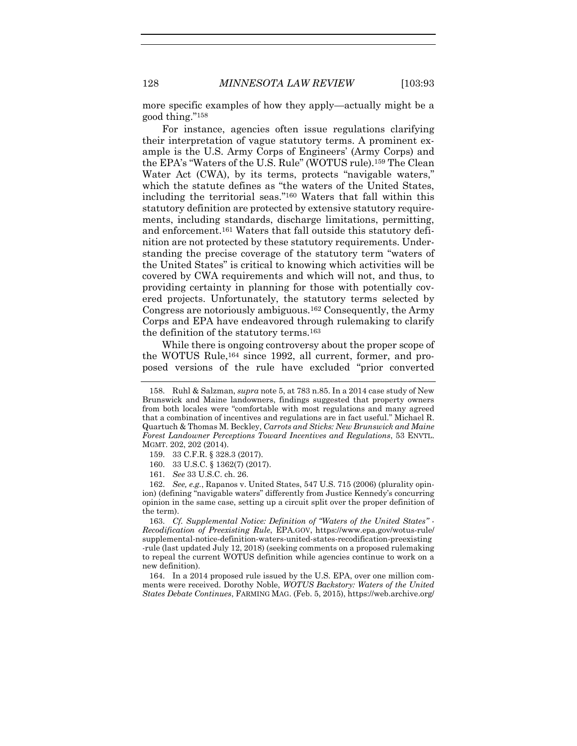more specific examples of how they apply—actually might be a good thing." 158

For instance, agencies often issue regulations clarifying their interpretation of vague statutory terms. A prominent example is the U.S. Army Corps of Engineers' (Army Corps) and the EPA's "Waters of the U.S. Rule" (WOTUS rule).<sup>159</sup> The Clean Water Act (CWA), by its terms, protects "navigable waters," which the statute defines as "the waters of the United States, including the territorial seas." <sup>160</sup> Waters that fall within this statutory definition are protected by extensive statutory requirements, including standards, discharge limitations, permitting, and enforcement.<sup>161</sup> Waters that fall outside this statutory definition are not protected by these statutory requirements. Understanding the precise coverage of the statutory term "waters of the United States" is critical to knowing which activities will be covered by CWA requirements and which will not, and thus, to providing certainty in planning for those with potentially covered projects. Unfortunately, the statutory terms selected by Congress are notoriously ambiguous.<sup>162</sup> Consequently, the Army Corps and EPA have endeavored through rulemaking to clarify the definition of the statutory terms.<sup>163</sup>

While there is ongoing controversy about the proper scope of the WOTUS Rule,<sup>164</sup> since 1992, all current, former, and proposed versions of the rule have excluded "prior converted

163. *Cf. Supplemental Notice: Definition of "Waters of the United States" - Recodification of Preexisting Rule*, EPA.GOV, https://www.epa.gov/wotus-rule/ supplemental-notice-definition-waters-united-states-recodification-preexisting -rule (last updated July 12, 2018) (seeking comments on a proposed rulemaking to repeal the current WOTUS definition while agencies continue to work on a new definition).

164. In a 2014 proposed rule issued by the U.S. EPA, over one million comments were received. Dorothy Noble, *WOTUS Backstory: Waters of the United States Debate Continues*, FARMING MAG. (Feb. 5, 2015), https://web.archive.org/

<sup>158.</sup> Ruhl & Salzman, *supra* not[e 5,](#page-2-1) at 783 n.85. In a 2014 case study of New Brunswick and Maine landowners, findings suggested that property owners from both locales were "comfortable with most regulations and many agreed that a combination of incentives and regulations are in fact useful." Michael R. Quartuch & Thomas M. Beckley, *Carrots and Sticks: New Brunswick and Maine Forest Landowner Perceptions Toward Incentives and Regulations*, 53 ENVTL. MGMT. 202, 202 (2014).

<sup>159.</sup> 33 C.F.R. § 328.3 (2017).

<sup>160.</sup> 33 U.S.C. § 1362(7) (2017).

<sup>161.</sup> *See* 33 U.S.C. ch. 26.

<sup>162.</sup> *See, e.g.*, Rapanos v. United States, 547 U.S. 715 (2006) (plurality opinion) (defining "navigable waters" differently from Justice Kennedy's concurring opinion in the same case, setting up a circuit split over the proper definition of the term).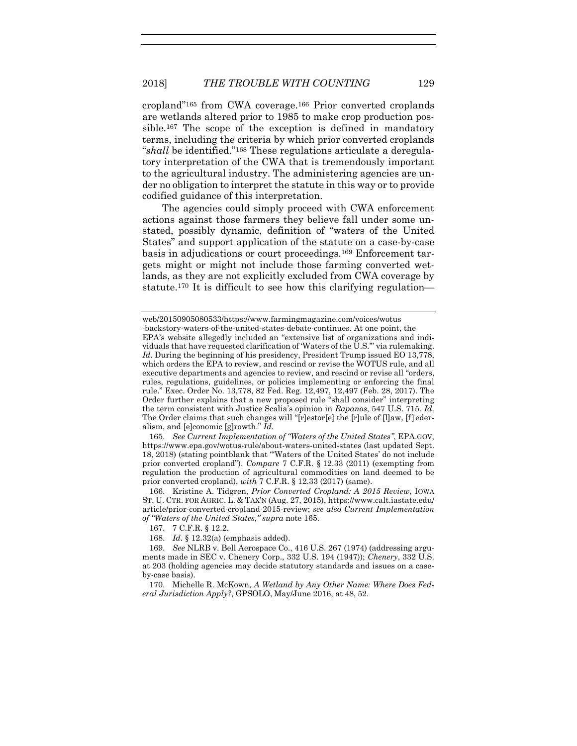cropland" <sup>165</sup> from CWA coverage.<sup>166</sup> Prior converted croplands are wetlands altered prior to 1985 to make crop production possible.<sup>167</sup> The scope of the exception is defined in mandatory terms, including the criteria by which prior converted croplands "*shall* be identified." <sup>168</sup> These regulations articulate a deregulatory interpretation of the CWA that is tremendously important to the agricultural industry. The administering agencies are under no obligation to interpret the statute in this way or to provide codified guidance of this interpretation.

The agencies could simply proceed with CWA enforcement actions against those farmers they believe fall under some unstated, possibly dynamic, definition of "waters of the United States" and support application of the statute on a case-by-case basis in adjudications or court proceedings.<sup>169</sup> Enforcement targets might or might not include those farming converted wetlands, as they are not explicitly excluded from CWA coverage by statute.<sup>170</sup> It is difficult to see how this clarifying regulation—

165. *See Current Implementation of "Waters of the United States"*, EPA.GOV, https://www.epa.gov/wotus-rule/about-waters-united-states (last updated Sept. 18, 2018) (stating pointblank that "'Waters of the United States' do not include prior converted cropland"). *Compare* 7 C.F.R. § 12.33 (2011) (exempting from regulation the production of agricultural commodities on land deemed to be prior converted cropland), *with* 7 C.F.R. § 12.33 (2017) (same).

166. Kristine A. Tidgren, *Prior Converted Cropland: A 2015 Review*, IOWA ST. U. CTR. FOR AGRIC. L. & TAX'N (Aug. 27, 2015), https://www.calt.iastate.edu/ article/prior-converted-cropland-2015-review; *see also Current Implementation of "Waters of the United States*,*" supra* note 165.

168. *Id.* § 12.32(a) (emphasis added).

170. Michelle R. McKown, *A Wetland by Any Other Name: Where Does Federal Jurisdiction Apply?*, GPSOLO, May/June 2016, at 48, 52.

web/20150905080533/https://www.farmingmagazine.com/voices/wotus

<sup>-</sup>backstory-waters-of-the-united-states-debate-continues. At one point, the EPA's website allegedly included an "extensive list of organizations and individuals that have requested clarification of 'Waters of the U.S.'" via rulemaking. *Id.* During the beginning of his presidency, President Trump issued EO 13,778, which orders the EPA to review, and rescind or revise the WOTUS rule, and all executive departments and agencies to review, and rescind or revise all "orders, rules, regulations, guidelines, or policies implementing or enforcing the final rule." Exec. Order No. 13,778, 82 Fed. Reg. 12,497, 12,497 (Feb. 28, 2017). The Order further explains that a new proposed rule "shall consider" interpreting the term consistent with Justice Scalia's opinion in *Rapanos*, 547 U.S. 715. *Id.*  The Order claims that such changes will "[r]estor[e] the [r]ule of [l]aw, [f] ederalism, and [e]conomic [g]rowth." *Id.*

<sup>167.</sup> 7 C.F.R. § 12.2.

<sup>169.</sup> *See* NLRB v. Bell Aerospace Co., 416 U.S. 267 (1974) (addressing arguments made in SEC v. Chenery Corp., 332 U.S. 194 (1947)); *Chenery*, 332 U.S. at 203 (holding agencies may decide statutory standards and issues on a caseby-case basis).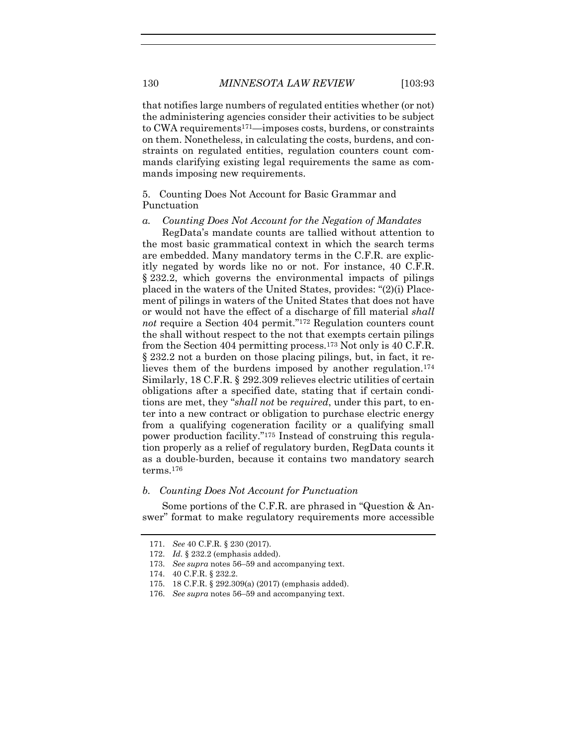that notifies large numbers of regulated entities whether (or not) the administering agencies consider their activities to be subject to CWA requirements171—imposes costs, burdens, or constraints on them. Nonetheless, in calculating the costs, burdens, and constraints on regulated entities, regulation counters count commands clarifying existing legal requirements the same as commands imposing new requirements.

5. Counting Does Not Account for Basic Grammar and Punctuation

#### *a. Counting Does Not Account for the Negation of Mandates*

RegData's mandate counts are tallied without attention to the most basic grammatical context in which the search terms are embedded. Many mandatory terms in the C.F.R. are explicitly negated by words like no or not. For instance, 40 C.F.R. § 232.2, which governs the environmental impacts of pilings placed in the waters of the United States, provides: "(2)(i) Placement of pilings in waters of the United States that does not have or would not have the effect of a discharge of fill material *shall* not require a Section 404 permit."<sup>172</sup> Regulation counters count the shall without respect to the not that exempts certain pilings from the Section 404 permitting process.<sup>173</sup> Not only is 40 C.F.R. § 232.2 not a burden on those placing pilings, but, in fact, it relieves them of the burdens imposed by another regulation.<sup>174</sup> Similarly, 18 C.F.R. § 292.309 relieves electric utilities of certain obligations after a specified date, stating that if certain conditions are met, they "*shall not* be *required*, under this part, to enter into a new contract or obligation to purchase electric energy from a qualifying cogeneration facility or a qualifying small power production facility."<sup>175</sup> Instead of construing this regulation properly as a relief of regulatory burden, RegData counts it as a double-burden, because it contains two mandatory search terms.<sup>176</sup>

#### *b. Counting Does Not Account for Punctuation*

Some portions of the C.F.R. are phrased in "Question & Answer" format to make regulatory requirements more accessible

<sup>171.</sup> *See* 40 C.F.R. § 230 (2017).

<sup>172.</sup> *Id.* § 232.2 (emphasis added).

<sup>173.</sup> *See supra* note[s 56](#page-15-0)–[59](#page-16-0) and accompanying text.

<sup>174.</sup> 40 C.F.R. § 232.2.

<sup>175.</sup> 18 C.F.R. § 292.309(a) (2017) (emphasis added).

<sup>176.</sup> *See supra* note[s 56](#page-15-0)–[59](#page-16-0) and accompanying text.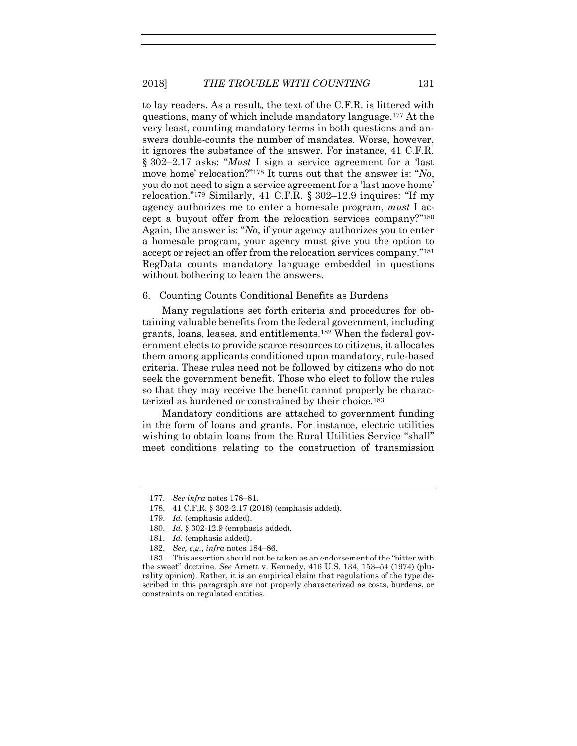<span id="page-39-0"></span>to lay readers. As a result, the text of the C.F.R. is littered with questions, many of which include mandatory language.<sup>177</sup> At the very least, counting mandatory terms in both questions and answers double-counts the number of mandates. Worse, however, it ignores the substance of the answer. For instance, 41 C.F.R. § 302–2.17 asks: "*Must* I sign a service agreement for a 'last move home' relocation?" <sup>178</sup> It turns out that the answer is: "*No*, you do not need to sign a service agreement for a 'last move home' relocation." <sup>179</sup> Similarly, 41 C.F.R. § 302–12.9 inquires: "If my agency authorizes me to enter a homesale program, *must* I accept a buyout offer from the relocation services company?" 180 Again, the answer is: "*No*, if your agency authorizes you to enter a homesale program, your agency must give you the option to accept or reject an offer from the relocation services company." 181 RegData counts mandatory language embedded in questions without bothering to learn the answers.

# 6. Counting Counts Conditional Benefits as Burdens

Many regulations set forth criteria and procedures for obtaining valuable benefits from the federal government, including grants, loans, leases, and entitlements.<sup>182</sup> When the federal government elects to provide scarce resources to citizens, it allocates them among applicants conditioned upon mandatory, rule-based criteria. These rules need not be followed by citizens who do not seek the government benefit. Those who elect to follow the rules so that they may receive the benefit cannot properly be characterized as burdened or constrained by their choice.<sup>183</sup>

Mandatory conditions are attached to government funding in the form of loans and grants. For instance, electric utilities wishing to obtain loans from the Rural Utilities Service "shall" meet conditions relating to the construction of transmission

<sup>177.</sup> *See infra* note[s 178](#page-39-0)–81.

<sup>178.</sup> 41 C.F.R. § 302-2.17 (2018) (emphasis added).

<sup>179.</sup> *Id.* (emphasis added).

<sup>180.</sup> *Id.* § 302-12.9 (emphasis added).

<sup>181.</sup> *Id.* (emphasis added).

<sup>182.</sup> *See, e.g.*, *infra* notes [184](#page-40-0)–86.

<sup>183.</sup> This assertion should not be taken as an endorsement of the "bitter with the sweet" doctrine. *See* Arnett v. Kennedy, 416 U.S. 134, 153–54 (1974) (plurality opinion). Rather, it is an empirical claim that regulations of the type described in this paragraph are not properly characterized as costs, burdens, or constraints on regulated entities.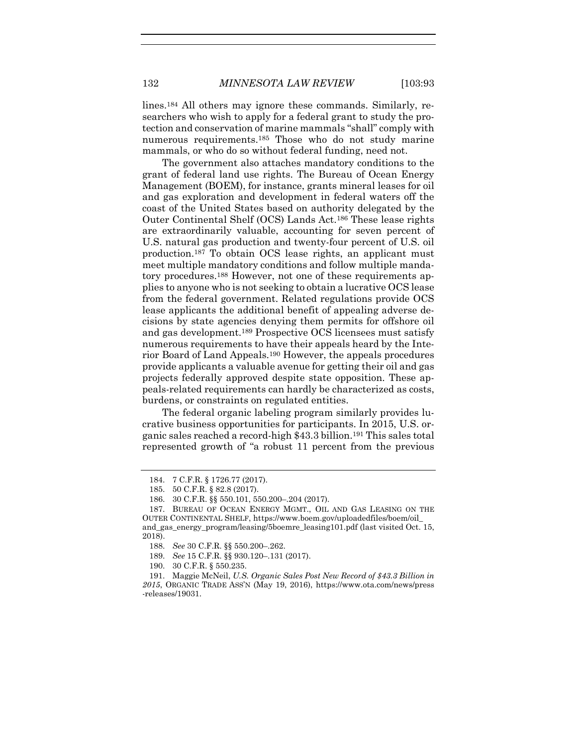<span id="page-40-0"></span>lines.<sup>184</sup> All others may ignore these commands. Similarly, researchers who wish to apply for a federal grant to study the protection and conservation of marine mammals "shall" comply with numerous requirements.<sup>185</sup> Those who do not study marine mammals, or who do so without federal funding, need not.

The government also attaches mandatory conditions to the grant of federal land use rights. The Bureau of Ocean Energy Management (BOEM), for instance, grants mineral leases for oil and gas exploration and development in federal waters off the coast of the United States based on authority delegated by the Outer Continental Shelf (OCS) Lands Act.<sup>186</sup> These lease rights are extraordinarily valuable, accounting for seven percent of U.S. natural gas production and twenty-four percent of U.S. oil production.<sup>187</sup> To obtain OCS lease rights, an applicant must meet multiple mandatory conditions and follow multiple mandatory procedures.<sup>188</sup> However, not one of these requirements applies to anyone who is not seeking to obtain a lucrative OCS lease from the federal government. Related regulations provide OCS lease applicants the additional benefit of appealing adverse decisions by state agencies denying them permits for offshore oil and gas development.<sup>189</sup> Prospective OCS licensees must satisfy numerous requirements to have their appeals heard by the Interior Board of Land Appeals.<sup>190</sup> However, the appeals procedures provide applicants a valuable avenue for getting their oil and gas projects federally approved despite state opposition. These appeals-related requirements can hardly be characterized as costs, burdens, or constraints on regulated entities.

The federal organic labeling program similarly provides lucrative business opportunities for participants. In 2015, U.S. organic sales reached a record-high \$43.3 billion.<sup>191</sup> This sales total represented growth of "a robust 11 percent from the previous

187. BUREAU OF OCEAN ENERGY MGMT., OIL AND GAS LEASING ON THE OUTER CONTINENTAL SHELF, https://www.boem.gov/uploadedfiles/boem/oil\_ and\_gas\_energy\_program/leasing/5boemre\_leasing101.pdf (last visited Oct. 15,

<sup>184.</sup> 7 C.F.R. § 1726.77 (2017).

<sup>185.</sup> 50 C.F.R. § 82.8 (2017).

<sup>186.</sup> 30 C.F.R. §§ 550.101, 550.200–.204 (2017).

<sup>2018).</sup>

<sup>188.</sup> *See* 30 C.F.R. §§ 550.200–.262.

<sup>189.</sup> *See* 15 C.F.R. §§ 930.120–.131 (2017).

<sup>190.</sup> 30 C.F.R. § 550.235.

<sup>191.</sup> Maggie McNeil, *U.S. Organic Sales Post New Record of \$43.3 Billion in 2015*, ORGANIC TRADE ASS'N (May 19, 2016), https://www.ota.com/news/press -releases/19031.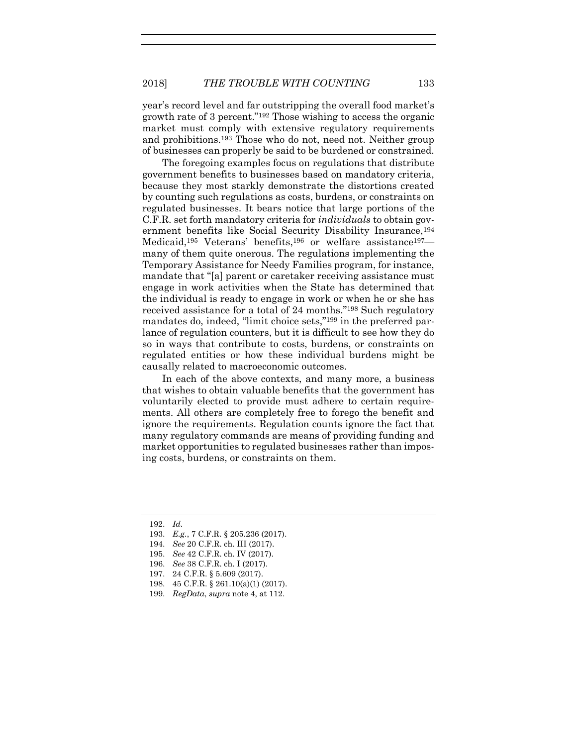year's record level and far outstripping the overall food market's growth rate of 3 percent."<sup>192</sup> Those wishing to access the organic market must comply with extensive regulatory requirements and prohibitions.<sup>193</sup> Those who do not, need not. Neither group of businesses can properly be said to be burdened or constrained.

The foregoing examples focus on regulations that distribute government benefits to businesses based on mandatory criteria, because they most starkly demonstrate the distortions created by counting such regulations as costs, burdens, or constraints on regulated businesses. It bears notice that large portions of the C.F.R. set forth mandatory criteria for *individuals* to obtain government benefits like Social Security Disability Insurance,<sup>194</sup> Medicaid,<sup>195</sup> Veterans' benefits,<sup>196</sup> or welfare assistance197 many of them quite onerous. The regulations implementing the Temporary Assistance for Needy Families program, for instance, mandate that "[a] parent or caretaker receiving assistance must engage in work activities when the State has determined that the individual is ready to engage in work or when he or she has received assistance for a total of 24 months."<sup>198</sup> Such regulatory mandates do, indeed, "limit choice sets," <sup>199</sup> in the preferred parlance of regulation counters, but it is difficult to see how they do so in ways that contribute to costs, burdens, or constraints on regulated entities or how these individual burdens might be causally related to macroeconomic outcomes.

In each of the above contexts, and many more, a business that wishes to obtain valuable benefits that the government has voluntarily elected to provide must adhere to certain requirements. All others are completely free to forego the benefit and ignore the requirements. Regulation counts ignore the fact that many regulatory commands are means of providing funding and market opportunities to regulated businesses rather than imposing costs, burdens, or constraints on them.

<sup>192.</sup> *Id.*

<sup>193.</sup> *E.g.*, 7 C.F.R. § 205.236 (2017).

<sup>194.</sup> *See* 20 C.F.R. ch. III (2017).

<sup>195.</sup> *See* 42 C.F.R. ch. IV (2017).

<sup>196.</sup> *See* 38 C.F.R. ch. I (2017).

<sup>197.</sup> 24 C.F.R. § 5.609 (2017).

<sup>198.</sup> 45 C.F.R. § 261.10(a)(1) (2017).

<sup>199.</sup> *RegData*, *supra* note [4,](#page-2-0) at 112.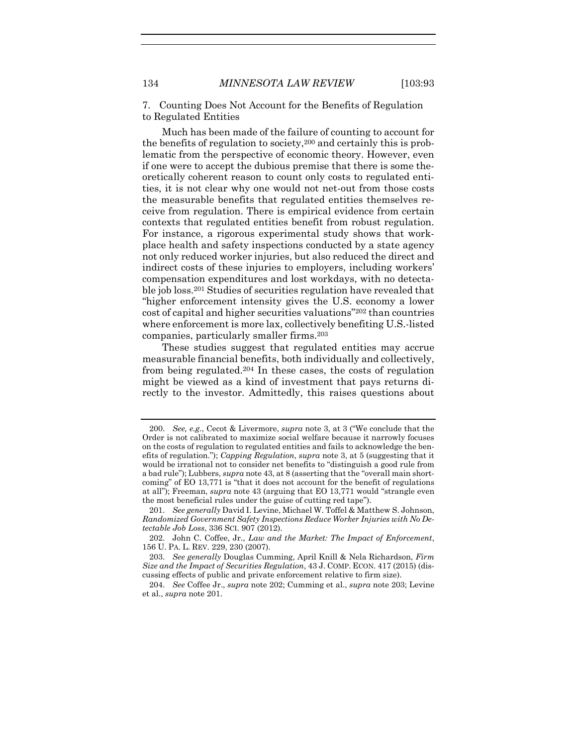7. Counting Does Not Account for the Benefits of Regulation to Regulated Entities

Much has been made of the failure of counting to account for the benefits of regulation to society,<sup>200</sup> and certainly this is problematic from the perspective of economic theory. However, even if one were to accept the dubious premise that there is some theoretically coherent reason to count only costs to regulated entities, it is not clear why one would not net-out from those costs the measurable benefits that regulated entities themselves receive from regulation. There is empirical evidence from certain contexts that regulated entities benefit from robust regulation. For instance, a rigorous experimental study shows that workplace health and safety inspections conducted by a state agency not only reduced worker injuries, but also reduced the direct and indirect costs of these injuries to employers, including workers' compensation expenditures and lost workdays, with no detectable job loss.<sup>201</sup> Studies of securities regulation have revealed that "higher enforcement intensity gives the U.S. economy a lower cost of capital and higher securities valuations" <sup>202</sup> than countries where enforcement is more lax, collectively benefiting U.S.-listed companies, particularly smaller firms.<sup>203</sup>

<span id="page-42-2"></span><span id="page-42-1"></span><span id="page-42-0"></span>These studies suggest that regulated entities may accrue measurable financial benefits, both individually and collectively, from being regulated.<sup>204</sup> In these cases, the costs of regulation might be viewed as a kind of investment that pays returns directly to the investor. Admittedly, this raises questions about

<sup>200.</sup> *See, e.g.*, Cecot & Livermore, *supra* not[e 3,](#page-2-2) at 3 ("We conclude that the Order is not calibrated to maximize social welfare because it narrowly focuses on the costs of regulation to regulated entities and fails to acknowledge the benefits of regulation."); *Capping Regulation*, *supra* not[e 3,](#page-2-2) at 5 (suggesting that it would be irrational not to consider net benefits to "distinguish a good rule from a bad rule"); Lubbers, *supra* not[e 43,](#page-12-0) at 8 (asserting that the "overall main shortcoming" of EO 13,771 is "that it does not account for the benefit of regulations at all"); Freeman, *supra* not[e 43](#page-12-0) (arguing that EO 13,771 would "strangle even the most beneficial rules under the guise of cutting red tape").

<sup>201.</sup> *See generally* David I. Levine, Michael W. Toffel & Matthew S. Johnson, *Randomized Government Safety Inspections Reduce Worker Injuries with No Detectable Job Loss*, 336 SCI. 907 (2012).

<sup>202.</sup> John C. Coffee, Jr., *Law and the Market: The Impact of Enforcement*, 156 U. PA. L. REV. 229, 230 (2007).

<sup>203.</sup> *See generally* Douglas Cumming, April Knill & Nela Richardson, *Firm Size and the Impact of Securities Regulation*, 43 J. COMP. ECON. 417 (2015) (discussing effects of public and private enforcement relative to firm size).

<sup>204.</sup> *See* Coffee Jr., *supra* note [202;](#page-42-0) Cumming et al., *supra* not[e 203;](#page-42-1) Levine et al., *supra* not[e 201.](#page-42-2)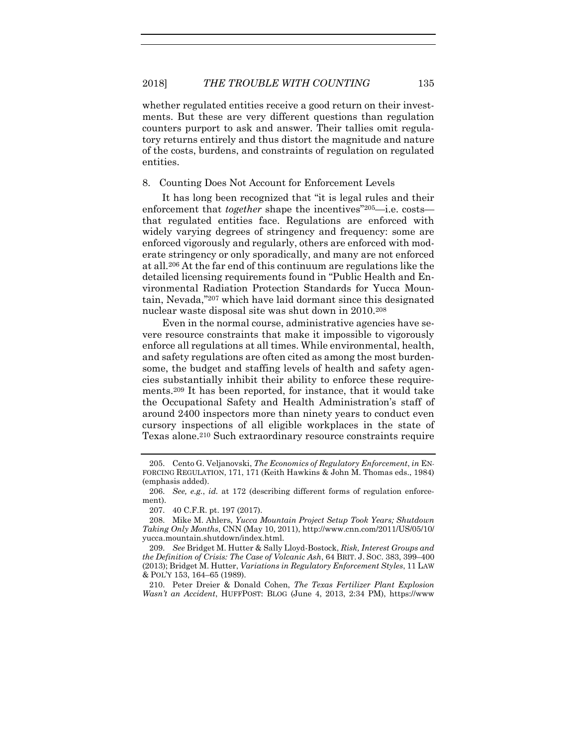whether regulated entities receive a good return on their investments. But these are very different questions than regulation counters purport to ask and answer. Their tallies omit regulatory returns entirely and thus distort the magnitude and nature of the costs, burdens, and constraints of regulation on regulated entities.

8. Counting Does Not Account for Enforcement Levels

It has long been recognized that "it is legal rules and their enforcement that *together* shape the incentives<sup>"205</sup>—i.e. costs that regulated entities face. Regulations are enforced with widely varying degrees of stringency and frequency: some are enforced vigorously and regularly, others are enforced with moderate stringency or only sporadically, and many are not enforced at all.<sup>206</sup> At the far end of this continuum are regulations like the detailed licensing requirements found in "Public Health and Environmental Radiation Protection Standards for Yucca Mountain, Nevada," <sup>207</sup> which have laid dormant since this designated nuclear waste disposal site was shut down in 2010.<sup>208</sup>

Even in the normal course, administrative agencies have severe resource constraints that make it impossible to vigorously enforce all regulations at all times. While environmental, health, and safety regulations are often cited as among the most burdensome, the budget and staffing levels of health and safety agencies substantially inhibit their ability to enforce these requirements.<sup>209</sup> It has been reported, for instance, that it would take the Occupational Safety and Health Administration's staff of around 2400 inspectors more than ninety years to conduct even cursory inspections of all eligible workplaces in the state of Texas alone.<sup>210</sup> Such extraordinary resource constraints require

207. 40 C.F.R. pt. 197 (2017).

210. Peter Dreier & Donald Cohen, *The Texas Fertilizer Plant Explosion Wasn't an Accident*, HUFFPOST: BLOG (June 4, 2013, 2:34 PM), https://www

<sup>205.</sup> Cento G. Veljanovski, *The Economics of Regulatory Enforcement*, *in* EN-FORCING REGULATION, 171, 171 (Keith Hawkins & John M. Thomas eds., 1984) (emphasis added).

<sup>206.</sup> *See, e.g.*, *id.* at 172 (describing different forms of regulation enforcement).

<sup>208.</sup> Mike M. Ahlers, *Yucca Mountain Project Setup Took Years; Shutdown Taking Only Months*, CNN (May 10, 2011), http://www.cnn.com/2011/US/05/10/ yucca.mountain.shutdown/index.html.

<sup>209.</sup> *See* Bridget M. Hutter & Sally Lloyd-Bostock, *Risk, Interest Groups and the Definition of Crisis: The Case of Volcanic Ash*, 64 BRIT. J. SOC. 383, 399–400 (2013); Bridget M. Hutter, *Variations in Regulatory Enforcement Styles*, 11 LAW & POL'Y 153, 164–65 (1989).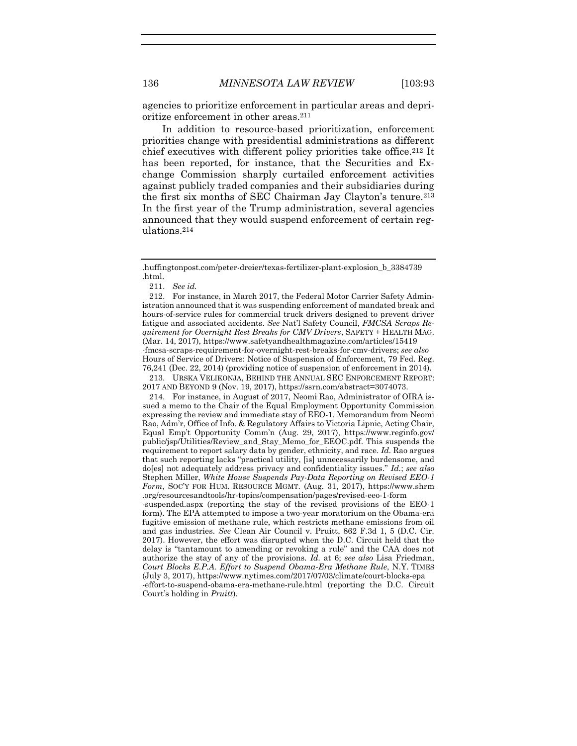agencies to prioritize enforcement in particular areas and deprioritize enforcement in other areas.<sup>211</sup>

In addition to resource-based prioritization, enforcement priorities change with presidential administrations as different chief executives with different policy priorities take office.<sup>212</sup> It has been reported, for instance, that the Securities and Exchange Commission sharply curtailed enforcement activities against publicly traded companies and their subsidiaries during the first six months of SEC Chairman Jay Clayton's tenure.<sup>213</sup> In the first year of the Trump administration, several agencies announced that they would suspend enforcement of certain regulations.<sup>214</sup>

213. URSKA VELIKONJA, BEHIND THE ANNUAL SEC ENFORCEMENT REPORT: 2017 AND BEYOND 9 (Nov. 19, 2017), https://ssrn.com/abstract=3074073.

214. For instance, in August of 2017, Neomi Rao, Administrator of OIRA issued a memo to the Chair of the Equal Employment Opportunity Commission expressing the review and immediate stay of EEO-1. Memorandum from Neomi Rao, Adm'r, Office of Info. & Regulatory Affairs to Victoria Lipnic, Acting Chair, Equal Emp't Opportunity Comm'n (Aug. 29, 2017), https://www.reginfo.gov/ public/jsp/Utilities/Review\_and\_Stay\_Memo\_for\_EEOC.pdf. This suspends the requirement to report salary data by gender, ethnicity, and race. *Id.* Rao argues that such reporting lacks "practical utility, [is] unnecessarily burdensome, and do[es] not adequately address privacy and confidentiality issues." *Id.*; *see also*  Stephen Miller, *White House Suspends Pay-Data Reporting on Revised EEO-1 Form*, SOC'Y FOR HUM. RESOURCE MGMT. (Aug. 31, 2017), https://www.shrm .org/resourcesandtools/hr-topics/compensation/pages/revised-eeo-1-form

-suspended.aspx (reporting the stay of the revised provisions of the EEO-1 form). The EPA attempted to impose a two-year moratorium on the Obama-era fugitive emission of methane rule, which restricts methane emissions from oil and gas industries. *See* Clean Air Council v. Pruitt, 862 F.3d 1, 5 (D.C. Cir. 2017). However, the effort was disrupted when the D.C. Circuit held that the delay is "tantamount to amending or revoking a rule" and the CAA does not authorize the stay of any of the provisions. *Id.* at 6; *see also* Lisa Friedman, *Court Blocks E.P.A. Effort to Suspend Obama-Era Methane Rule*, N.Y. TIMES (July 3, 2017), https://www.nytimes.com/2017/07/03/climate/court-blocks-epa -effort-to-suspend-obama-era-methane-rule.html (reporting the D.C. Circuit Court's holding in *Pruitt*).

<sup>.</sup>huffingtonpost.com/peter-dreier/texas-fertilizer-plant-explosion\_b\_3384739 .html.

<sup>211.</sup> *See id.*

<sup>212.</sup> For instance, in March 2017, the Federal Motor Carrier Safety Administration announced that it was suspending enforcement of mandated break and hours-of-service rules for commercial truck drivers designed to prevent driver fatigue and associated accidents. *See* Nat'l Safety Council, *FMCSA Scraps Requirement for Overnight Rest Breaks for CMV Drivers*, SAFETY + HEALTH MAG. (Mar. 14, 2017), https://www.safetyandhealthmagazine.com/articles/15419 -fmcsa-scraps-requirement-for-overnight-rest-breaks-for-cmv-drivers; *see also*  Hours of Service of Drivers: Notice of Suspension of Enforcement, 79 Fed. Reg. 76,241 (Dec. 22, 2014) (providing notice of suspension of enforcement in 2014).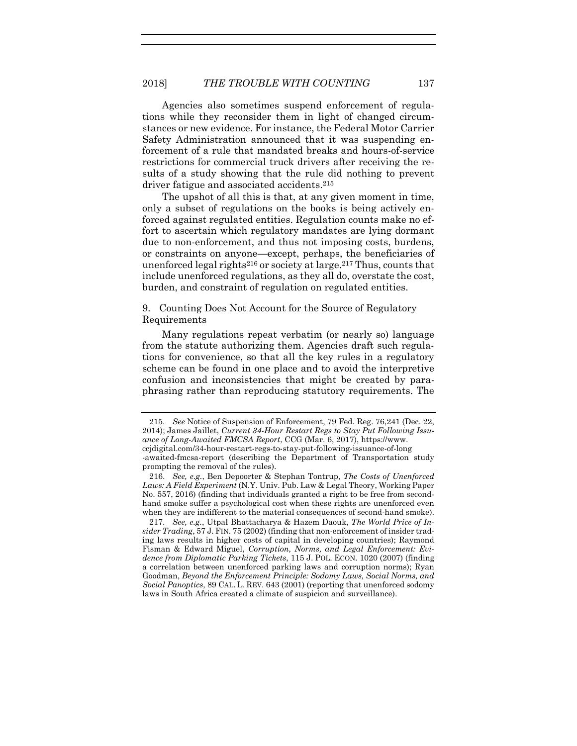Agencies also sometimes suspend enforcement of regulations while they reconsider them in light of changed circumstances or new evidence. For instance, the Federal Motor Carrier Safety Administration announced that it was suspending enforcement of a rule that mandated breaks and hours-of-service restrictions for commercial truck drivers after receiving the results of a study showing that the rule did nothing to prevent driver fatigue and associated accidents.<sup>215</sup>

The upshot of all this is that, at any given moment in time, only a subset of regulations on the books is being actively enforced against regulated entities. Regulation counts make no effort to ascertain which regulatory mandates are lying dormant due to non-enforcement, and thus not imposing costs, burdens, or constraints on anyone—except, perhaps, the beneficiaries of unenforced legal rights<sup>216</sup> or society at large.<sup>217</sup> Thus, counts that include unenforced regulations, as they all do, overstate the cost, burden, and constraint of regulation on regulated entities.

9. Counting Does Not Account for the Source of Regulatory Requirements

Many regulations repeat verbatim (or nearly so) language from the statute authorizing them. Agencies draft such regulations for convenience, so that all the key rules in a regulatory scheme can be found in one place and to avoid the interpretive confusion and inconsistencies that might be created by paraphrasing rather than reproducing statutory requirements. The

<sup>215.</sup> *See* Notice of Suspension of Enforcement, 79 Fed. Reg. 76,241 (Dec. 22, 2014); James Jaillet, *Current 34-Hour Restart Regs to Stay Put Following Issuance of Long-Awaited FMCSA Report*, CCG (Mar. 6, 2017), https://www. ccjdigital.com/34-hour-restart-regs-to-stay-put-following-issuance-of-long -awaited-fmcsa-report (describing the Department of Transportation study prompting the removal of the rules).

<sup>216.</sup> *See, e.g.*, Ben Depoorter & Stephan Tontrup, *The Costs of Unenforced Laws: A Field Experiment* (N.Y. Univ. Pub. Law & Legal Theory, Working Paper No. 557, 2016) (finding that individuals granted a right to be free from secondhand smoke suffer a psychological cost when these rights are unenforced even when they are indifferent to the material consequences of second-hand smoke).

<sup>217.</sup> *See, e.g.*, Utpal Bhattacharya & Hazem Daouk, *The World Price of Insider Trading*, 57 J. FIN. 75 (2002) (finding that non-enforcement of insider trading laws results in higher costs of capital in developing countries); Raymond Fisman & Edward Miguel, *Corruption, Norms, and Legal Enforcement: Evidence from Diplomatic Parking Tickets*, 115 J. POL. ECON. 1020 (2007) (finding a correlation between unenforced parking laws and corruption norms); Ryan Goodman, *Beyond the Enforcement Principle: Sodomy Laws, Social Norms, and Social Panoptics*, 89 CAL. L. REV. 643 (2001) (reporting that unenforced sodomy laws in South Africa created a climate of suspicion and surveillance).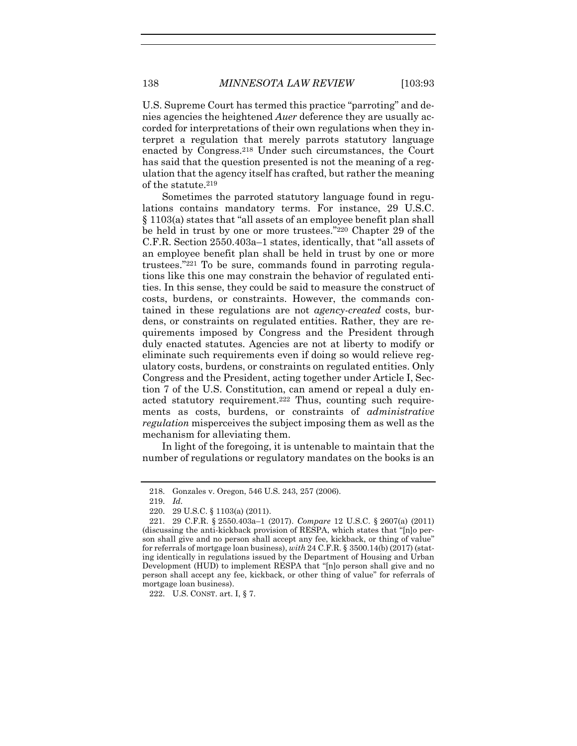U.S. Supreme Court has termed this practice "parroting" and denies agencies the heightened *Auer* deference they are usually accorded for interpretations of their own regulations when they interpret a regulation that merely parrots statutory language enacted by Congress.<sup>218</sup> Under such circumstances, the Court has said that the question presented is not the meaning of a regulation that the agency itself has crafted, but rather the meaning of the statute.<sup>219</sup>

Sometimes the parroted statutory language found in regulations contains mandatory terms. For instance, 29 U.S.C. § 1103(a) states that "all assets of an employee benefit plan shall be held in trust by one or more trustees." <sup>220</sup> Chapter 29 of the C.F.R. Section 2550.403a–1 states, identically, that "all assets of an employee benefit plan shall be held in trust by one or more trustees." <sup>221</sup> To be sure, commands found in parroting regulations like this one may constrain the behavior of regulated entities. In this sense, they could be said to measure the construct of costs, burdens, or constraints. However, the commands contained in these regulations are not *agency-created* costs, burdens, or constraints on regulated entities. Rather, they are requirements imposed by Congress and the President through duly enacted statutes. Agencies are not at liberty to modify or eliminate such requirements even if doing so would relieve regulatory costs, burdens, or constraints on regulated entities. Only Congress and the President, acting together under Article I, Section 7 of the U.S. Constitution, can amend or repeal a duly enacted statutory requirement.<sup>222</sup> Thus, counting such requirements as costs, burdens, or constraints of *administrative regulation* misperceives the subject imposing them as well as the mechanism for alleviating them.

In light of the foregoing, it is untenable to maintain that the number of regulations or regulatory mandates on the books is an

222. U.S. CONST. art. I, § 7.

<sup>218.</sup> Gonzales v. Oregon, 546 U.S. 243, 257 (2006).

<sup>219.</sup> *Id.*

<sup>220.</sup> 29 U.S.C. § 1103(a) (2011).

<sup>221.</sup> 29 C.F.R. § 2550.403a–1 (2017). *Compare* 12 U.S.C. § 2607(a) (2011) (discussing the anti-kickback provision of RESPA, which states that "[n]o person shall give and no person shall accept any fee, kickback, or thing of value" for referrals of mortgage loan business), *with* 24 C.F.R. § 3500.14(b) (2017) (stating identically in regulations issued by the Department of Housing and Urban Development (HUD) to implement RESPA that "[n]o person shall give and no person shall accept any fee, kickback, or other thing of value" for referrals of mortgage loan business).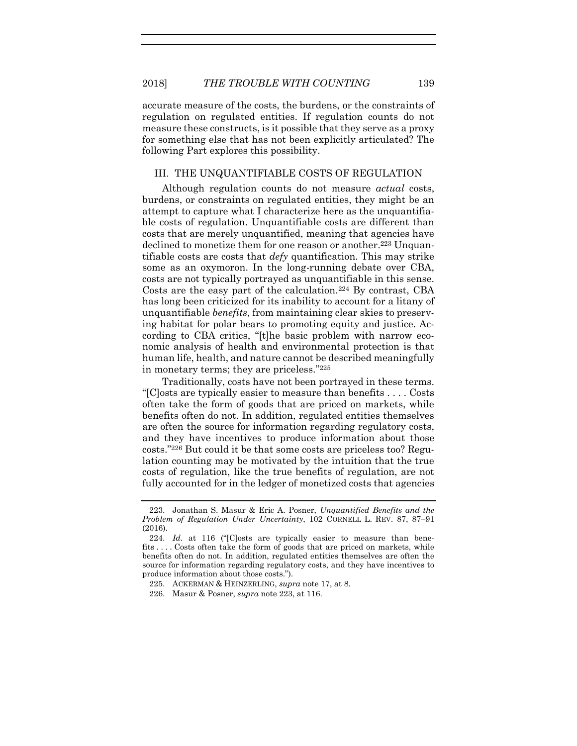accurate measure of the costs, the burdens, or the constraints of regulation on regulated entities. If regulation counts do not measure these constructs, is it possible that they serve as a proxy for something else that has not been explicitly articulated? The following Part explores this possibility.

## III. THE UNQUANTIFIABLE COSTS OF REGULATION

Although regulation counts do not measure *actual* costs, burdens, or constraints on regulated entities, they might be an attempt to capture what I characterize here as the unquantifiable costs of regulation. Unquantifiable costs are different than costs that are merely unquantified, meaning that agencies have declined to monetize them for one reason or another.<sup>223</sup> Unquantifiable costs are costs that *defy* quantification. This may strike some as an oxymoron. In the long-running debate over CBA, costs are not typically portrayed as unquantifiable in this sense. Costs are the easy part of the calculation.<sup>224</sup> By contrast, CBA has long been criticized for its inability to account for a litany of unquantifiable *benefits*, from maintaining clear skies to preserving habitat for polar bears to promoting equity and justice. According to CBA critics, "[t]he basic problem with narrow economic analysis of health and environmental protection is that human life, health, and nature cannot be described meaningfully in monetary terms; they are priceless." 225

Traditionally, costs have not been portrayed in these terms. "[C]osts are typically easier to measure than benefits . . . . Costs often take the form of goods that are priced on markets, while benefits often do not. In addition, regulated entities themselves are often the source for information regarding regulatory costs, and they have incentives to produce information about those costs." <sup>226</sup> But could it be that some costs are priceless too? Regulation counting may be motivated by the intuition that the true costs of regulation, like the true benefits of regulation, are not fully accounted for in the ledger of monetized costs that agencies

<span id="page-47-0"></span>

<sup>223.</sup> Jonathan S. Masur & Eric A. Posner, *Unquantified Benefits and the Problem of Regulation Under Uncertainty*, 102 CORNELL L. REV. 87, 87–91 (2016).

<sup>224.</sup> *Id.* at 116 ("[C]osts are typically easier to measure than benefits . . . . Costs often take the form of goods that are priced on markets, while benefits often do not. In addition, regulated entities themselves are often the source for information regarding regulatory costs, and they have incentives to produce information about those costs.").

<sup>225.</sup> ACKERMAN & HEINZERLING, *supra* not[e 17,](#page-5-1) at 8.

<sup>226.</sup> Masur & Posner, *supra* not[e 223,](#page-47-0) at 116.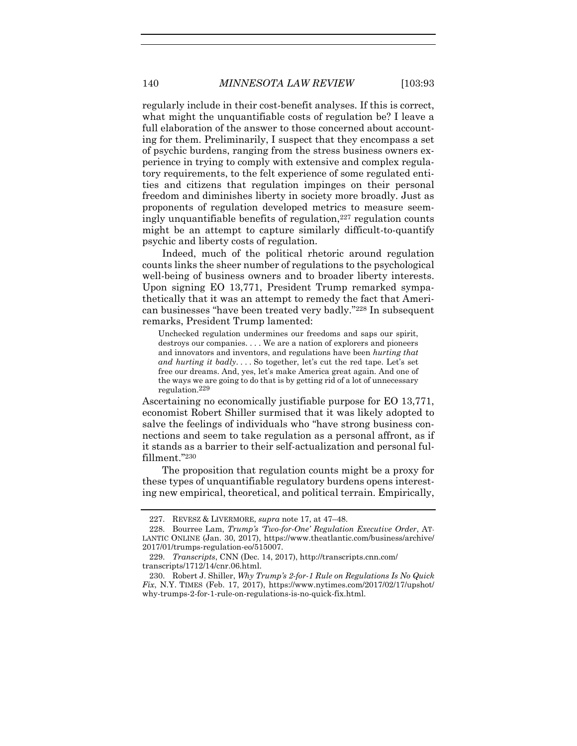regularly include in their cost-benefit analyses. If this is correct, what might the unquantifiable costs of regulation be? I leave a full elaboration of the answer to those concerned about accounting for them. Preliminarily, I suspect that they encompass a set of psychic burdens, ranging from the stress business owners experience in trying to comply with extensive and complex regulatory requirements, to the felt experience of some regulated entities and citizens that regulation impinges on their personal freedom and diminishes liberty in society more broadly. Just as proponents of regulation developed metrics to measure seemingly unquantifiable benefits of regulation,<sup>227</sup> regulation counts might be an attempt to capture similarly difficult-to-quantify psychic and liberty costs of regulation.

Indeed, much of the political rhetoric around regulation counts links the sheer number of regulations to the psychological well-being of business owners and to broader liberty interests. Upon signing EO 13,771, President Trump remarked sympathetically that it was an attempt to remedy the fact that American businesses "have been treated very badly." <sup>228</sup> In subsequent remarks, President Trump lamented:

Unchecked regulation undermines our freedoms and saps our spirit, destroys our companies. . . . We are a nation of explorers and pioneers and innovators and inventors, and regulations have been *hurting that and hurting it badly*. . . . So together, let's cut the red tape. Let's set free our dreams. And, yes, let's make America great again. And one of the ways we are going to do that is by getting rid of a lot of unnecessary regulation.229

Ascertaining no economically justifiable purpose for EO 13,771, economist Robert Shiller surmised that it was likely adopted to salve the feelings of individuals who "have strong business connections and seem to take regulation as a personal affront, as if it stands as a barrier to their self-actualization and personal fulfillment." 230

The proposition that regulation counts might be a proxy for these types of unquantifiable regulatory burdens opens interesting new empirical, theoretical, and political terrain. Empirically,

<sup>227.</sup> REVESZ & LIVERMORE, *supra* note [17,](#page-5-1) at 47–48.

<sup>228.</sup> Bourree Lam, *Trump's 'Two-for-One' Regulation Executive Order*, AT-LANTIC ONLINE (Jan. 30, 2017), https://www.theatlantic.com/business/archive/ 2017/01/trumps-regulation-eo/515007.

<sup>229.</sup> *Transcripts*, CNN (Dec. 14, 2017), http://transcripts.cnn.com/ transcripts/1712/14/cnr.06.html.

<sup>230.</sup> Robert J. Shiller, *Why Trump's 2-for-1 Rule on Regulations Is No Quick Fix*, N.Y. TIMES (Feb. 17, 2017), https://www.nytimes.com/2017/02/17/upshot/ why-trumps-2-for-1-rule-on-regulations-is-no-quick-fix.html.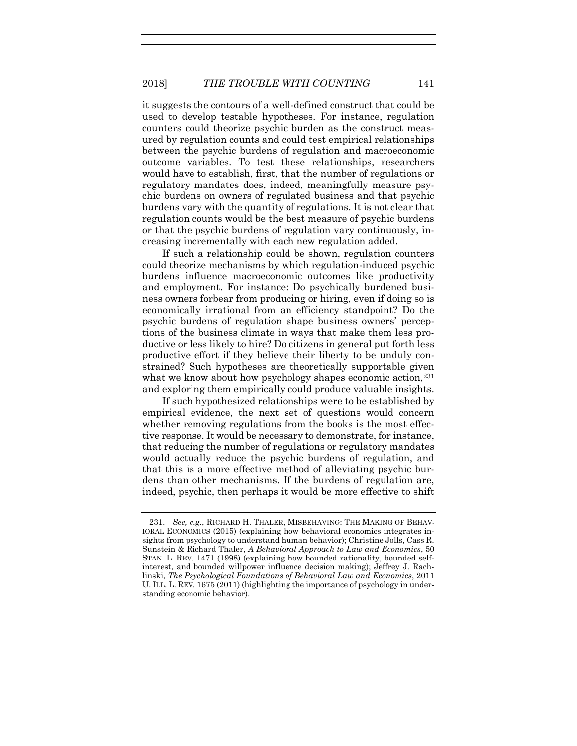it suggests the contours of a well-defined construct that could be used to develop testable hypotheses. For instance, regulation counters could theorize psychic burden as the construct measured by regulation counts and could test empirical relationships between the psychic burdens of regulation and macroeconomic outcome variables. To test these relationships, researchers would have to establish, first, that the number of regulations or regulatory mandates does, indeed, meaningfully measure psychic burdens on owners of regulated business and that psychic burdens vary with the quantity of regulations. It is not clear that regulation counts would be the best measure of psychic burdens or that the psychic burdens of regulation vary continuously, increasing incrementally with each new regulation added.

If such a relationship could be shown, regulation counters could theorize mechanisms by which regulation-induced psychic burdens influence macroeconomic outcomes like productivity and employment. For instance: Do psychically burdened business owners forbear from producing or hiring, even if doing so is economically irrational from an efficiency standpoint? Do the psychic burdens of regulation shape business owners' perceptions of the business climate in ways that make them less productive or less likely to hire? Do citizens in general put forth less productive effort if they believe their liberty to be unduly constrained? Such hypotheses are theoretically supportable given what we know about how psychology shapes economic action,<sup>231</sup> and exploring them empirically could produce valuable insights.

If such hypothesized relationships were to be established by empirical evidence, the next set of questions would concern whether removing regulations from the books is the most effective response. It would be necessary to demonstrate, for instance, that reducing the number of regulations or regulatory mandates would actually reduce the psychic burdens of regulation, and that this is a more effective method of alleviating psychic burdens than other mechanisms. If the burdens of regulation are, indeed, psychic, then perhaps it would be more effective to shift

<sup>231.</sup> *See, e.g.*, RICHARD H. THALER, MISBEHAVING: THE MAKING OF BEHAV-IORAL ECONOMICS (2015) (explaining how behavioral economics integrates insights from psychology to understand human behavior); Christine Jolls, Cass R. Sunstein & Richard Thaler, *A Behavioral Approach to Law and Economics*, 50 STAN. L. REV. 1471 (1998) (explaining how bounded rationality, bounded selfinterest, and bounded willpower influence decision making); Jeffrey J. Rachlinski, *The Psychological Foundations of Behavioral Law and Economics*, 2011 U. ILL. L. REV. 1675 (2011) (highlighting the importance of psychology in understanding economic behavior).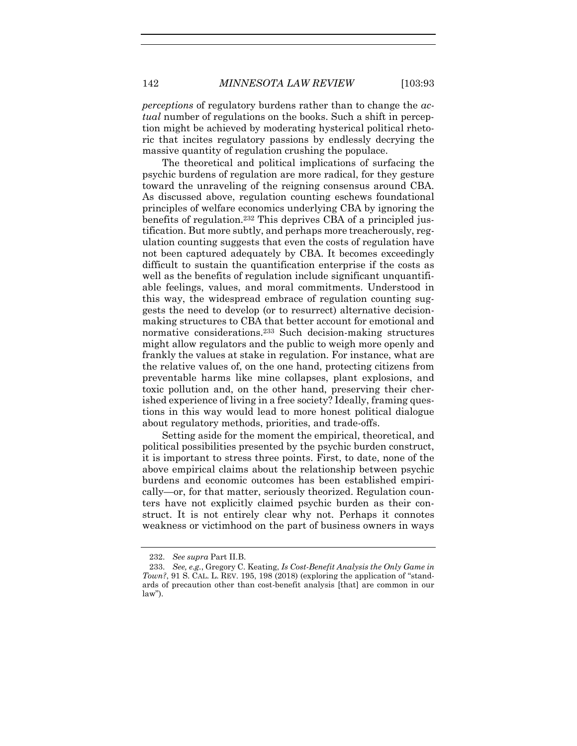*perceptions* of regulatory burdens rather than to change the *actual* number of regulations on the books. Such a shift in perception might be achieved by moderating hysterical political rhetoric that incites regulatory passions by endlessly decrying the massive quantity of regulation crushing the populace.

The theoretical and political implications of surfacing the psychic burdens of regulation are more radical, for they gesture toward the unraveling of the reigning consensus around CBA. As discussed above, regulation counting eschews foundational principles of welfare economics underlying CBA by ignoring the benefits of regulation.<sup>232</sup> This deprives CBA of a principled justification. But more subtly, and perhaps more treacherously, regulation counting suggests that even the costs of regulation have not been captured adequately by CBA. It becomes exceedingly difficult to sustain the quantification enterprise if the costs as well as the benefits of regulation include significant unquantifiable feelings, values, and moral commitments. Understood in this way, the widespread embrace of regulation counting suggests the need to develop (or to resurrect) alternative decisionmaking structures to CBA that better account for emotional and normative considerations.<sup>233</sup> Such decision-making structures might allow regulators and the public to weigh more openly and frankly the values at stake in regulation. For instance, what are the relative values of, on the one hand, protecting citizens from preventable harms like mine collapses, plant explosions, and toxic pollution and, on the other hand, preserving their cherished experience of living in a free society? Ideally, framing questions in this way would lead to more honest political dialogue about regulatory methods, priorities, and trade-offs.

Setting aside for the moment the empirical, theoretical, and political possibilities presented by the psychic burden construct, it is important to stress three points. First, to date, none of the above empirical claims about the relationship between psychic burdens and economic outcomes has been established empirically—or, for that matter, seriously theorized. Regulation counters have not explicitly claimed psychic burden as their construct. It is not entirely clear why not. Perhaps it connotes weakness or victimhood on the part of business owners in ways

<sup>232.</sup> *See supra* Part II.B.

<sup>233.</sup> *See, e.g.*, Gregory C. Keating, *Is Cost-Benefit Analysis the Only Game in Town?*, 91 S. CAL. L. REV. 195, 198 (2018) (exploring the application of "standards of precaution other than cost-benefit analysis [that] are common in our law").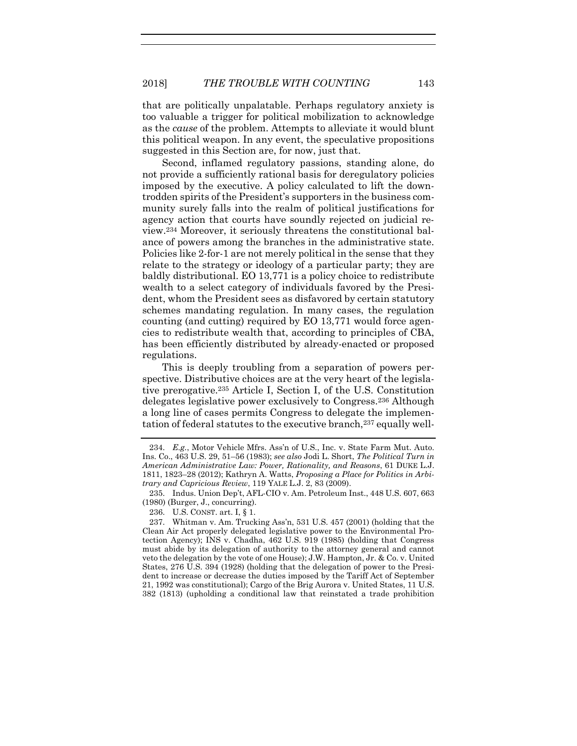that are politically unpalatable. Perhaps regulatory anxiety is too valuable a trigger for political mobilization to acknowledge as the *cause* of the problem. Attempts to alleviate it would blunt this political weapon. In any event, the speculative propositions suggested in this Section are, for now, just that.

Second, inflamed regulatory passions, standing alone, do not provide a sufficiently rational basis for deregulatory policies imposed by the executive. A policy calculated to lift the downtrodden spirits of the President's supporters in the business community surely falls into the realm of political justifications for agency action that courts have soundly rejected on judicial review.<sup>234</sup> Moreover, it seriously threatens the constitutional balance of powers among the branches in the administrative state. Policies like 2-for-1 are not merely political in the sense that they relate to the strategy or ideology of a particular party; they are baldly distributional. EO 13,771 is a policy choice to redistribute wealth to a select category of individuals favored by the President, whom the President sees as disfavored by certain statutory schemes mandating regulation. In many cases, the regulation counting (and cutting) required by EO 13,771 would force agencies to redistribute wealth that, according to principles of CBA, has been efficiently distributed by already-enacted or proposed regulations.

This is deeply troubling from a separation of powers perspective. Distributive choices are at the very heart of the legislative prerogative.<sup>235</sup> Article I, Section I, of the U.S. Constitution delegates legislative power exclusively to Congress.<sup>236</sup> Although a long line of cases permits Congress to delegate the implementation of federal statutes to the executive branch,<sup>237</sup> equally well-

<sup>234.</sup> *E.g.*, Motor Vehicle Mfrs. Ass'n of U.S., Inc. v. State Farm Mut. Auto. Ins. Co., 463 U.S. 29, 51–56 (1983); *see also* Jodi L. Short, *The Political Turn in American Administrative Law: Power, Rationality, and Reasons*, 61 DUKE L.J. 1811, 1823–28 (2012); Kathryn A. Watts, *Proposing a Place for Politics in Arbitrary and Capricious Review*, 119 YALE L.J. 2, 83 (2009).

<sup>235.</sup> Indus. Union Dep't, AFL-CIO v. Am. Petroleum Inst., 448 U.S. 607, 663 (1980) (Burger, J., concurring).

<sup>236.</sup> U.S. CONST. art. I, § 1.

<sup>237.</sup> Whitman v. Am. Trucking Ass'n, 531 U.S. 457 (2001) (holding that the Clean Air Act properly delegated legislative power to the Environmental Protection Agency); INS v. Chadha, 462 U.S. 919 (1985) (holding that Congress must abide by its delegation of authority to the attorney general and cannot veto the delegation by the vote of one House); J.W. Hampton, Jr. & Co. v. United States, 276 U.S. 394 (1928) (holding that the delegation of power to the President to increase or decrease the duties imposed by the Tariff Act of September 21, 1992 was constitutional); Cargo of the Brig Aurora v. United States, 11 U.S. 382 (1813) (upholding a conditional law that reinstated a trade prohibition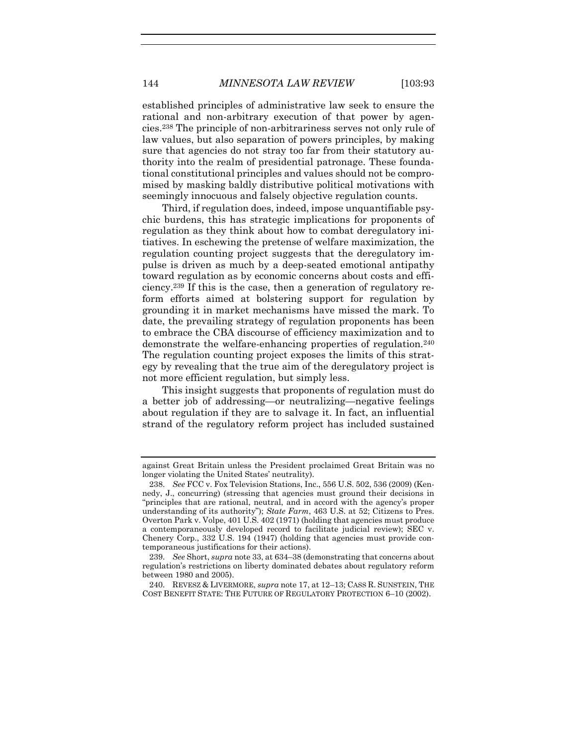established principles of administrative law seek to ensure the rational and non-arbitrary execution of that power by agencies.<sup>238</sup> The principle of non-arbitrariness serves not only rule of law values, but also separation of powers principles, by making sure that agencies do not stray too far from their statutory authority into the realm of presidential patronage. These foundational constitutional principles and values should not be compromised by masking baldly distributive political motivations with seemingly innocuous and falsely objective regulation counts.

Third, if regulation does, indeed, impose unquantifiable psychic burdens, this has strategic implications for proponents of regulation as they think about how to combat deregulatory initiatives. In eschewing the pretense of welfare maximization, the regulation counting project suggests that the deregulatory impulse is driven as much by a deep-seated emotional antipathy toward regulation as by economic concerns about costs and efficiency.<sup>239</sup> If this is the case, then a generation of regulatory reform efforts aimed at bolstering support for regulation by grounding it in market mechanisms have missed the mark. To date, the prevailing strategy of regulation proponents has been to embrace the CBA discourse of efficiency maximization and to demonstrate the welfare-enhancing properties of regulation.<sup>240</sup> The regulation counting project exposes the limits of this strategy by revealing that the true aim of the deregulatory project is not more efficient regulation, but simply less.

This insight suggests that proponents of regulation must do a better job of addressing—or neutralizing—negative feelings about regulation if they are to salvage it. In fact, an influential strand of the regulatory reform project has included sustained

against Great Britain unless the President proclaimed Great Britain was no longer violating the United States' neutrality).

<sup>238.</sup> *See* FCC v. Fox Television Stations, Inc., 556 U.S. 502, 536 (2009) (Kennedy, J., concurring) (stressing that agencies must ground their decisions in "principles that are rational, neutral, and in accord with the agency's proper understanding of its authority"); *State Farm*, 463 U.S. at 52; Citizens to Pres. Overton Park v. Volpe, 401 U.S. 402 (1971) (holding that agencies must produce a contemporaneously developed record to facilitate judicial review); SEC v. Chenery Corp., 332 U.S. 194 (1947) (holding that agencies must provide contemporaneous justifications for their actions).

<sup>239.</sup> *See* Short, *supra* note [33,](#page-9-0) at 634–38 (demonstrating that concerns about regulation's restrictions on liberty dominated debates about regulatory reform between 1980 and 2005).

<sup>240.</sup> REVESZ & LIVERMORE, *supra* note [17,](#page-5-1) at 12–13; CASS R. SUNSTEIN, THE COST BENEFIT STATE: THE FUTURE OF REGULATORY PROTECTION 6–10 (2002).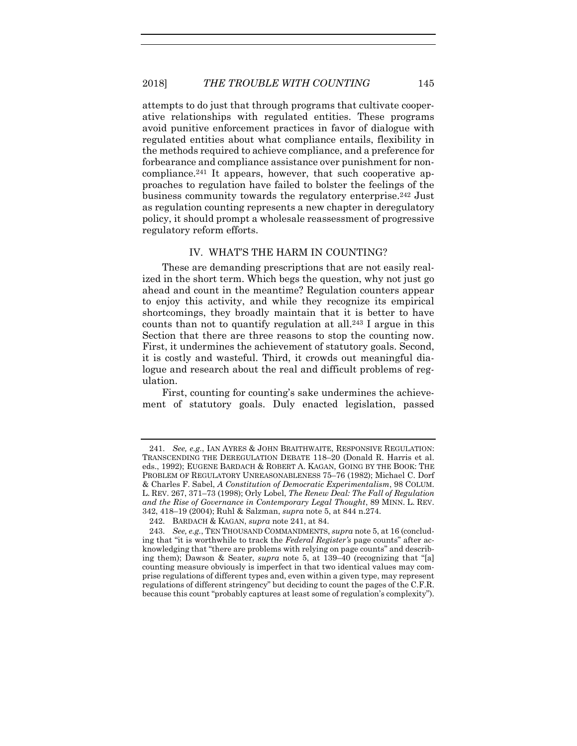attempts to do just that through programs that cultivate cooperative relationships with regulated entities. These programs avoid punitive enforcement practices in favor of dialogue with regulated entities about what compliance entails, flexibility in the methods required to achieve compliance, and a preference for forbearance and compliance assistance over punishment for noncompliance.<sup>241</sup> It appears, however, that such cooperative approaches to regulation have failed to bolster the feelings of the business community towards the regulatory enterprise.<sup>242</sup> Just as regulation counting represents a new chapter in deregulatory policy, it should prompt a wholesale reassessment of progressive regulatory reform efforts.

#### <span id="page-53-0"></span>IV. WHAT'S THE HARM IN COUNTING?

These are demanding prescriptions that are not easily realized in the short term. Which begs the question, why not just go ahead and count in the meantime? Regulation counters appear to enjoy this activity, and while they recognize its empirical shortcomings, they broadly maintain that it is better to have counts than not to quantify regulation at all.<sup>243</sup> I argue in this Section that there are three reasons to stop the counting now. First, it undermines the achievement of statutory goals. Second, it is costly and wasteful. Third, it crowds out meaningful dialogue and research about the real and difficult problems of regulation.

First, counting for counting's sake undermines the achievement of statutory goals. Duly enacted legislation, passed

<sup>241.</sup> *See, e.g.*, IAN AYRES & JOHN BRAITHWAITE, RESPONSIVE REGULATION: TRANSCENDING THE DEREGULATION DEBATE 118–20 (Donald R. Harris et al. eds., 1992); EUGENE BARDACH & ROBERT A. KAGAN, GOING BY THE BOOK: THE PROBLEM OF REGULATORY UNREASONABLENESS 75–76 (1982); Michael C. Dorf & Charles F. Sabel, *A Constitution of Democratic Experimentalism*, 98 COLUM. L. REV. 267, 371–73 (1998); Orly Lobel, *The Renew Deal: The Fall of Regulation and the Rise of Governance in Contemporary Legal Thought*, 89 MINN. L. REV. 342, 418–19 (2004); Ruhl & Salzman, *supra* note [5,](#page-2-1) at 844 n.274.

<sup>242.</sup> BARDACH & KAGAN, *supra* note [241,](#page-53-0) at 84.

<sup>243.</sup> *See, e.g.*, TEN THOUSAND COMMANDMENTS, *supra* not[e 5,](#page-2-1) at 16 (concluding that "it is worthwhile to track the *Federal Register's* page counts" after acknowledging that "there are problems with relying on page counts" and describing them); Dawson & Seater, *supra* note [5,](#page-2-1) at 139–40 (recognizing that "[a] counting measure obviously is imperfect in that two identical values may comprise regulations of different types and, even within a given type, may represent regulations of different stringency" but deciding to count the pages of the C.F.R. because this count "probably captures at least some of regulation's complexity").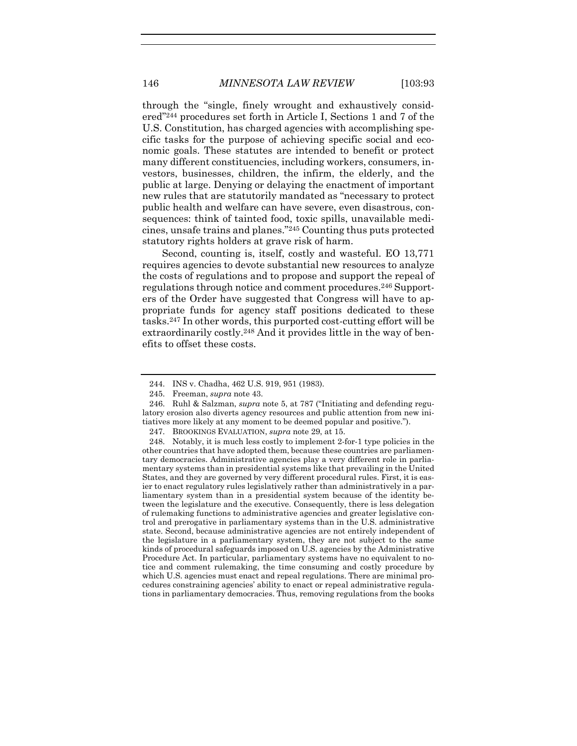through the "single, finely wrought and exhaustively considered" <sup>244</sup> procedures set forth in Article I, Sections 1 and 7 of the U.S. Constitution, has charged agencies with accomplishing specific tasks for the purpose of achieving specific social and economic goals. These statutes are intended to benefit or protect many different constituencies, including workers, consumers, investors, businesses, children, the infirm, the elderly, and the public at large. Denying or delaying the enactment of important new rules that are statutorily mandated as "necessary to protect public health and welfare can have severe, even disastrous, consequences: think of tainted food, toxic spills, unavailable medicines, unsafe trains and planes." <sup>245</sup> Counting thus puts protected statutory rights holders at grave risk of harm.

Second, counting is, itself, costly and wasteful. EO 13,771 requires agencies to devote substantial new resources to analyze the costs of regulations and to propose and support the repeal of regulations through notice and comment procedures.<sup>246</sup> Supporters of the Order have suggested that Congress will have to appropriate funds for agency staff positions dedicated to these tasks.<sup>247</sup> In other words, this purported cost-cutting effort will be extraordinarily costly.<sup>248</sup> And it provides little in the way of benefits to offset these costs.

<sup>244.</sup> INS v. Chadha, 462 U.S. 919, 951 (1983).

<sup>245.</sup> Freeman, *supra* not[e 43.](#page-12-0)

<sup>246.</sup> Ruhl & Salzman, *supra* note [5,](#page-2-1) at 787 ("Initiating and defending regulatory erosion also diverts agency resources and public attention from new initiatives more likely at any moment to be deemed popular and positive.").

<sup>247.</sup> BROOKINGS EVALUATION, *supra* note [29,](#page-7-1) at 15.

<sup>248.</sup> Notably, it is much less costly to implement 2-for-1 type policies in the other countries that have adopted them, because these countries are parliamentary democracies. Administrative agencies play a very different role in parliamentary systems than in presidential systems like that prevailing in the United States, and they are governed by very different procedural rules. First, it is easier to enact regulatory rules legislatively rather than administratively in a parliamentary system than in a presidential system because of the identity between the legislature and the executive. Consequently, there is less delegation of rulemaking functions to administrative agencies and greater legislative control and prerogative in parliamentary systems than in the U.S. administrative state. Second, because administrative agencies are not entirely independent of the legislature in a parliamentary system, they are not subject to the same kinds of procedural safeguards imposed on U.S. agencies by the Administrative Procedure Act. In particular, parliamentary systems have no equivalent to notice and comment rulemaking, the time consuming and costly procedure by which U.S. agencies must enact and repeal regulations. There are minimal procedures constraining agencies' ability to enact or repeal administrative regulations in parliamentary democracies. Thus, removing regulations from the books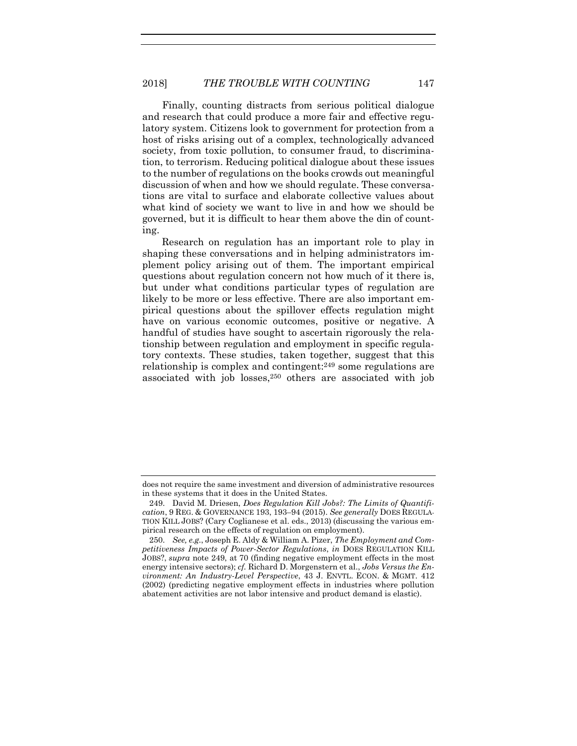Finally, counting distracts from serious political dialogue and research that could produce a more fair and effective regulatory system. Citizens look to government for protection from a host of risks arising out of a complex, technologically advanced society, from toxic pollution, to consumer fraud, to discrimination, to terrorism. Reducing political dialogue about these issues to the number of regulations on the books crowds out meaningful discussion of when and how we should regulate. These conversations are vital to surface and elaborate collective values about what kind of society we want to live in and how we should be governed, but it is difficult to hear them above the din of counting.

Research on regulation has an important role to play in shaping these conversations and in helping administrators implement policy arising out of them. The important empirical questions about regulation concern not how much of it there is, but under what conditions particular types of regulation are likely to be more or less effective. There are also important empirical questions about the spillover effects regulation might have on various economic outcomes, positive or negative. A handful of studies have sought to ascertain rigorously the relationship between regulation and employment in specific regulatory contexts. These studies, taken together, suggest that this relationship is complex and contingent:<sup>249</sup> some regulations are associated with job losses,<sup>250</sup> others are associated with job

<span id="page-55-1"></span><span id="page-55-0"></span>does not require the same investment and diversion of administrative resources in these systems that it does in the United States.

<sup>249.</sup> David M. Driesen, *Does Regulation Kill Jobs?: The Limits of Quantification*, 9 REG. & GOVERNANCE 193, 193–94 (2015). *See generally* DOES REGULA-TION KILL JOBS? (Cary Coglianese et al. eds., 2013) (discussing the various empirical research on the effects of regulation on employment).

<sup>250.</sup> *See, e.g.*, Joseph E. Aldy & William A. Pizer, *The Employment and Competitiveness Impacts of Power-Sector Regulations*, *in* DOES REGULATION KILL JOBS?, *supra* note [249,](#page-55-0) at 70 (finding negative employment effects in the most energy intensive sectors); *cf.* Richard D. Morgenstern et al., *Jobs Versus the Environment: An Industry-Level Perspective*, 43 J. ENVTL. ECON. & MGMT. 412 (2002) (predicting negative employment effects in industries where pollution abatement activities are not labor intensive and product demand is elastic).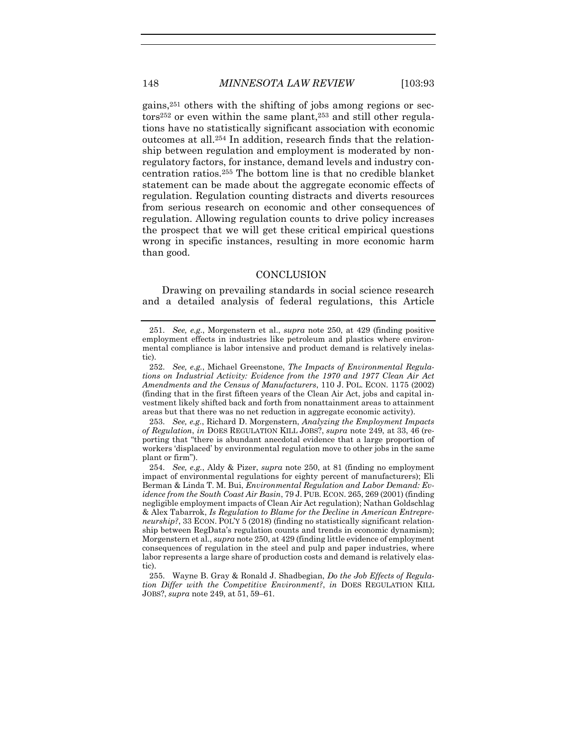gains,<sup>251</sup> others with the shifting of jobs among regions or sectors<sup>252</sup> or even within the same plant,<sup>253</sup> and still other regulations have no statistically significant association with economic outcomes at all.<sup>254</sup> In addition, research finds that the relationship between regulation and employment is moderated by nonregulatory factors, for instance, demand levels and industry concentration ratios.<sup>255</sup> The bottom line is that no credible blanket statement can be made about the aggregate economic effects of regulation. Regulation counting distracts and diverts resources from serious research on economic and other consequences of regulation. Allowing regulation counts to drive policy increases the prospect that we will get these critical empirical questions wrong in specific instances, resulting in more economic harm than good.

#### **CONCLUSION**

Drawing on prevailing standards in social science research and a detailed analysis of federal regulations, this Article

253. *See, e.g.*, Richard D. Morgenstern, *Analyzing the Employment Impacts of Regulation*, *in* DOES REGULATION KILL JOBS?, *supra* note [249,](#page-55-0) at 33, 46 (reporting that "there is abundant anecdotal evidence that a large proportion of workers 'displaced' by environmental regulation move to other jobs in the same plant or firm").

<sup>251.</sup> *See, e.g.*, Morgenstern et al., *supra* note [250,](#page-55-1) at 429 (finding positive employment effects in industries like petroleum and plastics where environmental compliance is labor intensive and product demand is relatively inelastic).

<sup>252.</sup> *See, e.g.*, Michael Greenstone, *The Impacts of Environmental Regulations on Industrial Activity: Evidence from the 1970 and 1977 Clean Air Act Amendments and the Census of Manufacturers*, 110 J. POL. ECON. 1175 (2002) (finding that in the first fifteen years of the Clean Air Act, jobs and capital investment likely shifted back and forth from nonattainment areas to attainment areas but that there was no net reduction in aggregate economic activity).

<sup>254.</sup> *See, e.g.*, Aldy & Pizer, *supra* note [250,](#page-55-1) at 81 (finding no employment impact of environmental regulations for eighty percent of manufacturers); Eli Berman & Linda T. M. Bui, *Environmental Regulation and Labor Demand: Evidence from the South Coast Air Basin*, 79 J. PUB. ECON. 265, 269 (2001) (finding negligible employment impacts of Clean Air Act regulation); Nathan Goldschlag & Alex Tabarrok, *Is Regulation to Blame for the Decline in American Entrepreneurship?*, 33 ECON. POL'Y 5 (2018) (finding no statistically significant relationship between RegData's regulation counts and trends in economic dynamism); Morgenstern et al., *supra* not[e 250,](#page-55-1) at 429 (finding little evidence of employment consequences of regulation in the steel and pulp and paper industries, where labor represents a large share of production costs and demand is relatively elastic).

<sup>255.</sup> Wayne B. Gray & Ronald J. Shadbegian, *Do the Job Effects of Regulation Differ with the Competitive Environment?*, *in* DOES REGULATION KILL JOBS?, *supra* note [249,](#page-55-0) at 51, 59–61.